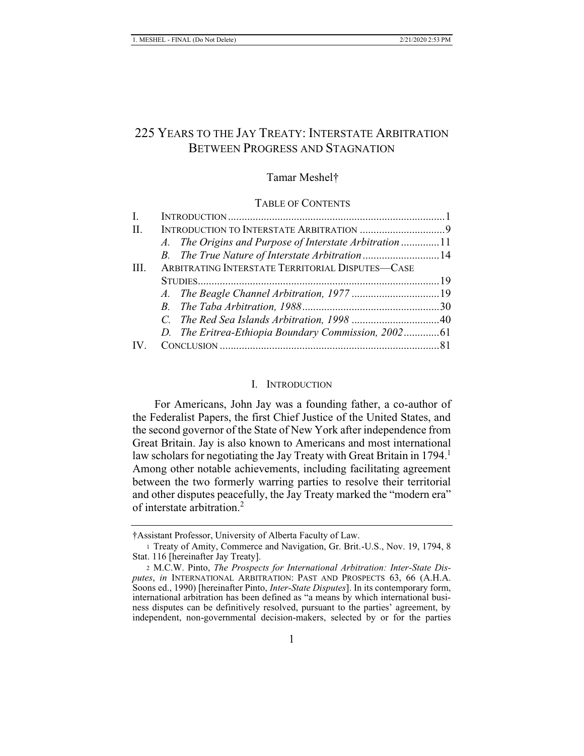# 225 YEARS TO THE JAY TREATY: INTERSTATE ARBITRATION BETWEEN PROGRESS AND STAGNATION

# Tamar Meshel†

#### TABLE OF CONTENTS

| Ι.             |                                                  |                                                        |  |
|----------------|--------------------------------------------------|--------------------------------------------------------|--|
| $\mathbf{H}$ . |                                                  |                                                        |  |
|                |                                                  | A. The Origins and Purpose of Interstate Arbitration11 |  |
|                |                                                  |                                                        |  |
| HL.            | ARBITRATING INTERSTATE TERRITORIAL DISPUTES-CASE |                                                        |  |
|                |                                                  |                                                        |  |
|                |                                                  |                                                        |  |
|                |                                                  |                                                        |  |
|                |                                                  |                                                        |  |
|                |                                                  |                                                        |  |
|                |                                                  |                                                        |  |

#### I. INTRODUCTION

For Americans, John Jay was a founding father, a co-author of the Federalist Papers, the first Chief Justice of the United States, and the second governor of the State of New York after independence from Great Britain. Jay is also known to Americans and most international law scholars for negotiating the Jay Treaty with Great Britain in 1794.<sup>1</sup> Among other notable achievements, including facilitating agreement between the two formerly warring parties to resolve their territorial and other disputes peacefully, the Jay Treaty marked the "modern era" of interstate arbitration.<sup>2</sup>

<sup>†</sup>Assistant Professor, University of Alberta Faculty of Law.

<sup>1</sup> Treaty of Amity, Commerce and Navigation, Gr. Brit.-U.S., Nov. 19, 1794, 8 Stat. 116 [hereinafter Jay Treaty].

<sup>2</sup> M.C.W. Pinto, *The Prospects for International Arbitration: Inter-State Disputes*, *in* INTERNATIONAL ARBITRATION: PAST AND PROSPECTS 63, 66 (A.H.A. Soons ed., 1990) [hereinafter Pinto, *Inter-State Disputes*]. In its contemporary form, international arbitration has been defined as "a means by which international business disputes can be definitively resolved, pursuant to the parties' agreement, by independent, non-governmental decision-makers, selected by or for the parties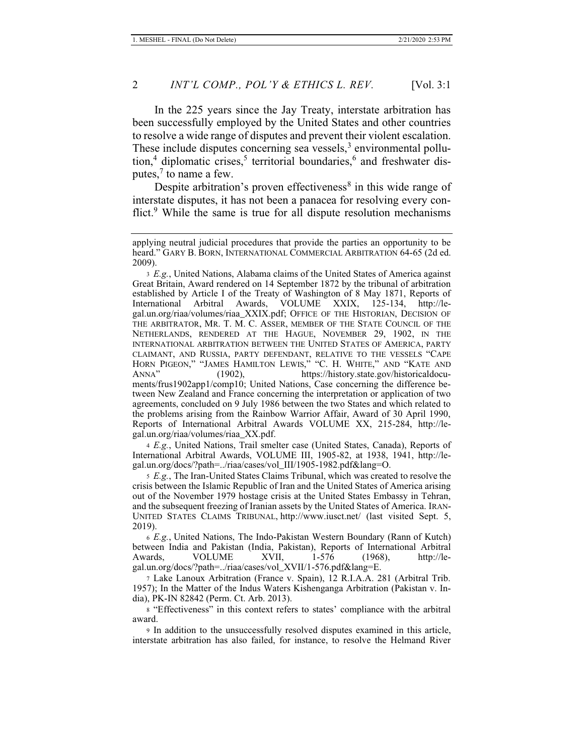In the 225 years since the Jay Treaty, interstate arbitration has been successfully employed by the United States and other countries to resolve a wide range of disputes and prevent their violent escalation. These include disputes concerning sea vessels,<sup>3</sup> environmental pollution,<sup>4</sup> diplomatic crises,<sup>5</sup> territorial boundaries,<sup>6</sup> and freshwater disputes, $7$  to name a few.

Despite arbitration's proven effectiveness<sup>8</sup> in this wide range of interstate disputes, it has not been a panacea for resolving every conflict. $9$  While the same is true for all dispute resolution mechanisms

<sup>4</sup> *E.g.*, United Nations, Trail smelter case (United States, Canada), Reports of International Arbitral Awards, VOLUME III, 1905-82, at 1938, 1941, http://legal.un.org/docs/?path=../riaa/cases/vol\_III/1905-1982.pdf&lang=O.

<sup>5</sup> *E.g.*, The Iran-United States Claims Tribunal, which was created to resolve the crisis between the Islamic Republic of Iran and the United States of America arising out of the November 1979 hostage crisis at the United States Embassy in Tehran, and the subsequent freezing of Iranian assets by the United States of America. IRAN-UNITED STATES CLAIMS TRIBUNAL, http://www.iusct.net/ (last visited Sept. 5, 2019).

<sup>6</sup> *E.g.*, United Nations, The Indo-Pakistan Western Boundary (Rann of Kutch) between India and Pakistan (India, Pakistan), Reports of International Arbitral VOLUME XVII,  $1-576$  (1968), http://legal.un.org/docs/?path=../riaa/cases/vol\_XVII/1-576.pdf&lang=E.

7 Lake Lanoux Arbitration (France v. Spain), 12 R.I.A.A. 281 (Arbitral Trib. 1957); In the Matter of the Indus Waters Kishenganga Arbitration (Pakistan v. India), PK-IN 82842 (Perm. Ct. Arb. 2013).

<sup>8</sup> "Effectiveness" in this context refers to states' compliance with the arbitral award.

9 In addition to the unsuccessfully resolved disputes examined in this article, interstate arbitration has also failed, for instance, to resolve the Helmand River

applying neutral judicial procedures that provide the parties an opportunity to be heard." GARY B. BORN, INTERNATIONAL COMMERCIAL ARBITRATION 64-65 (2d ed. 2009).

<sup>3</sup> *E.g.*, United Nations, Alabama claims of the United States of America against Great Britain, Award rendered on 14 September 1872 by the tribunal of arbitration established by Article I of the Treaty of Washington of 8 May 1871, Reports of International Arbitral Awards, VOLUME XXIX, 125-134, http://legal.un.org/riaa/volumes/riaa\_XXIX.pdf; OFFICE OF THE HISTORIAN, DECISION OF THE ARBITRATOR, MR. T. M. C. ASSER, MEMBER OF THE STATE COUNCIL OF THE NETHERLANDS, RENDERED AT THE HAGUE, NOVEMBER 29, 1902, IN THE INTERNATIONAL ARBITRATION BETWEEN THE UNITED STATES OF AMERICA, PARTY CLAIMANT, AND RUSSIA, PARTY DEFENDANT, RELATIVE TO THE VESSELS "CAPE HORN PIGEON," "JAMES HAMILTON LEWIS," "C. H. WHITE," AND "KATE AND ANNA" (1902), https://history.state.gov/historicaldocuments/frus1902app1/comp10; United Nations, Case concerning the difference between New Zealand and France concerning the interpretation or application of two agreements, concluded on 9 July 1986 between the two States and which related to the problems arising from the Rainbow Warrior Affair, Award of 30 April 1990, Reports of International Arbitral Awards VOLUME XX, 215-284, http://legal.un.org/riaa/volumes/riaa\_XX.pdf.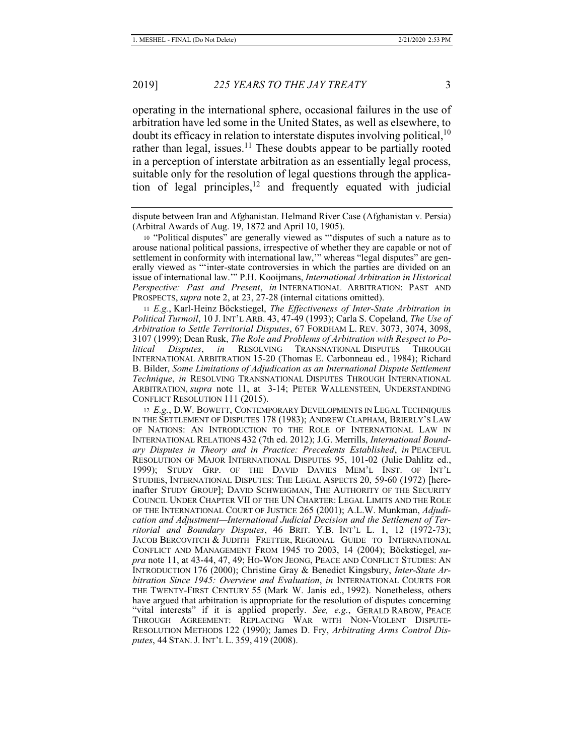operating in the international sphere, occasional failures in the use of arbitration have led some in the United States, as well as elsewhere, to doubt its efficacy in relation to interstate disputes involving political,<sup>10</sup> rather than legal, issues.<sup>11</sup> These doubts appear to be partially rooted in a perception of interstate arbitration as an essentially legal process, suitable only for the resolution of legal questions through the application of legal principles, $12$  and frequently equated with judicial

<sup>11</sup> *E.g.*, Karl-Heinz Böckstiegel, *The Effectiveness of Inter-State Arbitration in Political Turmoil*, 10 J. INT'L ARB. 43, 47-49 (1993); Carla S. Copeland, *The Use of Arbitration to Settle Territorial Disputes*, 67 FORDHAM L. REV. 3073, 3074, 3098, 3107 (1999); Dean Rusk, *The Role and Problems of Arbitration with Respect to Political Disputes*, *in* RESOLVING TRANSNATIONAL DISPUTES THROUGH INTERNATIONAL ARBITRATION 15-20 (Thomas E. Carbonneau ed., 1984); Richard B. Bilder, *Some Limitations of Adjudication as an International Dispute Settlement Technique*, *in* RESOLVING TRANSNATIONAL DISPUTES THROUGH INTERNATIONAL ARBITRATION, *supra* note 11, at 3-14; PETER WALLENSTEEN, UNDERSTANDING CONFLICT RESOLUTION 111 (2015).

<sup>12</sup> *E.g.*, D.W. BOWETT, CONTEMPORARY DEVELOPMENTS IN LEGAL TECHNIQUES IN THE SETTLEMENT OF DISPUTES 178 (1983); ANDREW CLAPHAM, BRIERLY'S LAW OF NATIONS: AN INTRODUCTION TO THE ROLE OF INTERNATIONAL LAW IN INTERNATIONAL RELATIONS 432 (7th ed. 2012); J.G. Merrills, *International Boundary Disputes in Theory and in Practice: Precedents Established*, *in* PEACEFUL RESOLUTION OF MAJOR INTERNATIONAL DISPUTES 95, 101-02 (Julie Dahlitz ed., 1999); STUDY GRP. OF THE DAVID DAVIES MEM'L INST. OF INT'L STUDIES, INTERNATIONAL DISPUTES: THE LEGAL ASPECTS 20, 59-60 (1972) [hereinafter STUDY GROUP]; DAVID SCHWEIGMAN, THE AUTHORITY OF THE SECURITY COUNCIL UNDER CHAPTER VII OF THE UN CHARTER: LEGAL LIMITS AND THE ROLE OF THE INTERNATIONAL COURT OF JUSTICE 265 (2001); A.L.W. Munkman, *Adjudication and Adjustment—International Judicial Decision and the Settlement of Territorial and Boundary Disputes*, 46 BRIT. Y.B. INT'L L. 1, 12 (1972-73); JACOB BERCOVITCH & JUDITH FRETTER, REGIONAL GUIDE TO INTERNATIONAL CONFLICT AND MANAGEMENT FROM 1945 TO 2003, 14 (2004); Böckstiegel*, supra* note 11, at 43-44, 47, 49; HO-WON JEONG, PEACE AND CONFLICT STUDIES: AN INTRODUCTION 176 (2000); Christine Gray & Benedict Kingsbury, *Inter-State Arbitration Since 1945: Overview and Evaluation*, *in* INTERNATIONAL COURTS FOR THE TWENTY-FIRST CENTURY 55 (Mark W. Janis ed., 1992). Nonetheless, others have argued that arbitration is appropriate for the resolution of disputes concerning "vital interests" if it is applied properly. *See, e.g.*, GERALD RABOW, PEACE THROUGH AGREEMENT: REPLACING WAR WITH NON-VIOLENT DISPUTE-RESOLUTION METHODS 122 (1990); James D. Fry, *Arbitrating Arms Control Disputes*, 44 STAN. J. INT'L L. 359, 419 (2008).

dispute between Iran and Afghanistan. Helmand River Case (Afghanistan v. Persia) (Arbitral Awards of Aug. 19, 1872 and April 10, 1905).

<sup>10</sup> "Political disputes" are generally viewed as "'disputes of such a nature as to arouse national political passions, irrespective of whether they are capable or not of settlement in conformity with international law," whereas "legal disputes" are generally viewed as "'inter-state controversies in which the parties are divided on an issue of international law.'" P.H. Kooijmans, *International Arbitration in Historical Perspective: Past and Present*, *in* INTERNATIONAL ARBITRATION: PAST AND PROSPECTS, *supra* note 2, at 23, 27-28 (internal citations omitted).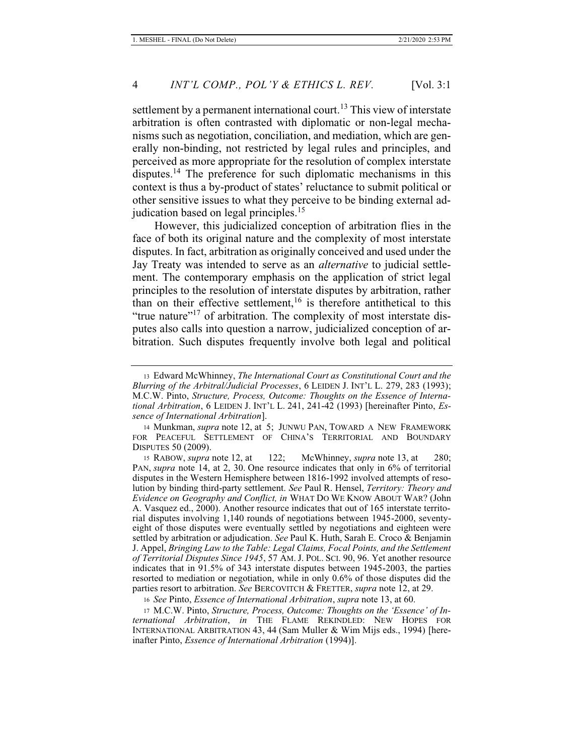settlement by a permanent international court.<sup>13</sup> This view of interstate arbitration is often contrasted with diplomatic or non-legal mechanisms such as negotiation, conciliation, and mediation, which are generally non-binding, not restricted by legal rules and principles, and perceived as more appropriate for the resolution of complex interstate disputes.<sup>14</sup> The preference for such diplomatic mechanisms in this context is thus a by-product of states' reluctance to submit political or other sensitive issues to what they perceive to be binding external adjudication based on legal principles.<sup>15</sup>

However, this judicialized conception of arbitration flies in the face of both its original nature and the complexity of most interstate disputes. In fact, arbitration as originally conceived and used under the Jay Treaty was intended to serve as an *alternative* to judicial settlement. The contemporary emphasis on the application of strict legal principles to the resolution of interstate disputes by arbitration, rather than on their effective settlement,  $16$  is therefore antithetical to this "true nature"<sup>17</sup> of arbitration. The complexity of most interstate disputes also calls into question a narrow, judicialized conception of arbitration. Such disputes frequently involve both legal and political

<sup>13</sup> Edward McWhinney, *The International Court as Constitutional Court and the Blurring of the Arbitral/Judicial Processes*, 6 LEIDEN J. INT'L L. 279, 283 (1993); M.C.W. Pinto, *Structure, Process, Outcome: Thoughts on the Essence of International Arbitration*, 6 LEIDEN J. INT'L L. 241, 241-42 (1993) [hereinafter Pinto, *Essence of International Arbitration*].

<sup>14</sup> Munkman, *supra* note 12, at 5; JUNWU PAN, TOWARD A NEW FRAMEWORK FOR PEACEFUL SETTLEMENT OF CHINA'S TERRITORIAL AND BOUNDARY DISPUTES 50 (2009).

<sup>15</sup> RABOW, *supra* note 12, at 122; McWhinney, *supra* note 13, at 280; PAN, *supra* note 14, at 2, 30. One resource indicates that only in 6% of territorial disputes in the Western Hemisphere between 1816-1992 involved attempts of resolution by binding third-party settlement. *See* Paul R. Hensel, *Territory: Theory and Evidence on Geography and Conflict, in* WHAT DO WE KNOW ABOUT WAR? (John A. Vasquez ed., 2000). Another resource indicates that out of 165 interstate territorial disputes involving 1,140 rounds of negotiations between 1945-2000, seventyeight of those disputes were eventually settled by negotiations and eighteen were settled by arbitration or adjudication. *See* Paul K. Huth, Sarah E. Croco & Benjamin J. Appel, *Bringing Law to the Table: Legal Claims, Focal Points, and the Settlement of Territorial Disputes Since 1945*, 57 AM. J. POL. SCI. 90, 96. Yet another resource indicates that in 91.5% of 343 interstate disputes between 1945-2003, the parties resorted to mediation or negotiation, while in only 0.6% of those disputes did the parties resort to arbitration. *See* BERCOVITCH & FRETTER, *supra* note 12, at 29.

<sup>16</sup> *See* Pinto, *Essence of International Arbitration*, *supra* note 13, at 60.

<sup>17</sup> M.C.W. Pinto, *Structure, Process, Outcome: Thoughts on the 'Essence' of International Arbitration*, *in* THE FLAME REKINDLED: NEW HOPES FOR INTERNATIONAL ARBITRATION 43, 44 (Sam Muller & Wim Mijs eds., 1994) [hereinafter Pinto, *Essence of International Arbitration* (1994)].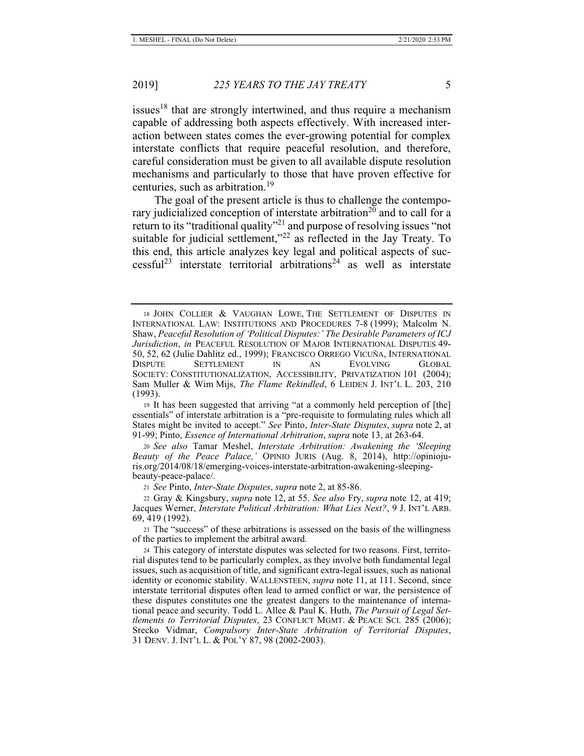issues<sup>18</sup> that are strongly intertwined, and thus require a mechanism capable of addressing both aspects effectively. With increased interaction between states comes the ever-growing potential for complex interstate conflicts that require peaceful resolution, and therefore, careful consideration must be given to all available dispute resolution mechanisms and particularly to those that have proven effective for centuries, such as arbitration.<sup>19</sup>

The goal of the present article is thus to challenge the contemporary judicialized conception of interstate arbitration<sup>20</sup> and to call for a return to its "traditional quality"<sup>21</sup> and purpose of resolving issues "not suitable for judicial settlement," $^{22}$  as reflected in the Jay Treaty. To this end, this article analyzes key legal and political aspects of successful<sup>23</sup> interstate territorial arbitrations<sup>24</sup> as well as interstate

<sup>21</sup> *See* Pinto, *Inter-State Disputes*, *supra* note 2, at 85-86.

<sup>18</sup> JOHN COLLIER & VAUGHAN LOWE, THE SETTLEMENT OF DISPUTES IN INTERNATIONAL LAW: INSTITUTIONS AND PROCEDURES 7-8 (1999); Malcolm N. Shaw, *Peaceful Resolution of 'Political Disputes:' The Desirable Parameters of ICJ Jurisdiction*, *in* PEACEFUL RESOLUTION OF MAJOR INTERNATIONAL DISPUTES 49- 50, 52, 62 (Julie Dahlitz ed., 1999); FRANCISCO ORREGO VICUÑA, INTERNATIONAL DISPUTE SETTLEMENT IN AN EVOLVING GLOBAL SOCIETY: CONSTITUTIONALIZATION, ACCESSIBILITY, PRIVATIZATION 101 (2004); Sam Muller & Wim Mijs, *The Flame Rekindled*, 6 LEIDEN J. INT'L L. 203, 210 (1993).

<sup>19</sup> It has been suggested that arriving "at a commonly held perception of [the] essentials" of interstate arbitration is a "pre-requisite to formulating rules which all States might be invited to accept." *See* Pinto, *Inter-State Disputes*, *supra* note 2, at 91-99; Pinto, *Essence of International Arbitration*, *supra* note 13, at 263-64.

<sup>20</sup> *See also* Tamar Meshel, *Interstate Arbitration: Awakening the 'Sleeping Beauty of the Peace Palace,'* OPINIO JURIS (Aug. 8, 2014), http://opiniojuris.org/2014/08/18/emerging-voices-interstate-arbitration-awakening-sleepingbeauty-peace-palace/.

<sup>22</sup> Gray & Kingsbury, *supra* note 12, at 55. *See also* Fry, *supra* note 12, at 419; Jacques Werner, *Interstate Political Arbitration: What Lies Next?*, 9 J. INT'L ARB. 69, 419 (1992).

<sup>23</sup> The "success" of these arbitrations is assessed on the basis of the willingness of the parties to implement the arbitral award.

<sup>24</sup> This category of interstate disputes was selected for two reasons. First, territorial disputes tend to be particularly complex, as they involve both fundamental legal issues, such as acquisition of title, and significant extra-legal issues, such as national identity or economic stability. WALLENSTEEN, *supra* note 11, at 111. Second, since interstate territorial disputes often lead to armed conflict or war, the persistence of these disputes constitutes one the greatest dangers to the maintenance of international peace and security. Todd L. Allee & Paul K. Huth, *The Pursuit of Legal Settlements to Territorial Disputes*, 23 CONFLICT MGMT. & PEACE SCI. 285 (2006); Srecko Vidmar, *Compulsory Inter-State Arbitration of Territorial Disputes*, 31 DENV. J. INT'L L. & POL'Y 87, 98 (2002-2003).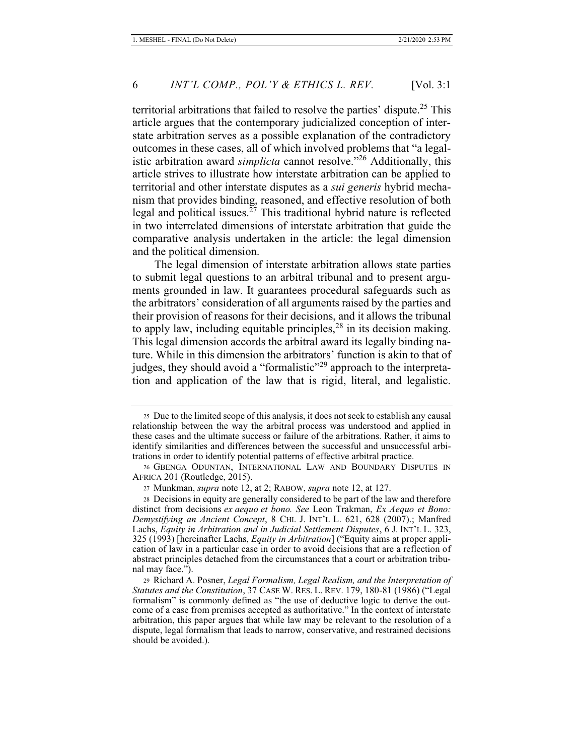territorial arbitrations that failed to resolve the parties' dispute.<sup>25</sup> This article argues that the contemporary judicialized conception of interstate arbitration serves as a possible explanation of the contradictory outcomes in these cases, all of which involved problems that "a legalistic arbitration award *simplicta* cannot resolve."26 Additionally, this article strives to illustrate how interstate arbitration can be applied to territorial and other interstate disputes as a *sui generis* hybrid mechanism that provides binding, reasoned, and effective resolution of both legal and political issues.<sup>27</sup> This traditional hybrid nature is reflected in two interrelated dimensions of interstate arbitration that guide the comparative analysis undertaken in the article: the legal dimension and the political dimension.

The legal dimension of interstate arbitration allows state parties to submit legal questions to an arbitral tribunal and to present arguments grounded in law. It guarantees procedural safeguards such as the arbitrators' consideration of all arguments raised by the parties and their provision of reasons for their decisions, and it allows the tribunal to apply law, including equitable principles, $^{28}$  in its decision making. This legal dimension accords the arbitral award its legally binding nature. While in this dimension the arbitrators' function is akin to that of judges, they should avoid a "formalistic"<sup>29</sup> approach to the interpretation and application of the law that is rigid, literal, and legalistic.

<sup>25</sup> Due to the limited scope of this analysis, it does not seek to establish any causal relationship between the way the arbitral process was understood and applied in these cases and the ultimate success or failure of the arbitrations. Rather, it aims to identify similarities and differences between the successful and unsuccessful arbitrations in order to identify potential patterns of effective arbitral practice.

<sup>26</sup> GBENGA ODUNTAN, INTERNATIONAL LAW AND BOUNDARY DISPUTES IN AFRICA 201 (Routledge, 2015).

<sup>27</sup> Munkman, *supra* note 12, at 2; RABOW, *supra* note 12, at 127.

<sup>28</sup> Decisions in equity are generally considered to be part of the law and therefore distinct from decisions *ex aequo et bono. See* Leon Trakman, *Ex Aequo et Bono: Demystifying an Ancient Concept*, 8 CHI. J. INT'L L. 621, 628 (2007).; Manfred Lachs, *Equity in Arbitration and in Judicial Settlement Disputes*, 6 J. INT'L L. 323, 325 (1993) [hereinafter Lachs, *Equity in Arbitration*] ("Equity aims at proper application of law in a particular case in order to avoid decisions that are a reflection of abstract principles detached from the circumstances that a court or arbitration tribunal may face.").

<sup>29</sup> Richard A. Posner, *Legal Formalism, Legal Realism, and the Interpretation of Statutes and the Constitution*, 37 CASE W. RES. L. REV. 179, 180-81 (1986) ("Legal formalism" is commonly defined as "the use of deductive logic to derive the outcome of a case from premises accepted as authoritative." In the context of interstate arbitration, this paper argues that while law may be relevant to the resolution of a dispute, legal formalism that leads to narrow, conservative, and restrained decisions should be avoided.).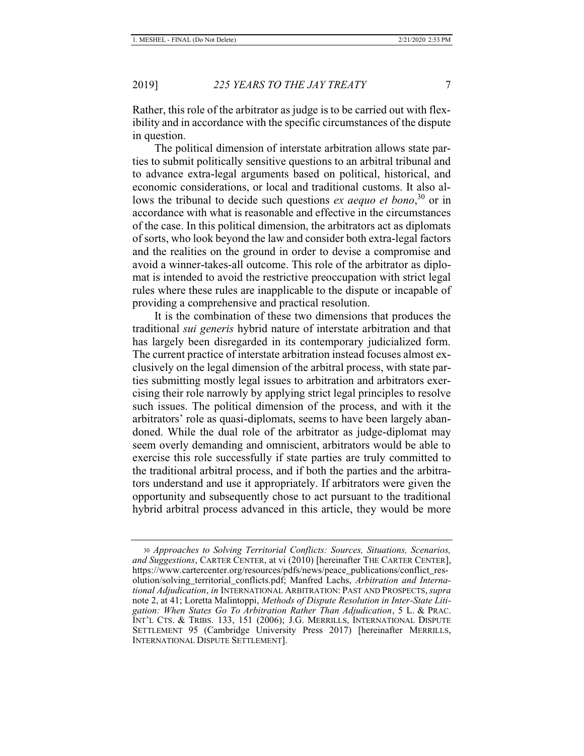Rather, this role of the arbitrator as judge is to be carried out with flexibility and in accordance with the specific circumstances of the dispute in question.

The political dimension of interstate arbitration allows state parties to submit politically sensitive questions to an arbitral tribunal and to advance extra-legal arguments based on political, historical, and economic considerations, or local and traditional customs. It also allows the tribunal to decide such questions *ex aequo et bono*, <sup>30</sup> or in accordance with what is reasonable and effective in the circumstances of the case. In this political dimension, the arbitrators act as diplomats of sorts, who look beyond the law and consider both extra-legal factors and the realities on the ground in order to devise a compromise and avoid a winner-takes-all outcome. This role of the arbitrator as diplomat is intended to avoid the restrictive preoccupation with strict legal rules where these rules are inapplicable to the dispute or incapable of providing a comprehensive and practical resolution.

It is the combination of these two dimensions that produces the traditional *sui generis* hybrid nature of interstate arbitration and that has largely been disregarded in its contemporary judicialized form. The current practice of interstate arbitration instead focuses almost exclusively on the legal dimension of the arbitral process, with state parties submitting mostly legal issues to arbitration and arbitrators exercising their role narrowly by applying strict legal principles to resolve such issues. The political dimension of the process, and with it the arbitrators' role as quasi-diplomats, seems to have been largely abandoned. While the dual role of the arbitrator as judge-diplomat may seem overly demanding and omniscient, arbitrators would be able to exercise this role successfully if state parties are truly committed to the traditional arbitral process, and if both the parties and the arbitrators understand and use it appropriately. If arbitrators were given the opportunity and subsequently chose to act pursuant to the traditional hybrid arbitral process advanced in this article, they would be more

<sup>30</sup> *Approaches to Solving Territorial Conflicts: Sources, Situations, Scenarios, and Suggestions*, CARTER CENTER, at vi (2010) [hereinafter THE CARTER CENTER], https://www.cartercenter.org/resources/pdfs/news/peace\_publications/conflict\_resolution/solving\_territorial\_conflicts.pdf; Manfred Lachs, *Arbitration and International Adjudication*, *in* INTERNATIONAL ARBITRATION: PAST AND PROSPECTS,*supra* note 2, at 41; Loretta Malintoppi, *Methods of Dispute Resolution in Inter-State Litigation: When States Go To Arbitration Rather Than Adjudication*, 5 L. & PRAC. INT'L CTS. & TRIBS. 133, 151 (2006); J.G. MERRILLS, INTERNATIONAL DISPUTE SETTLEMENT 95 (Cambridge University Press 2017) [hereinafter MERRILLS, INTERNATIONAL DISPUTE SETTLEMENT].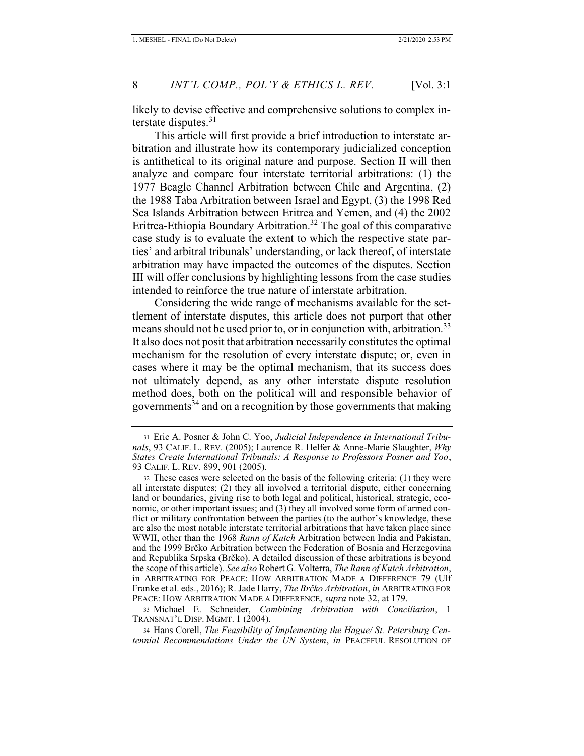likely to devise effective and comprehensive solutions to complex interstate disputes. $31$ 

This article will first provide a brief introduction to interstate arbitration and illustrate how its contemporary judicialized conception is antithetical to its original nature and purpose. Section II will then analyze and compare four interstate territorial arbitrations: (1) the 1977 Beagle Channel Arbitration between Chile and Argentina, (2) the 1988 Taba Arbitration between Israel and Egypt, (3) the 1998 Red Sea Islands Arbitration between Eritrea and Yemen, and (4) the 2002 Eritrea-Ethiopia Boundary Arbitration.<sup>32</sup> The goal of this comparative case study is to evaluate the extent to which the respective state parties' and arbitral tribunals' understanding, or lack thereof, of interstate arbitration may have impacted the outcomes of the disputes. Section III will offer conclusions by highlighting lessons from the case studies intended to reinforce the true nature of interstate arbitration.

Considering the wide range of mechanisms available for the settlement of interstate disputes, this article does not purport that other means should not be used prior to, or in conjunction with, arbitration.<sup>33</sup> It also does not posit that arbitration necessarily constitutes the optimal mechanism for the resolution of every interstate dispute; or, even in cases where it may be the optimal mechanism, that its success does not ultimately depend, as any other interstate dispute resolution method does, both on the political will and responsible behavior of governments<sup>34</sup> and on a recognition by those governments that making

33 Michael E. Schneider, *Combining Arbitration with Conciliation*, 1 TRANSNAT'L DISP. MGMT. 1 (2004).

<sup>31</sup> Eric A. Posner & John C. Yoo, *Judicial Independence in International Tribunals*, 93 CALIF. L. REV. (2005); Laurence R. Helfer & Anne-Marie Slaughter, *Why States Create International Tribunals: A Response to Professors Posner and Yoo*, 93 CALIF. L. REV. 899, 901 (2005).

<sup>32</sup> These cases were selected on the basis of the following criteria: (1) they were all interstate disputes; (2) they all involved a territorial dispute, either concerning land or boundaries, giving rise to both legal and political, historical, strategic, economic, or other important issues; and (3) they all involved some form of armed conflict or military confrontation between the parties (to the author's knowledge, these are also the most notable interstate territorial arbitrations that have taken place since WWII, other than the 1968 *Rann of Kutch* Arbitration between India and Pakistan, and the 1999 Brčko Arbitration between the Federation of Bosnia and Herzegovina and Republika Srpska (Brčko). A detailed discussion of these arbitrations is beyond the scope of this article). *See also* Robert G. Volterra, *The Rann of Kutch Arbitration*, in ARBITRATING FOR PEACE: HOW ARBITRATION MADE A DIFFERENCE 79 (Ulf Franke et al. eds., 2016); R. Jade Harry, *The Brčko Arbitration*, *in* ARBITRATING FOR PEACE: HOW ARBITRATION MADE A DIFFERENCE, *supra* note 32, at 179.

<sup>34</sup> Hans Corell, *The Feasibility of Implementing the Hague/ St. Petersburg Centennial Recommendations Under the UN System*, *in* PEACEFUL RESOLUTION OF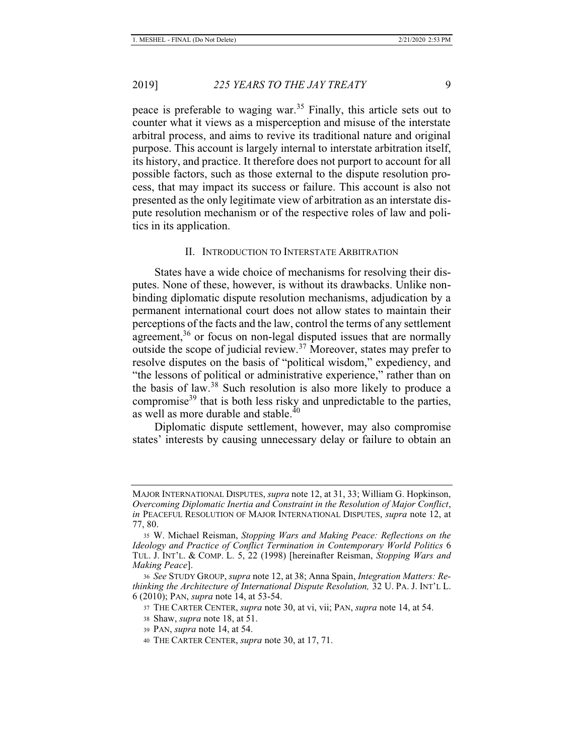peace is preferable to waging war.<sup>35</sup> Finally, this article sets out to counter what it views as a misperception and misuse of the interstate arbitral process, and aims to revive its traditional nature and original purpose. This account is largely internal to interstate arbitration itself, its history, and practice. It therefore does not purport to account for all possible factors, such as those external to the dispute resolution process, that may impact its success or failure. This account is also not presented as the only legitimate view of arbitration as an interstate dispute resolution mechanism or of the respective roles of law and politics in its application.

#### II. INTRODUCTION TO INTERSTATE ARBITRATION

States have a wide choice of mechanisms for resolving their disputes. None of these, however, is without its drawbacks. Unlike nonbinding diplomatic dispute resolution mechanisms, adjudication by a permanent international court does not allow states to maintain their perceptions of the facts and the law, control the terms of any settlement agreement,<sup>36</sup> or focus on non-legal disputed issues that are normally outside the scope of judicial review.<sup>37</sup> Moreover, states may prefer to resolve disputes on the basis of "political wisdom," expediency, and "the lessons of political or administrative experience," rather than on the basis of law.38 Such resolution is also more likely to produce a compromise<sup>39</sup> that is both less risky and unpredictable to the parties, as well as more durable and stable.<sup>40</sup>

Diplomatic dispute settlement, however, may also compromise states' interests by causing unnecessary delay or failure to obtain an

MAJOR INTERNATIONAL DISPUTES, *supra* note 12, at 31, 33; William G. Hopkinson, *Overcoming Diplomatic Inertia and Constraint in the Resolution of Major Conflict*, *in* PEACEFUL RESOLUTION OF MAJOR INTERNATIONAL DISPUTES, *supra* note 12, at 77, 80.

<sup>35</sup> W. Michael Reisman, *Stopping Wars and Making Peace: Reflections on the Ideology and Practice of Conflict Termination in Contemporary World Politics* 6 TUL. J. INT'L. & COMP. L. 5, 22 (1998) [hereinafter Reisman, *Stopping Wars and Making Peace*].

<sup>36</sup> *See* STUDY GROUP, *supra* note 12, at 38; Anna Spain, *Integration Matters: Rethinking the Architecture of International Dispute Resolution,* 32 U. PA. J. INT'L L. 6 (2010); PAN, *supra* note 14, at 53-54.

<sup>37</sup> THE CARTER CENTER, *supra* note 30, at vi, vii; PAN, *supra* note 14, at 54.

<sup>38</sup> Shaw, *supra* note 18, at 51.

<sup>39</sup> PAN, *supra* note 14, at 54.

<sup>40</sup> THE CARTER CENTER, *supra* note 30, at 17, 71.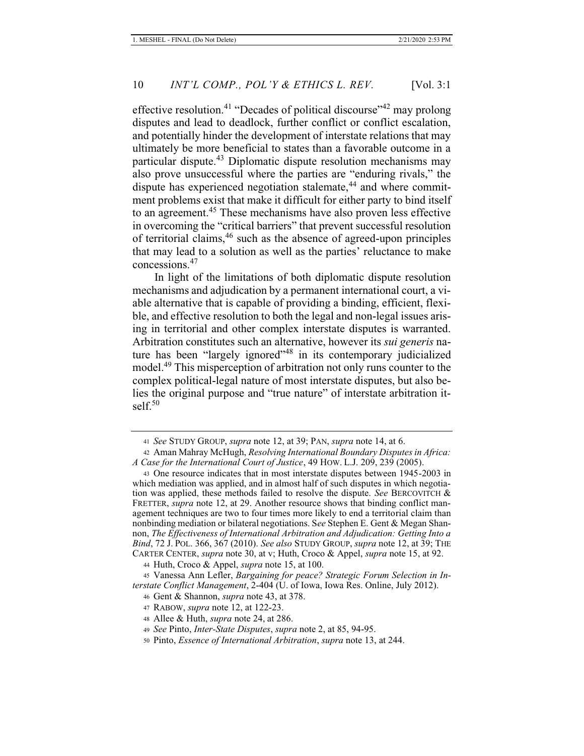effective resolution.<sup>41</sup> "Decades of political discourse"<sup>42</sup> may prolong disputes and lead to deadlock, further conflict or conflict escalation, and potentially hinder the development of interstate relations that may ultimately be more beneficial to states than a favorable outcome in a particular dispute.<sup>43</sup> Diplomatic dispute resolution mechanisms may also prove unsuccessful where the parties are "enduring rivals," the dispute has experienced negotiation stalemate, $44$  and where commitment problems exist that make it difficult for either party to bind itself to an agreement.<sup>45</sup> These mechanisms have also proven less effective in overcoming the "critical barriers" that prevent successful resolution of territorial claims,46 such as the absence of agreed-upon principles that may lead to a solution as well as the parties' reluctance to make concessions.<sup>47</sup>

In light of the limitations of both diplomatic dispute resolution mechanisms and adjudication by a permanent international court, a viable alternative that is capable of providing a binding, efficient, flexible, and effective resolution to both the legal and non-legal issues arising in territorial and other complex interstate disputes is warranted. Arbitration constitutes such an alternative, however its *sui generis* nature has been "largely ignored"<sup>48</sup> in its contemporary judicialized model.<sup>49</sup> This misperception of arbitration not only runs counter to the complex political-legal nature of most interstate disputes, but also belies the original purpose and "true nature" of interstate arbitration itsel $f<sub>50</sub>$ 

<sup>41</sup> *See* STUDY GROUP, *supra* note 12, at 39; PAN, *supra* note 14, at 6.

<sup>42</sup> Aman Mahray McHugh, *Resolving International Boundary Disputes in Africa: A Case for the International Court of Justice*, 49 HOW. L.J. 209, 239 (2005).

<sup>43</sup> One resource indicates that in most interstate disputes between 1945-2003 in which mediation was applied, and in almost half of such disputes in which negotiation was applied, these methods failed to resolve the dispute. *See* BERCOVITCH & FRETTER, *supra* note 12, at 29. Another resource shows that binding conflict management techniques are two to four times more likely to end a territorial claim than nonbinding mediation or bilateral negotiations. S*ee* Stephen E. Gent & Megan Shannon, *The Effectiveness of International Arbitration and Adjudication: Getting Into a Bind*, 72 J. POL. 366, 367 (2010). *See also* STUDY GROUP, *supra* note 12, at 39; THE CARTER CENTER, *supra* note 30, at v; Huth, Croco & Appel, *supra* note 15, at 92.

<sup>44</sup> Huth, Croco & Appel, *supra* note 15, at 100.

<sup>45</sup> Vanessa Ann Lefler, *Bargaining for peace? Strategic Forum Selection in Interstate Conflict Management*, 2-404 (U. of Iowa, Iowa Res. Online, July 2012).

<sup>46</sup> Gent & Shannon, *supra* note 43, at 378.

<sup>47</sup> RABOW, *supra* note 12, at 122-23.

<sup>48</sup> Allee & Huth, *supra* note 24, at 286.

<sup>49</sup> *See* Pinto, *Inter-State Disputes*, *supra* note 2, at 85, 94-95.

<sup>50</sup> Pinto, *Essence of International Arbitration*, *supra* note 13, at 244.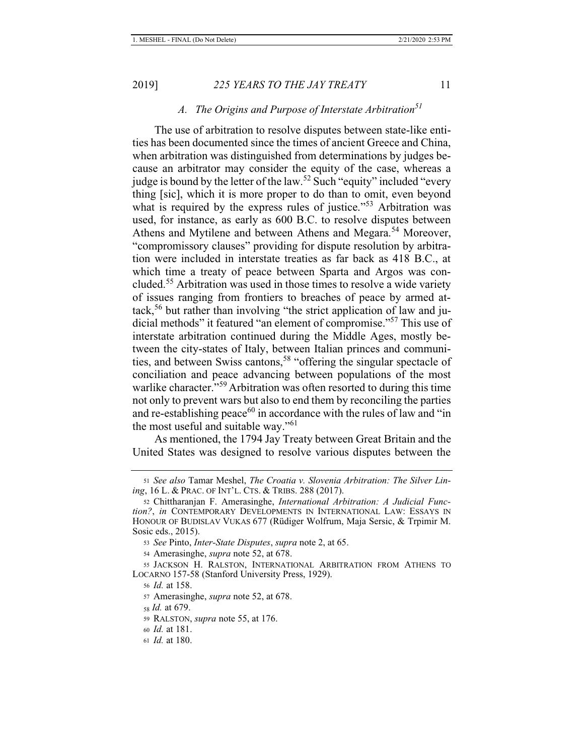# *A. The Origins and Purpose of Interstate Arbitration51*

The use of arbitration to resolve disputes between state-like entities has been documented since the times of ancient Greece and China, when arbitration was distinguished from determinations by judges because an arbitrator may consider the equity of the case, whereas a judge is bound by the letter of the law.<sup>52</sup> Such "equity" included "every thing [sic], which it is more proper to do than to omit, even beyond what is required by the express rules of justice."<sup>53</sup> Arbitration was used, for instance, as early as 600 B.C. to resolve disputes between Athens and Mytilene and between Athens and Megara.<sup>54</sup> Moreover, "compromissory clauses" providing for dispute resolution by arbitration were included in interstate treaties as far back as 418 B.C., at which time a treaty of peace between Sparta and Argos was concluded.55 Arbitration was used in those times to resolve a wide variety of issues ranging from frontiers to breaches of peace by armed attack,<sup>56</sup> but rather than involving "the strict application of law and judicial methods" it featured "an element of compromise."57 This use of interstate arbitration continued during the Middle Ages, mostly between the city-states of Italy, between Italian princes and communities, and between Swiss cantons,<sup>58</sup> "offering the singular spectacle of conciliation and peace advancing between populations of the most warlike character."<sup>59</sup> Arbitration was often resorted to during this time not only to prevent wars but also to end them by reconciling the parties and re-establishing peace<sup>60</sup> in accordance with the rules of law and "in the most useful and suitable way."<sup>61</sup>

As mentioned, the 1794 Jay Treaty between Great Britain and the United States was designed to resolve various disputes between the

<sup>51</sup> *See also* Tamar Meshel, *The Croatia v. Slovenia Arbitration: The Silver Lining*, 16 L. & PRAC. OF INT'L. CTS. & TRIBS. 288 (2017).

<sup>52</sup> Chittharanjan F. Amerasinghe, *International Arbitration: A Judicial Function?*, *in* CONTEMPORARY DEVELOPMENTS IN INTERNATIONAL LAW: ESSAYS IN HONOUR OF BUDISLAV VUKAS 677 (Rüdiger Wolfrum, Maja Sersic, & Trpimir M. Sosic eds., 2015).

<sup>53</sup> *See* Pinto, *Inter-State Disputes*, *supra* note 2, at 65.

<sup>54</sup> Amerasinghe, *supra* note 52, at 678.

<sup>55</sup> JACKSON H. RALSTON, INTERNATIONAL ARBITRATION FROM ATHENS TO LOCARNO 157-58 (Stanford University Press, 1929).

<sup>56</sup> *Id.* at 158.

<sup>57</sup> Amerasinghe, *supra* note 52, at 678.

<sup>58</sup> *Id.* at 679.

<sup>59</sup> RALSTON, *supra* note 55, at 176.

<sup>60</sup> *Id.* at 181.

<sup>61</sup> *Id.* at 180.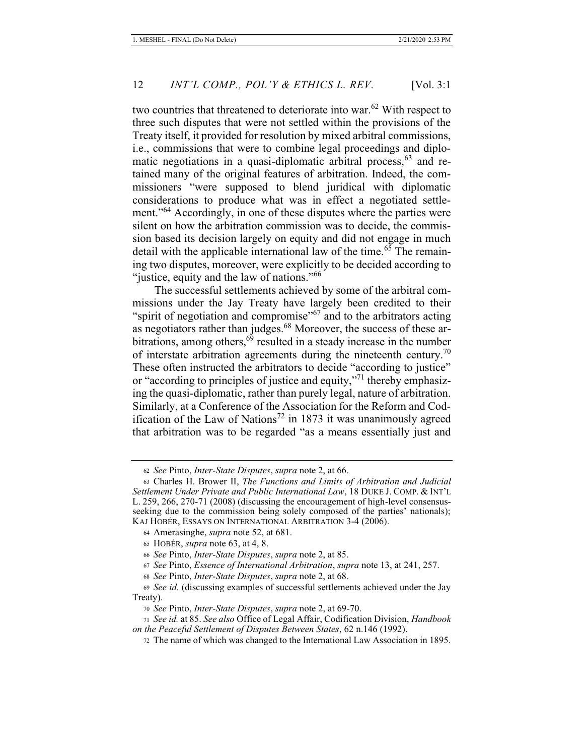two countries that threatened to deteriorate into war.<sup>62</sup> With respect to three such disputes that were not settled within the provisions of the Treaty itself, it provided for resolution by mixed arbitral commissions, i.e., commissions that were to combine legal proceedings and diplomatic negotiations in a quasi-diplomatic arbitral process,  $63$  and retained many of the original features of arbitration. Indeed, the commissioners "were supposed to blend juridical with diplomatic considerations to produce what was in effect a negotiated settlement."<sup>64</sup> Accordingly, in one of these disputes where the parties were silent on how the arbitration commission was to decide, the commission based its decision largely on equity and did not engage in much detail with the applicable international law of the time.<sup>65</sup> The remaining two disputes, moreover, were explicitly to be decided according to "justice, equity and the law of nations."<sup>66</sup>

The successful settlements achieved by some of the arbitral commissions under the Jay Treaty have largely been credited to their "spirit of negotiation and compromise"<sup>67</sup> and to the arbitrators acting as negotiators rather than judges.68 Moreover, the success of these arbitrations, among others,<sup>69</sup> resulted in a steady increase in the number of interstate arbitration agreements during the nineteenth century.<sup>70</sup> These often instructed the arbitrators to decide "according to justice" or "according to principles of justice and equity,"71 thereby emphasizing the quasi-diplomatic, rather than purely legal, nature of arbitration. Similarly, at a Conference of the Association for the Reform and Codification of the Law of Nations<sup>72</sup> in 1873 it was unanimously agreed that arbitration was to be regarded "as a means essentially just and

<sup>62</sup> *See* Pinto, *Inter-State Disputes*, *supra* note 2, at 66.

<sup>63</sup> Charles H. Brower II, *The Functions and Limits of Arbitration and Judicial Settlement Under Private and Public International Law*, 18 DUKE J. COMP. & INT'L L. 259, 266, 270-71 (2008) (discussing the encouragement of high-level consensusseeking due to the commission being solely composed of the parties' nationals); KAJ HOBÉR, ESSAYS ON INTERNATIONAL ARBITRATION 3-4 (2006).

<sup>64</sup> Amerasinghe, *supra* note 52, at 681.

<sup>65</sup> HOBÉR, *supra* note 63, at 4, 8.

<sup>66</sup> *See* Pinto, *Inter-State Disputes*, *supra* note 2, at 85.

<sup>67</sup> *See* Pinto, *Essence of International Arbitration*, *supra* note 13, at 241, 257.

<sup>68</sup> *See* Pinto, *Inter-State Disputes*, *supra* note 2, at 68.

<sup>69</sup> *See id.* (discussing examples of successful settlements achieved under the Jay Treaty).

<sup>70</sup> *See* Pinto, *Inter-State Disputes*, *supra* note 2, at 69-70.

<sup>71</sup> *See id.* at 85. *See also* Office of Legal Affair, Codification Division, *Handbook on the Peaceful Settlement of Disputes Between States*, 62 n.146 (1992).

<sup>72</sup> The name of which was changed to the International Law Association in 1895.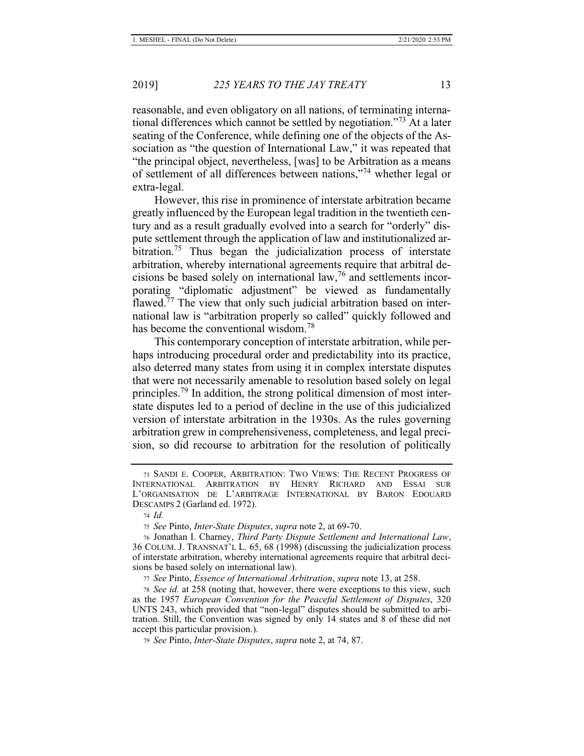reasonable, and even obligatory on all nations, of terminating international differences which cannot be settled by negotiation."73 At a later seating of the Conference, while defining one of the objects of the Association as "the question of International Law," it was repeated that "the principal object, nevertheless, [was] to be Arbitration as a means of settlement of all differences between nations,"74 whether legal or extra-legal.

However, this rise in prominence of interstate arbitration became greatly influenced by the European legal tradition in the twentieth century and as a result gradually evolved into a search for "orderly" dispute settlement through the application of law and institutionalized arbitration.<sup>75</sup> Thus began the judicialization process of interstate arbitration, whereby international agreements require that arbitral decisions be based solely on international law,76 and settlements incorporating "diplomatic adjustment" be viewed as fundamentally flawed.<sup>77</sup> The view that only such judicial arbitration based on international law is "arbitration properly so called" quickly followed and has become the conventional wisdom.<sup>78</sup>

This contemporary conception of interstate arbitration, while perhaps introducing procedural order and predictability into its practice, also deterred many states from using it in complex interstate disputes that were not necessarily amenable to resolution based solely on legal principles.<sup>79</sup> In addition, the strong political dimension of most interstate disputes led to a period of decline in the use of this judicialized version of interstate arbitration in the 1930s. As the rules governing arbitration grew in comprehensiveness, completeness, and legal precision, so did recourse to arbitration for the resolution of politically

<sup>73</sup> SANDI E. COOPER, ARBITRATION: TWO VIEWS: THE RECENT PROGRESS OF INTERNATIONAL ARBITRATION BY HENRY RICHARD AND ESSAI SUR L'ORGANISATION DE L'ARBITRAGE INTERNATIONAL BY BARON EDOUARD DESCAMPS 2 (Garland ed. 1972).

<sup>74</sup> *Id.*

<sup>75</sup> *See* Pinto, *Inter-State Disputes*, *supra* note 2, at 69-70.

<sup>76</sup> Jonathan I. Charney, *Third Party Dispute Settlement and International Law*, 36 COLUM. J. TRANSNAT'L L. 65, 68 (1998) (discussing the judicialization process of interstate arbitration, whereby international agreements require that arbitral decisions be based solely on international law).

<sup>77</sup> *See* Pinto, *Essence of International Arbitration*, *supra* note 13, at 258.

<sup>78</sup> *See id.* at 258 (noting that, however, there were exceptions to this view, such as the 1957 *European Convention for the Peaceful Settlement of Disputes*, 320 UNTS 243, which provided that "non-legal" disputes should be submitted to arbitration. Still, the Convention was signed by only 14 states and 8 of these did not accept this particular provision.).

<sup>79</sup> *See* Pinto, *Inter-State Disputes*, *supra* note 2, at 74, 87.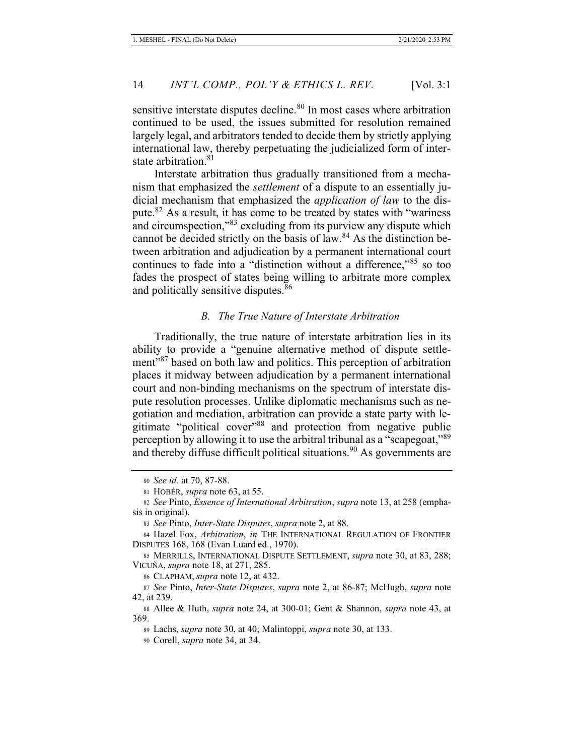sensitive interstate disputes decline.<sup>80</sup> In most cases where arbitration continued to be used, the issues submitted for resolution remained largely legal, and arbitrators tended to decide them by strictly applying international law, thereby perpetuating the judicialized form of interstate arbitration.<sup>81</sup>

Interstate arbitration thus gradually transitioned from a mechanism that emphasized the *settlement* of a dispute to an essentially judicial mechanism that emphasized the *application of law* to the dispute.<sup>82</sup> As a result, it has come to be treated by states with "wariness" and circumspection,"83 excluding from its purview any dispute which cannot be decided strictly on the basis of law. $84$  As the distinction between arbitration and adjudication by a permanent international court continues to fade into a "distinction without a difference,"85 so too fades the prospect of states being willing to arbitrate more complex and politically sensitive disputes.<sup>86</sup>

#### *B. The True Nature of Interstate Arbitration*

Traditionally, the true nature of interstate arbitration lies in its ability to provide a "genuine alternative method of dispute settlement"87 based on both law and politics. This perception of arbitration places it midway between adjudication by a permanent international court and non-binding mechanisms on the spectrum of interstate dispute resolution processes. Unlike diplomatic mechanisms such as negotiation and mediation, arbitration can provide a state party with legitimate "political cover"88 and protection from negative public perception by allowing it to use the arbitral tribunal as a "scapegoat,"<sup>89</sup> and thereby diffuse difficult political situations.<sup>90</sup> As governments are

<sup>80</sup> *See id.* at 70, 87-88.

<sup>81</sup> HOBÉR, *supra* note 63, at 55.

<sup>82</sup> *See* Pinto, *Essence of International Arbitration*, *supra* note 13, at 258 (emphasis in original).

<sup>83</sup> *See* Pinto, *Inter-State Disputes*, *supra* note 2, at 88.

<sup>84</sup> Hazel Fox, *Arbitration*, *in* THE INTERNATIONAL REGULATION OF FRONTIER DISPUTES 168, 168 (Evan Luard ed., 1970).

<sup>85</sup> MERRILLS, INTERNATIONAL DISPUTE SETTLEMENT, *supra* note 30, at 83, 288; VICUÑA, *supra* note 18, at 271, 285.

<sup>86</sup> CLAPHAM, *supra* note 12, at 432.

<sup>87</sup> *See* Pinto, *Inter-State Disputes*, *supra* note 2, at 86-87; McHugh, *supra* note 42, at 239.

<sup>88</sup> Allee & Huth, *supra* note 24, at 300-01; Gent & Shannon, *supra* note 43, at 369.

<sup>89</sup> Lachs, *supra* note 30, at 40; Malintoppi, *supra* note 30, at 133.

<sup>90</sup> Corell, *supra* note 34, at 34.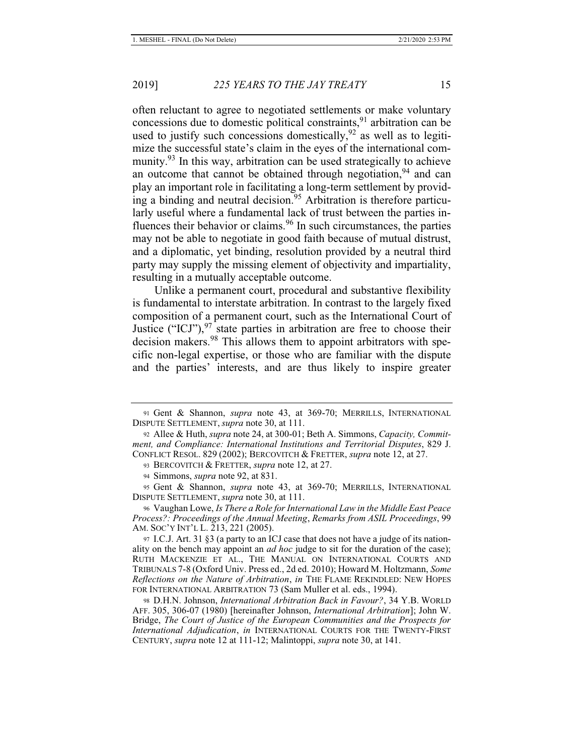often reluctant to agree to negotiated settlements or make voluntary concessions due to domestic political constraints,<sup>91</sup> arbitration can be used to justify such concessions domestically,  $92$  as well as to legitimize the successful state's claim in the eyes of the international community. $93$  In this way, arbitration can be used strategically to achieve an outcome that cannot be obtained through negotiation,  $94$  and can play an important role in facilitating a long-term settlement by providing a binding and neutral decision.<sup>95</sup> Arbitration is therefore particularly useful where a fundamental lack of trust between the parties influences their behavior or claims. $96$  In such circumstances, the parties may not be able to negotiate in good faith because of mutual distrust, and a diplomatic, yet binding, resolution provided by a neutral third party may supply the missing element of objectivity and impartiality, resulting in a mutually acceptable outcome.

Unlike a permanent court, procedural and substantive flexibility is fundamental to interstate arbitration. In contrast to the largely fixed composition of a permanent court, such as the International Court of Justice ("ICJ"),  $97$  state parties in arbitration are free to choose their decision makers.<sup>98</sup> This allows them to appoint arbitrators with specific non-legal expertise, or those who are familiar with the dispute and the parties' interests, and are thus likely to inspire greater

96 Vaughan Lowe, *Is There a Role for International Law in the Middle East Peace Process?: Proceedings of the Annual Meeting*, *Remarks from ASIL Proceedings*, 99 AM. SOC'Y INT'L L. 213, 221 (2005).

<sup>91</sup> Gent & Shannon, *supra* note 43, at 369-70; MERRILLS, INTERNATIONAL DISPUTE SETTLEMENT, *supra* note 30, at 111.

<sup>92</sup> Allee & Huth, *supra* note 24, at 300-01; Beth A. Simmons, *Capacity, Commitment, and Compliance: International Institutions and Territorial Disputes*, 829 J. CONFLICT RESOL. 829 (2002); BERCOVITCH & FRETTER, *supra* note 12, at 27.

<sup>93</sup> BERCOVITCH & FRETTER, *supra* note 12, at 27.

<sup>94</sup> Simmons, *supra* note 92, at 831.

<sup>95</sup> Gent & Shannon, *supra* note 43, at 369-70; MERRILLS, INTERNATIONAL DISPUTE SETTLEMENT, *supra* note 30, at 111.

<sup>97</sup> I.C.J. Art. 31 §3 (a party to an ICJ case that does not have a judge of its nationality on the bench may appoint an *ad hoc* judge to sit for the duration of the case); RUTH MACKENZIE ET AL., THE MANUAL ON INTERNATIONAL COURTS AND TRIBUNALS 7-8 (Oxford Univ. Press ed., 2d ed. 2010); Howard M. Holtzmann, *Some Reflections on the Nature of Arbitration*, *in* THE FLAME REKINDLED: NEW HOPES FOR INTERNATIONAL ARBITRATION 73 (Sam Muller et al. eds., 1994).

<sup>98</sup> D.H.N. Johnson, *International Arbitration Back in Favour?*, 34 Y.B. WORLD AFF. 305, 306-07 (1980) [hereinafter Johnson, *International Arbitration*]; John W. Bridge, *The Court of Justice of the European Communities and the Prospects for International Adjudication*, *in* INTERNATIONAL COURTS FOR THE TWENTY-FIRST CENTURY, *supra* note 12 at 111-12; Malintoppi, *supra* note 30, at 141.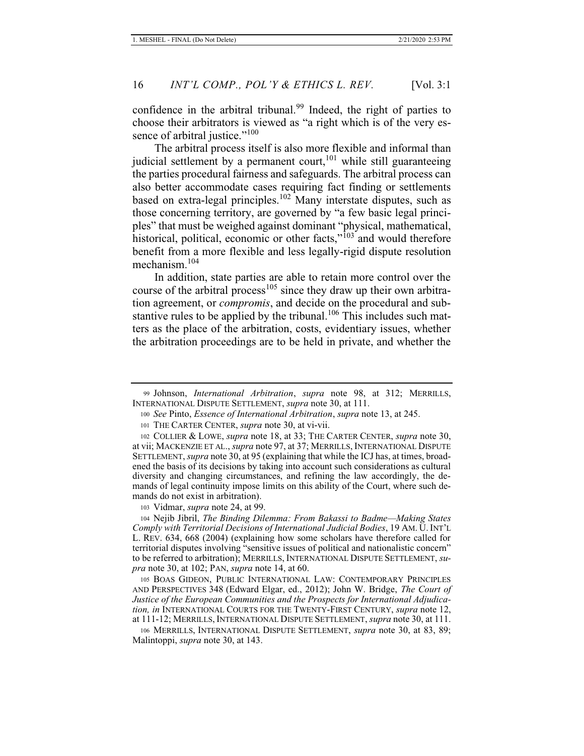confidence in the arbitral tribunal.<sup>99</sup> Indeed, the right of parties to choose their arbitrators is viewed as "a right which is of the very essence of arbitral justice."<sup>100</sup>

The arbitral process itself is also more flexible and informal than judicial settlement by a permanent court,  $101$  while still guaranteeing the parties procedural fairness and safeguards. The arbitral process can also better accommodate cases requiring fact finding or settlements based on extra-legal principles.<sup>102</sup> Many interstate disputes, such as those concerning territory, are governed by "a few basic legal principles" that must be weighed against dominant "physical, mathematical, historical, political, economic or other facts,"<sup>103</sup> and would therefore benefit from a more flexible and less legally-rigid dispute resolution mechanism.<sup>104</sup>

In addition, state parties are able to retain more control over the course of the arbitral process<sup>105</sup> since they draw up their own arbitration agreement, or *compromis*, and decide on the procedural and substantive rules to be applied by the tribunal.<sup>106</sup> This includes such matters as the place of the arbitration, costs, evidentiary issues, whether the arbitration proceedings are to be held in private, and whether the

<sup>99</sup> Johnson, *International Arbitration*, *supra* note 98, at 312; MERRILLS, INTERNATIONAL DISPUTE SETTLEMENT, *supra* note 30, at 111.

<sup>100</sup> *See* Pinto, *Essence of International Arbitration*, *supra* note 13, at 245.

<sup>101</sup> THE CARTER CENTER, *supra* note 30, at vi-vii.

<sup>102</sup> COLLIER & LOWE, *supra* note 18, at 33; THE CARTER CENTER, *supra* note 30, at vii; MACKENZIE ET AL., *supra* note 97, at 37; MERRILLS, INTERNATIONAL DISPUTE SETTLEMENT, *supra* note 30, at 95 (explaining that while the ICJ has, at times, broadened the basis of its decisions by taking into account such considerations as cultural diversity and changing circumstances, and refining the law accordingly, the demands of legal continuity impose limits on this ability of the Court, where such demands do not exist in arbitration).

<sup>103</sup> Vidmar, *supra* note 24, at 99.

<sup>104</sup> Nejib Jibril, *The Binding Dilemma: From Bakassi to Badme—Making States Comply with Territorial Decisions of International Judicial Bodies*, 19 AM. U. INT'L L. REV. 634, 668 (2004) (explaining how some scholars have therefore called for territorial disputes involving "sensitive issues of political and nationalistic concern" to be referred to arbitration); MERRILLS, INTERNATIONAL DISPUTE SETTLEMENT, *supra* note 30, at 102; PAN, *supra* note 14, at 60.

<sup>105</sup> BOAS GIDEON, PUBLIC INTERNATIONAL LAW: CONTEMPORARY PRINCIPLES AND PERSPECTIVES 348 (Edward Elgar, ed., 2012); John W. Bridge, *The Court of Justice of the European Communities and the Prospects for International Adjudication, in* INTERNATIONAL COURTS FOR THE TWENTY-FIRST CENTURY, *supra* note 12, at 111-12; MERRILLS, INTERNATIONAL DISPUTE SETTLEMENT, *supra* note 30, at 111.

<sup>106</sup> MERRILLS, INTERNATIONAL DISPUTE SETTLEMENT, *supra* note 30, at 83, 89; Malintoppi, *supra* note 30, at 143.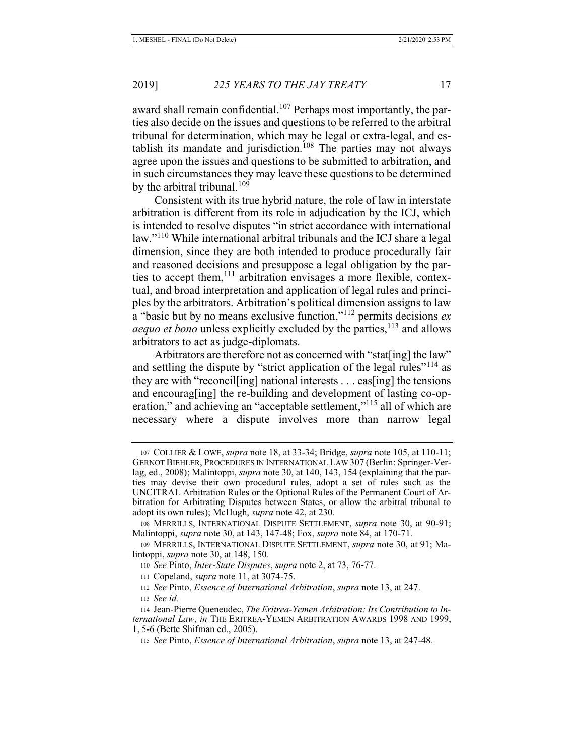award shall remain confidential.<sup>107</sup> Perhaps most importantly, the parties also decide on the issues and questions to be referred to the arbitral tribunal for determination, which may be legal or extra-legal, and establish its mandate and jurisdiction.<sup>108</sup> The parties may not always agree upon the issues and questions to be submitted to arbitration, and in such circumstances they may leave these questions to be determined by the arbitral tribunal.<sup>109</sup>

Consistent with its true hybrid nature, the role of law in interstate arbitration is different from its role in adjudication by the ICJ, which is intended to resolve disputes "in strict accordance with international law."110 While international arbitral tribunals and the ICJ share a legal dimension, since they are both intended to produce procedurally fair and reasoned decisions and presuppose a legal obligation by the parties to accept them,<sup>111</sup> arbitration envisages a more flexible, contextual, and broad interpretation and application of legal rules and principles by the arbitrators. Arbitration's political dimension assigns to law a "basic but by no means exclusive function,"112 permits decisions *ex aequo et bono* unless explicitly excluded by the parties,<sup>113</sup> and allows arbitrators to act as judge-diplomats.

Arbitrators are therefore not as concerned with "stat[ing] the law" and settling the dispute by "strict application of the legal rules"<sup>114</sup> as they are with "reconcil[ing] national interests . . . eas[ing] the tensions and encourag[ing] the re-building and development of lasting co-operation," and achieving an "acceptable settlement,"<sup>115</sup> all of which are necessary where a dispute involves more than narrow legal

<sup>107</sup> COLLIER & LOWE, *supra* note 18, at 33-34; Bridge, *supra* note 105, at 110-11; GERNOT BIEHLER, PROCEDURES IN INTERNATIONAL LAW 307 (Berlin: Springer-Verlag, ed., 2008); Malintoppi, *supra* note 30, at 140, 143, 154 (explaining that the parties may devise their own procedural rules, adopt a set of rules such as the UNCITRAL Arbitration Rules or the Optional Rules of the Permanent Court of Arbitration for Arbitrating Disputes between States, or allow the arbitral tribunal to adopt its own rules); McHugh, *supra* note 42, at 230.

<sup>108</sup> MERRILLS, INTERNATIONAL DISPUTE SETTLEMENT, *supra* note 30, at 90-91; Malintoppi, *supra* note 30, at 143, 147-48; Fox, *supra* note 84, at 170-71.

<sup>109</sup> MERRILLS, INTERNATIONAL DISPUTE SETTLEMENT, *supra* note 30, at 91; Malintoppi, *supra* note 30, at 148, 150.

<sup>110</sup> *See* Pinto, *Inter-State Disputes*, *supra* note 2, at 73, 76-77.

<sup>111</sup> Copeland, *supra* note 11, at 3074-75.

<sup>112</sup> *See* Pinto, *Essence of International Arbitration*, *supra* note 13, at 247. <sup>113</sup> *See id.*

<sup>114</sup> Jean-Pierre Queneudec, *The Eritrea-Yemen Arbitration: Its Contribution to International Law*, *in* THE ERITREA-YEMEN ARBITRATION AWARDS 1998 AND 1999, 1, 5-6 (Bette Shifman ed., 2005).

<sup>115</sup> *See* Pinto, *Essence of International Arbitration*, *supra* note 13, at 247-48.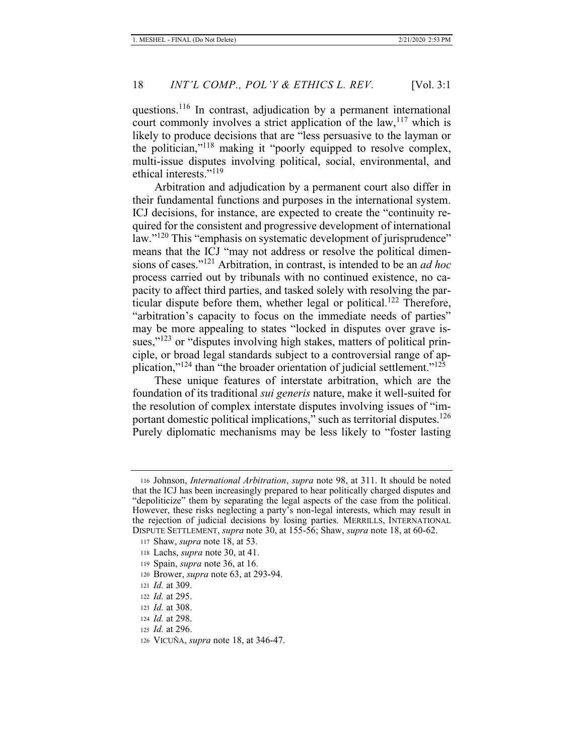questions.116 In contrast, adjudication by a permanent international court commonly involves a strict application of the law,  $117$  which is likely to produce decisions that are "less persuasive to the layman or the politician,"<sup>118</sup> making it "poorly equipped to resolve complex, multi-issue disputes involving political, social, environmental, and ethical interests."<sup>119</sup>

Arbitration and adjudication by a permanent court also differ in their fundamental functions and purposes in the international system. ICJ decisions, for instance, are expected to create the "continuity required for the consistent and progressive development of international law."<sup>120</sup> This "emphasis on systematic development of jurisprudence" means that the ICJ "may not address or resolve the political dimensions of cases."121 Arbitration, in contrast, is intended to be an *ad hoc*  process carried out by tribunals with no continued existence, no capacity to affect third parties, and tasked solely with resolving the particular dispute before them, whether legal or political.<sup>122</sup> Therefore, "arbitration's capacity to focus on the immediate needs of parties" may be more appealing to states "locked in disputes over grave issues,"<sup>123</sup> or "disputes involving high stakes, matters of political principle, or broad legal standards subject to a controversial range of application," $124$  than "the broader orientation of judicial settlement." $125$ 

These unique features of interstate arbitration, which are the foundation of its traditional *sui generis* nature, make it well-suited for the resolution of complex interstate disputes involving issues of "important domestic political implications," such as territorial disputes. $126$ Purely diplomatic mechanisms may be less likely to "foster lasting

<sup>116</sup> Johnson, *International Arbitration*, *supra* note 98, at 311. It should be noted that the ICJ has been increasingly prepared to hear politically charged disputes and "depoliticize" them by separating the legal aspects of the case from the political. However, these risks neglecting a party's non-legal interests, which may result in the rejection of judicial decisions by losing parties. MERRILLS, INTERNATIONAL DISPUTE SETTLEMENT, *supra* note 30, at 155-56; Shaw, *supra* note 18, at 60-62.

<sup>117</sup> Shaw, *supra* note 18, at 53.

<sup>118</sup> Lachs, *supra* note 30, at 41.

<sup>119</sup> Spain, *supra* note 36, at 16.

<sup>120</sup> Brower, *supra* note 63, at 293-94.

<sup>121</sup> *Id.* at 309.

<sup>122</sup> *Id.* at 295.

<sup>123</sup> *Id.* at 308.

<sup>124</sup> *Id.* at 298.

<sup>125</sup> *Id.* at 296.

<sup>126</sup> VICUÑA, *supra* note 18, at 346-47.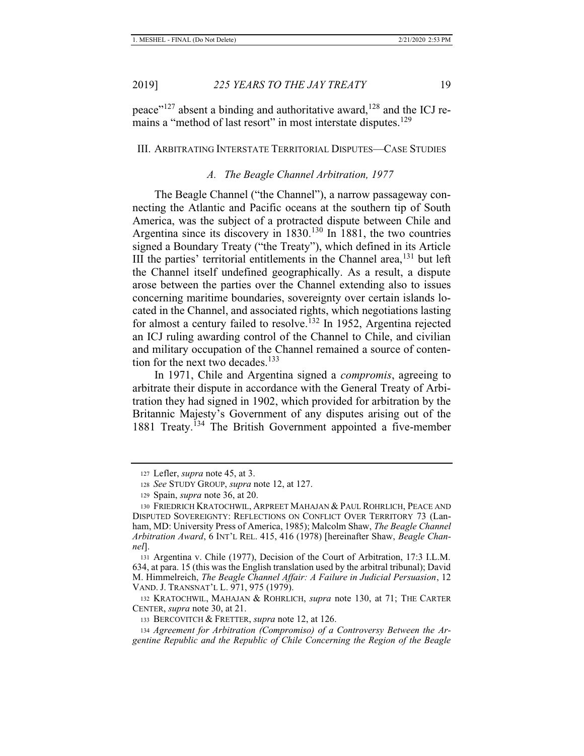peace"<sup>127</sup> absent a binding and authoritative award,<sup>128</sup> and the ICJ remains a "method of last resort" in most interstate disputes.<sup>129</sup>

#### III. ARBITRATING INTERSTATE TERRITORIAL DISPUTES—CASE STUDIES

#### *A. The Beagle Channel Arbitration, 1977*

The Beagle Channel ("the Channel"), a narrow passageway connecting the Atlantic and Pacific oceans at the southern tip of South America, was the subject of a protracted dispute between Chile and Argentina since its discovery in  $1830$ <sup>130</sup> In 1881, the two countries signed a Boundary Treaty ("the Treaty"), which defined in its Article III the parties' territorial entitlements in the Channel area, $^{131}$  but left the Channel itself undefined geographically. As a result, a dispute arose between the parties over the Channel extending also to issues concerning maritime boundaries, sovereignty over certain islands located in the Channel, and associated rights, which negotiations lasting for almost a century failed to resolve.<sup>132</sup> In 1952, Argentina rejected an ICJ ruling awarding control of the Channel to Chile, and civilian and military occupation of the Channel remained a source of contention for the next two decades.<sup>133</sup>

In 1971, Chile and Argentina signed a *compromis*, agreeing to arbitrate their dispute in accordance with the General Treaty of Arbitration they had signed in 1902, which provided for arbitration by the Britannic Majesty's Government of any disputes arising out of the 1881 Treaty.134 The British Government appointed a five-member

132 KRATOCHWIL, MAHAJAN & ROHRLICH, *supra* note 130, at 71; THE CARTER CENTER, *supra* note 30, at 21.

<sup>127</sup> Lefler, *supra* note 45, at 3.

<sup>128</sup> *See* STUDY GROUP, *supra* note 12, at 127.

<sup>129</sup> Spain, *supra* note 36, at 20.

<sup>130</sup> FRIEDRICH KRATOCHWIL, ARPREET MAHAJAN & PAUL ROHRLICH, PEACE AND DISPUTED SOVEREIGNTY: REFLECTIONS ON CONFLICT OVER TERRITORY 73 (Lanham, MD: University Press of America, 1985); Malcolm Shaw, *The Beagle Channel Arbitration Award*, 6 INT'L REL. 415, 416 (1978) [hereinafter Shaw, *Beagle Channel*].

<sup>131</sup> Argentina v. Chile (1977), Decision of the Court of Arbitration, 17:3 I.L.M. 634, at para. 15 (this was the English translation used by the arbitral tribunal); David M. Himmelreich, *The Beagle Channel Affair: A Failure in Judicial Persuasion*, 12 VAND. J. TRANSNAT'L L. 971, 975 (1979).

<sup>133</sup> BERCOVITCH & FRETTER, *supra* note 12, at 126.

<sup>134</sup> *Agreement for Arbitration (Compromiso) of a Controversy Between the Argentine Republic and the Republic of Chile Concerning the Region of the Beagle*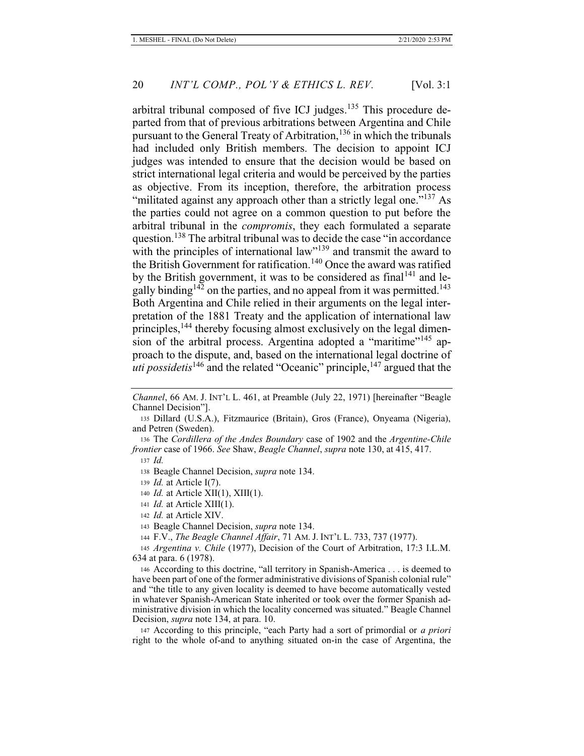arbitral tribunal composed of five ICJ judges.<sup>135</sup> This procedure departed from that of previous arbitrations between Argentina and Chile pursuant to the General Treaty of Arbitration,<sup>136</sup> in which the tribunals had included only British members. The decision to appoint ICJ judges was intended to ensure that the decision would be based on strict international legal criteria and would be perceived by the parties as objective. From its inception, therefore, the arbitration process "militated against any approach other than a strictly legal one."<sup>137</sup> As the parties could not agree on a common question to put before the arbitral tribunal in the *compromis*, they each formulated a separate question.<sup>138</sup> The arbitral tribunal was to decide the case "in accordance" with the principles of international law"<sup>139</sup> and transmit the award to the British Government for ratification.<sup>140</sup> Once the award was ratified by the British government, it was to be considered as final<sup>141</sup> and legally binding<sup>142</sup> on the parties, and no appeal from it was permitted.<sup>143</sup> Both Argentina and Chile relied in their arguments on the legal interpretation of the 1881 Treaty and the application of international law principles,<sup>144</sup> thereby focusing almost exclusively on the legal dimension of the arbitral process. Argentina adopted a "maritime"<sup>145</sup> approach to the dispute, and, based on the international legal doctrine of *uti possidetis*<sup>146</sup> and the related "Oceanic" principle,<sup>147</sup> argued that the

136 The *Cordillera of the Andes Boundary* case of 1902 and the *Argentine-Chile frontier* case of 1966. *See* Shaw, *Beagle Channel*, *supra* note 130, at 415, 417.

*Channel*, 66 AM. J. INT'L L. 461, at Preamble (July 22, 1971) [hereinafter "Beagle Channel Decision"].

<sup>135</sup> Dillard (U.S.A.), Fitzmaurice (Britain), Gros (France), Onyeama (Nigeria), and Petren (Sweden).

<sup>137</sup> *Id.*

<sup>138</sup> Beagle Channel Decision, *supra* note 134.

<sup>139</sup> *Id.* at Article I(7).

<sup>140</sup> *Id.* at Article XII(1), XIII(1).

<sup>141</sup> *Id.* at Article XIII(1).

<sup>142</sup> *Id.* at Article XIV.

<sup>143</sup> Beagle Channel Decision, *supra* note 134.

<sup>144</sup> F.V., *The Beagle Channel Affair*, 71 AM. J. INT'L L. 733, 737 (1977).

<sup>145</sup> *Argentina v. Chile* (1977), Decision of the Court of Arbitration, 17:3 I.L.M. 634 at para. 6 (1978).

<sup>146</sup> According to this doctrine, "all territory in Spanish-America . . . is deemed to have been part of one of the former administrative divisions of Spanish colonial rule" and "the title to any given locality is deemed to have become automatically vested in whatever Spanish-American State inherited or took over the former Spanish administrative division in which the locality concerned was situated." Beagle Channel Decision, *supra* note 134, at para. 10.

<sup>147</sup> According to this principle, "each Party had a sort of primordial or *a priori*  right to the whole of-and to anything situated on-in the case of Argentina, the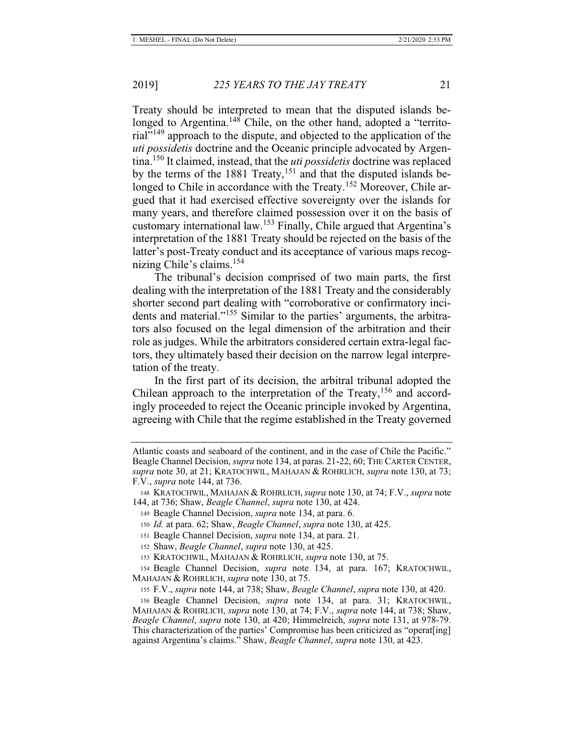Treaty should be interpreted to mean that the disputed islands belonged to Argentina.<sup>148</sup> Chile, on the other hand, adopted a "territorial"149 approach to the dispute, and objected to the application of the *uti possidetis* doctrine and the Oceanic principle advocated by Argentina.150 It claimed, instead, that the *uti possidetis* doctrine was replaced by the terms of the 1881 Treaty,  $151$  and that the disputed islands belonged to Chile in accordance with the Treaty.<sup>152</sup> Moreover, Chile argued that it had exercised effective sovereignty over the islands for many years, and therefore claimed possession over it on the basis of customary international law.<sup>153</sup> Finally, Chile argued that Argentina's interpretation of the 1881 Treaty should be rejected on the basis of the latter's post-Treaty conduct and its acceptance of various maps recognizing Chile's claims.<sup>154</sup>

The tribunal's decision comprised of two main parts, the first dealing with the interpretation of the 1881 Treaty and the considerably shorter second part dealing with "corroborative or confirmatory incidents and material."155 Similar to the parties' arguments, the arbitrators also focused on the legal dimension of the arbitration and their role as judges. While the arbitrators considered certain extra-legal factors, they ultimately based their decision on the narrow legal interpretation of the treaty.

In the first part of its decision, the arbitral tribunal adopted the Chilean approach to the interpretation of the Treaty,  $156$  and accordingly proceeded to reject the Oceanic principle invoked by Argentina, agreeing with Chile that the regime established in the Treaty governed

Atlantic coasts and seaboard of the continent, and in the case of Chile the Pacific." Beagle Channel Decision, *supra* note 134, at paras. 21-22, 60; THE CARTER CENTER, *supra* note 30, at 21; KRATOCHWIL, MAHAJAN & ROHRLICH, *supra* note 130, at 73; F.V., *supra* note 144, at 736.

<sup>148</sup> KRATOCHWIL, MAHAJAN & ROHRLICH,*supra* note 130, at 74; F.V., *supra* note 144, at 736; Shaw, *Beagle Channel*, *supra* note 130, at 424.

<sup>149</sup> Beagle Channel Decision, *supra* note 134, at para. 6.

<sup>150</sup> *Id.* at para. 62; Shaw, *Beagle Channel*, *supra* note 130, at 425.

<sup>151</sup> Beagle Channel Decision, *supra* note 134, at para. 21.

<sup>152</sup> Shaw, *Beagle Channel*, *supra* note 130, at 425.

<sup>153</sup> KRATOCHWIL, MAHAJAN & ROHRLICH, *supra* note 130, at 75.

<sup>154</sup> Beagle Channel Decision, *supra* note 134, at para. 167; KRATOCHWIL, MAHAJAN & ROHRLICH, *supra* note 130, at 75.

<sup>155</sup> F.V., *supra* note 144, at 738; Shaw, *Beagle Channel*, *supra* note 130, at 420.

<sup>156</sup> Beagle Channel Decision, *supra* note 134, at para. 31; KRATOCHWIL, MAHAJAN & ROHRLICH, *supra* note 130, at 74; F.V., *supra* note 144, at 738; Shaw, *Beagle Channel*, *supra* note 130, at 420; Himmelreich, *supra* note 131, at 978-79. This characterization of the parties' Compromise has been criticized as "operat[ing] against Argentina's claims." Shaw, *Beagle Channel*, *supra* note 130, at 423.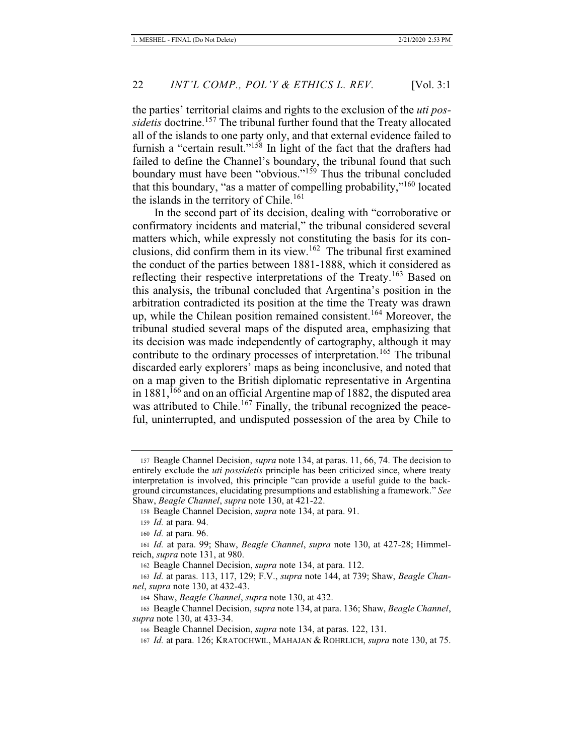the parties' territorial claims and rights to the exclusion of the *uti possidetis* doctrine.<sup>157</sup> The tribunal further found that the Treaty allocated all of the islands to one party only, and that external evidence failed to furnish a "certain result."<sup>158</sup> In light of the fact that the drafters had failed to define the Channel's boundary, the tribunal found that such boundary must have been "obvious."<sup>159</sup> Thus the tribunal concluded that this boundary, "as a matter of compelling probability,"160 located the islands in the territory of Chile.<sup>161</sup>

In the second part of its decision, dealing with "corroborative or confirmatory incidents and material," the tribunal considered several matters which, while expressly not constituting the basis for its conclusions, did confirm them in its view.162 The tribunal first examined the conduct of the parties between 1881-1888, which it considered as reflecting their respective interpretations of the Treaty.<sup>163</sup> Based on this analysis, the tribunal concluded that Argentina's position in the arbitration contradicted its position at the time the Treaty was drawn up, while the Chilean position remained consistent.<sup>164</sup> Moreover, the tribunal studied several maps of the disputed area, emphasizing that its decision was made independently of cartography, although it may contribute to the ordinary processes of interpretation.<sup>165</sup> The tribunal discarded early explorers' maps as being inconclusive, and noted that on a map given to the British diplomatic representative in Argentina in  $1881$ ,  $^{166}$  and on an official Argentine map of 1882, the disputed area was attributed to Chile.<sup>167</sup> Finally, the tribunal recognized the peaceful, uninterrupted, and undisputed possession of the area by Chile to

<sup>157</sup> Beagle Channel Decision, *supra* note 134, at paras. 11, 66, 74. The decision to entirely exclude the *uti possidetis* principle has been criticized since, where treaty interpretation is involved, this principle "can provide a useful guide to the background circumstances, elucidating presumptions and establishing a framework." *See* Shaw, *Beagle Channel*, *supra* note 130, at 421-22.

<sup>158</sup> Beagle Channel Decision, *supra* note 134, at para. 91.

<sup>159</sup> *Id.* at para. 94.

<sup>160</sup> *Id.* at para. 96.

<sup>161</sup> *Id.* at para. 99; Shaw, *Beagle Channel*, *supra* note 130, at 427-28; Himmelreich, *supra* note 131, at 980.

<sup>162</sup> Beagle Channel Decision, *supra* note 134, at para. 112.

<sup>163</sup> *Id.* at paras. 113, 117, 129; F.V., *supra* note 144, at 739; Shaw, *Beagle Channel*, *supra* note 130, at 432-43.

<sup>164</sup> Shaw, *Beagle Channel*, *supra* note 130, at 432.

<sup>165</sup> Beagle Channel Decision, *supra* note 134, at para. 136; Shaw, *Beagle Channel*, *supra* note 130, at 433-34.

<sup>166</sup> Beagle Channel Decision, *supra* note 134, at paras. 122, 131.

<sup>167</sup> *Id.* at para. 126; KRATOCHWIL, MAHAJAN & ROHRLICH, *supra* note 130, at 75.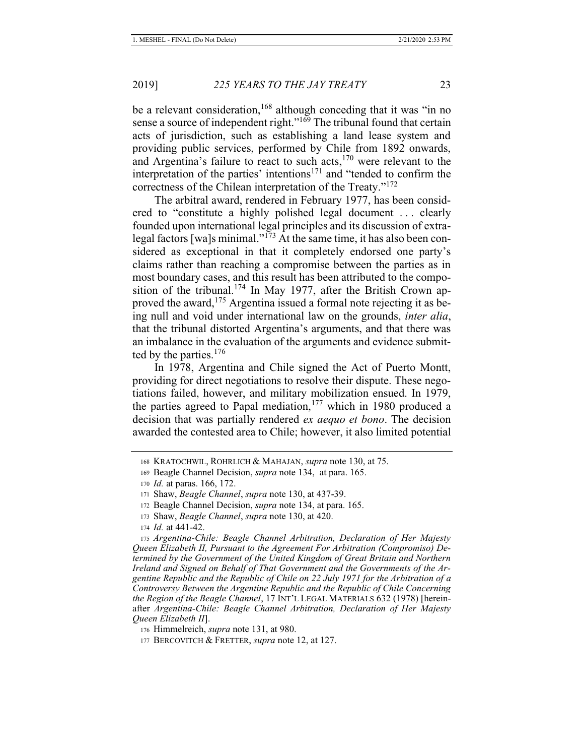be a relevant consideration,  $168$  although conceding that it was "in no sense a source of independent right."<sup>169</sup> The tribunal found that certain acts of jurisdiction, such as establishing a land lease system and providing public services, performed by Chile from 1892 onwards, and Argentina's failure to react to such acts, $170$  were relevant to the interpretation of the parties' intentions<sup>171</sup> and "tended to confirm the correctness of the Chilean interpretation of the Treaty."<sup>172</sup>

The arbitral award, rendered in February 1977, has been considered to "constitute a highly polished legal document . . . clearly founded upon international legal principles and its discussion of extralegal factors [wa]s minimal."173 At the same time, it has also been considered as exceptional in that it completely endorsed one party's claims rather than reaching a compromise between the parties as in most boundary cases, and this result has been attributed to the composition of the tribunal.<sup>174</sup> In May 1977, after the British Crown approved the award,  $175$  Argentina issued a formal note rejecting it as being null and void under international law on the grounds, *inter alia*, that the tribunal distorted Argentina's arguments, and that there was an imbalance in the evaluation of the arguments and evidence submitted by the parties. $176$ 

In 1978, Argentina and Chile signed the Act of Puerto Montt, providing for direct negotiations to resolve their dispute. These negotiations failed, however, and military mobilization ensued. In 1979, the parties agreed to Papal mediation, $177$  which in 1980 produced a decision that was partially rendered *ex aequo et bono*. The decision awarded the contested area to Chile; however, it also limited potential

<sup>168</sup> KRATOCHWIL, ROHRLICH & MAHAJAN, *supra* note 130, at 75.

<sup>169</sup> Beagle Channel Decision, *supra* note 134, at para. 165.

<sup>170</sup> *Id.* at paras. 166, 172.

<sup>171</sup> Shaw, *Beagle Channel*, *supra* note 130, at 437-39.

<sup>172</sup> Beagle Channel Decision, *supra* note 134, at para. 165.

<sup>173</sup> Shaw, *Beagle Channel*, *supra* note 130, at 420.

<sup>174</sup> *Id.* at 441-42.

<sup>175</sup> *Argentina-Chile: Beagle Channel Arbitration, Declaration of Her Majesty Queen Elizabeth II, Pursuant to the Agreement For Arbitration (Compromiso) Determined by the Government of the United Kingdom of Great Britain and Northern Ireland and Signed on Behalf of That Government and the Governments of the Argentine Republic and the Republic of Chile on 22 July 1971 for the Arbitration of a Controversy Between the Argentine Republic and the Republic of Chile Concerning the Region of the Beagle Channel*, 17 INT'L LEGAL MATERIALS 632 (1978) [hereinafter *Argentina-Chile: Beagle Channel Arbitration, Declaration of Her Majesty Queen Elizabeth II*].

<sup>176</sup> Himmelreich, *supra* note 131, at 980.

<sup>177</sup> BERCOVITCH & FRETTER, *supra* note 12, at 127.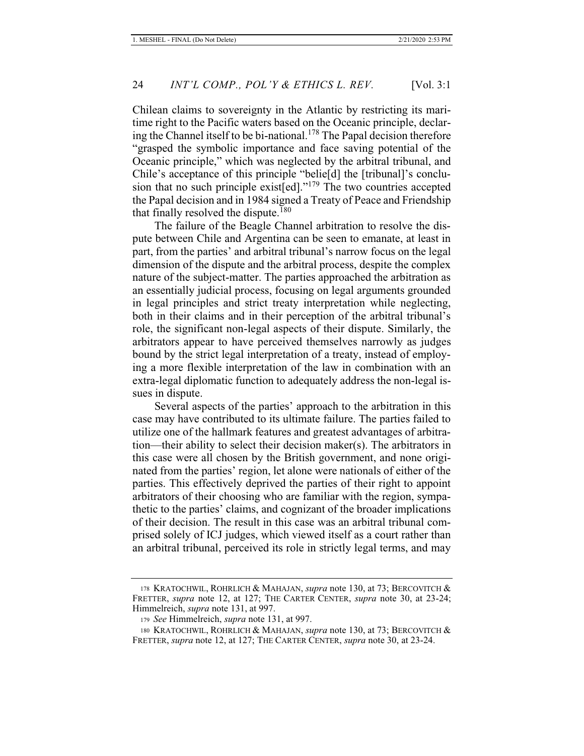Chilean claims to sovereignty in the Atlantic by restricting its maritime right to the Pacific waters based on the Oceanic principle, declaring the Channel itself to be bi-national.<sup>178</sup> The Papal decision therefore "grasped the symbolic importance and face saving potential of the Oceanic principle," which was neglected by the arbitral tribunal, and Chile's acceptance of this principle "belie[d] the [tribunal]'s conclusion that no such principle exist [ed]." $179$  The two countries accepted the Papal decision and in 1984 signed a Treaty of Peace and Friendship that finally resolved the dispute.<sup>180</sup>

The failure of the Beagle Channel arbitration to resolve the dispute between Chile and Argentina can be seen to emanate, at least in part, from the parties' and arbitral tribunal's narrow focus on the legal dimension of the dispute and the arbitral process, despite the complex nature of the subject-matter. The parties approached the arbitration as an essentially judicial process, focusing on legal arguments grounded in legal principles and strict treaty interpretation while neglecting, both in their claims and in their perception of the arbitral tribunal's role, the significant non-legal aspects of their dispute. Similarly, the arbitrators appear to have perceived themselves narrowly as judges bound by the strict legal interpretation of a treaty, instead of employing a more flexible interpretation of the law in combination with an extra-legal diplomatic function to adequately address the non-legal issues in dispute.

Several aspects of the parties' approach to the arbitration in this case may have contributed to its ultimate failure. The parties failed to utilize one of the hallmark features and greatest advantages of arbitration—their ability to select their decision maker(s). The arbitrators in this case were all chosen by the British government, and none originated from the parties' region, let alone were nationals of either of the parties. This effectively deprived the parties of their right to appoint arbitrators of their choosing who are familiar with the region, sympathetic to the parties' claims, and cognizant of the broader implications of their decision. The result in this case was an arbitral tribunal comprised solely of ICJ judges, which viewed itself as a court rather than an arbitral tribunal, perceived its role in strictly legal terms, and may

<sup>178</sup> KRATOCHWIL, ROHRLICH & MAHAJAN, *supra* note 130, at 73; BERCOVITCH & FRETTER, *supra* note 12, at 127; THE CARTER CENTER, *supra* note 30, at 23-24; Himmelreich, *supra* note 131, at 997.

<sup>179</sup> *See* Himmelreich, *supra* note 131, at 997.

<sup>180</sup> KRATOCHWIL, ROHRLICH & MAHAJAN, *supra* note 130, at 73; BERCOVITCH & FRETTER, *supra* note 12, at 127; THE CARTER CENTER, *supra* note 30, at 23-24.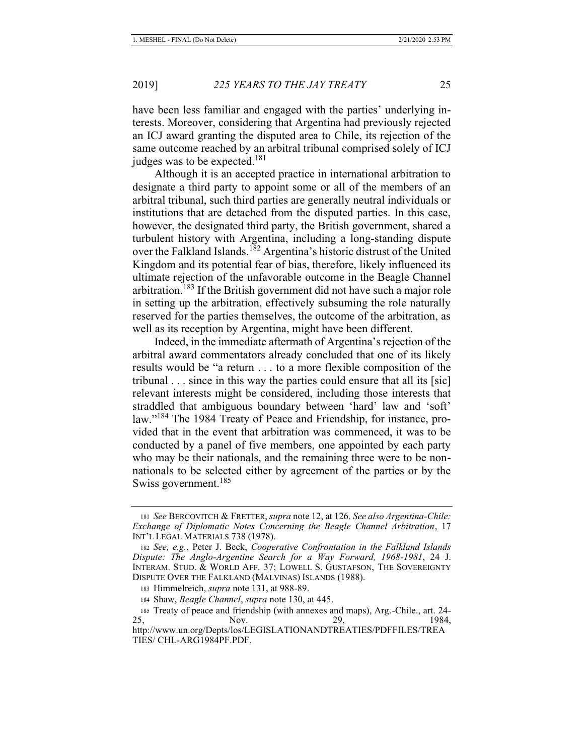have been less familiar and engaged with the parties' underlying interests. Moreover, considering that Argentina had previously rejected an ICJ award granting the disputed area to Chile, its rejection of the same outcome reached by an arbitral tribunal comprised solely of ICJ judges was to be expected. $181$ 

Although it is an accepted practice in international arbitration to designate a third party to appoint some or all of the members of an arbitral tribunal, such third parties are generally neutral individuals or institutions that are detached from the disputed parties. In this case, however, the designated third party, the British government, shared a turbulent history with Argentina, including a long-standing dispute over the Falkland Islands.<sup>182</sup> Argentina's historic distrust of the United Kingdom and its potential fear of bias, therefore, likely influenced its ultimate rejection of the unfavorable outcome in the Beagle Channel arbitration.<sup>183</sup> If the British government did not have such a major role in setting up the arbitration, effectively subsuming the role naturally reserved for the parties themselves, the outcome of the arbitration, as well as its reception by Argentina, might have been different.

Indeed, in the immediate aftermath of Argentina's rejection of the arbitral award commentators already concluded that one of its likely results would be "a return . . . to a more flexible composition of the tribunal . . . since in this way the parties could ensure that all its [sic] relevant interests might be considered, including those interests that straddled that ambiguous boundary between 'hard' law and 'soft' law."<sup>184</sup> The 1984 Treaty of Peace and Friendship, for instance, provided that in the event that arbitration was commenced, it was to be conducted by a panel of five members, one appointed by each party who may be their nationals, and the remaining three were to be nonnationals to be selected either by agreement of the parties or by the Swiss government.<sup>185</sup>

<sup>181</sup> *See* BERCOVITCH & FRETTER, *supra* note 12, at 126. *See also Argentina-Chile: Exchange of Diplomatic Notes Concerning the Beagle Channel Arbitration*, 17 INT'L LEGAL MATERIALS 738 (1978).

<sup>182</sup> *See, e.g.*, Peter J. Beck, *Cooperative Confrontation in the Falkland Islands Dispute: The Anglo-Argentine Search for a Way Forward, 1968-1981*, 24 J. INTERAM. STUD. & WORLD AFF. 37; LOWELL S. GUSTAFSON, THE SOVEREIGNTY DISPUTE OVER THE FALKLAND (MALVINAS) ISLANDS (1988).

<sup>183</sup> Himmelreich, *supra* note 131, at 988-89.

<sup>184</sup> Shaw, *Beagle Channel*, *supra* note 130, at 445.

<sup>185</sup> Treaty of peace and friendship (with annexes and maps), Arg.-Chile., art. 24- 25, Nov. 29, 1984, http://www.un.org/Depts/los/LEGISLATIONANDTREATIES/PDFFILES/TREA TIES/ CHL-ARG1984PF.PDF.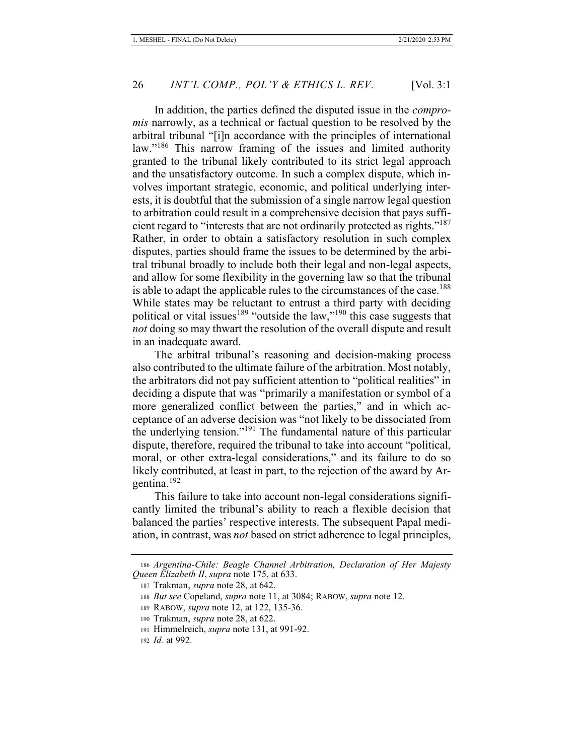In addition, the parties defined the disputed issue in the *compromis* narrowly, as a technical or factual question to be resolved by the arbitral tribunal "[i]n accordance with the principles of international law."<sup>186</sup> This narrow framing of the issues and limited authority granted to the tribunal likely contributed to its strict legal approach and the unsatisfactory outcome. In such a complex dispute, which involves important strategic, economic, and political underlying interests, it is doubtful that the submission of a single narrow legal question to arbitration could result in a comprehensive decision that pays sufficient regard to "interests that are not ordinarily protected as rights."<sup>187</sup> Rather, in order to obtain a satisfactory resolution in such complex disputes, parties should frame the issues to be determined by the arbitral tribunal broadly to include both their legal and non-legal aspects, and allow for some flexibility in the governing law so that the tribunal is able to adapt the applicable rules to the circumstances of the case.<sup>188</sup> While states may be reluctant to entrust a third party with deciding political or vital issues<sup>189</sup> "outside the law,"<sup>190</sup> this case suggests that *not* doing so may thwart the resolution of the overall dispute and result in an inadequate award.

The arbitral tribunal's reasoning and decision-making process also contributed to the ultimate failure of the arbitration. Most notably, the arbitrators did not pay sufficient attention to "political realities" in deciding a dispute that was "primarily a manifestation or symbol of a more generalized conflict between the parties," and in which acceptance of an adverse decision was "not likely to be dissociated from the underlying tension."<sup>191</sup> The fundamental nature of this particular dispute, therefore, required the tribunal to take into account "political, moral, or other extra-legal considerations," and its failure to do so likely contributed, at least in part, to the rejection of the award by Argentina.<sup>192</sup>

This failure to take into account non-legal considerations significantly limited the tribunal's ability to reach a flexible decision that balanced the parties' respective interests. The subsequent Papal mediation, in contrast, was *not* based on strict adherence to legal principles,

<sup>186</sup> *Argentina-Chile: Beagle Channel Arbitration, Declaration of Her Majesty Queen Elizabeth II*, *supra* note 175, at 633.

<sup>187</sup> Trakman, *supra* note 28, at 642.

<sup>188</sup> *But see* Copeland, *supra* note 11, at 3084; RABOW, *supra* note 12.

<sup>189</sup> RABOW, *supra* note 12, at 122, 135-36.

<sup>190</sup> Trakman, *supra* note 28, at 622.

<sup>191</sup> Himmelreich, *supra* note 131, at 991-92.

<sup>192</sup> *Id.* at 992.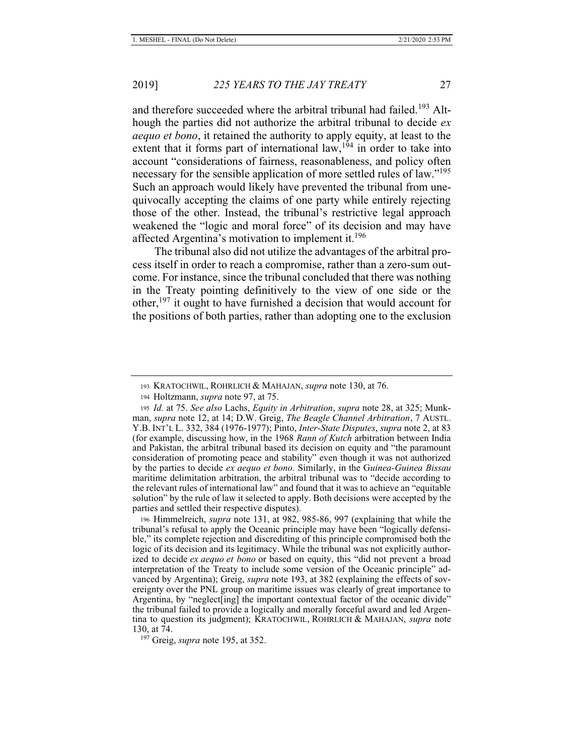and therefore succeeded where the arbitral tribunal had failed.<sup>193</sup> Although the parties did not authorize the arbitral tribunal to decide *ex aequo et bono*, it retained the authority to apply equity, at least to the extent that it forms part of international  $law$ ,<sup>194</sup> in order to take into account "considerations of fairness, reasonableness, and policy often necessary for the sensible application of more settled rules of law."<sup>195</sup> Such an approach would likely have prevented the tribunal from unequivocally accepting the claims of one party while entirely rejecting those of the other. Instead, the tribunal's restrictive legal approach weakened the "logic and moral force" of its decision and may have affected Argentina's motivation to implement it.<sup>196</sup>

The tribunal also did not utilize the advantages of the arbitral process itself in order to reach a compromise, rather than a zero-sum outcome. For instance, since the tribunal concluded that there was nothing in the Treaty pointing definitively to the view of one side or the other,  $197$  it ought to have furnished a decision that would account for the positions of both parties, rather than adopting one to the exclusion

<sup>193</sup> KRATOCHWIL, ROHRLICH & MAHAJAN, *supra* note 130, at 76.

<sup>194</sup> Holtzmann, *supra* note 97, at 75.

<sup>195</sup> *Id.* at 75. *See also* Lachs, *Equity in Arbitration*, *supra* note 28, at 325; Munkman, *supra* note 12, at 14; D.W. Greig, *The Beagle Channel Arbitration*, 7 AUSTL. Y.B. INT'L L. 332, 384 (1976-1977); Pinto, *Inter-State Disputes*, *supra* note 2, at 83 (for example, discussing how, in the 1968 *Rann of Kutch* arbitration between India and Pakistan, the arbitral tribunal based its decision on equity and "the paramount consideration of promoting peace and stability" even though it was not authorized by the parties to decide *ex aequo et bono*. Similarly, in the G*uinea-Guinea Bissau*  maritime delimitation arbitration, the arbitral tribunal was to "decide according to the relevant rules of international law" and found that it was to achieve an "equitable solution" by the rule of law it selected to apply. Both decisions were accepted by the parties and settled their respective disputes).

<sup>196</sup> Himmelreich, *supra* note 131, at 982, 985-86, 997 (explaining that while the tribunal's refusal to apply the Oceanic principle may have been "logically defensible," its complete rejection and discrediting of this principle compromised both the logic of its decision and its legitimacy. While the tribunal was not explicitly authorized to decide *ex aequo et bono* or based on equity, this "did not prevent a broad interpretation of the Treaty to include some version of the Oceanic principle" advanced by Argentina); Greig, *supra* note 193, at 382 (explaining the effects of sovereignty over the PNL group on maritime issues was clearly of great importance to Argentina, by "neglect<sup>[ing]</sup> the important contextual factor of the oceanic divide" the tribunal failed to provide a logically and morally forceful award and led Argentina to question its judgment); KRATOCHWIL, ROHRLICH & MAHAJAN, *supra* note 130, at 74.

 <sup>197</sup> Greig, *supra* note 195, at 352.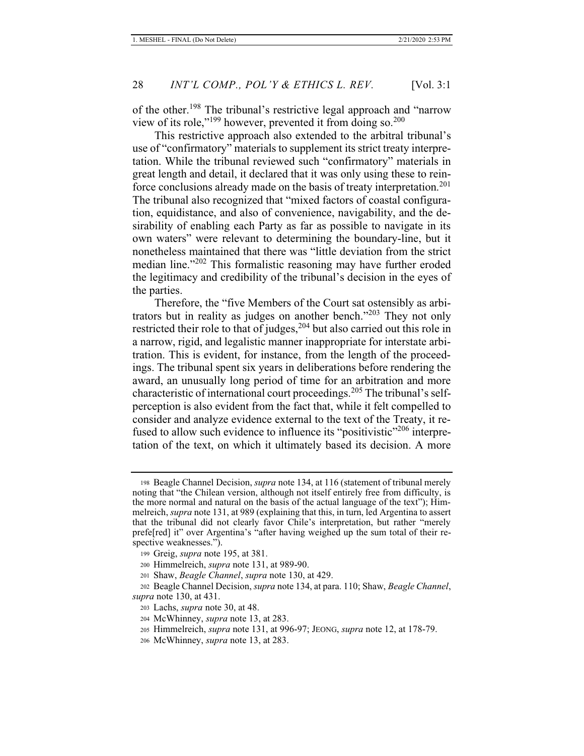of the other.<sup>198</sup> The tribunal's restrictive legal approach and "narrow" view of its role,"<sup>199</sup> however, prevented it from doing so.<sup>200</sup>

This restrictive approach also extended to the arbitral tribunal's use of "confirmatory" materials to supplement its strict treaty interpretation. While the tribunal reviewed such "confirmatory" materials in great length and detail, it declared that it was only using these to reinforce conclusions already made on the basis of treaty interpretation.<sup>201</sup> The tribunal also recognized that "mixed factors of coastal configuration, equidistance, and also of convenience, navigability, and the desirability of enabling each Party as far as possible to navigate in its own waters" were relevant to determining the boundary-line, but it nonetheless maintained that there was "little deviation from the strict median line."<sup>202</sup> This formalistic reasoning may have further eroded the legitimacy and credibility of the tribunal's decision in the eyes of the parties.

Therefore, the "five Members of the Court sat ostensibly as arbitrators but in reality as judges on another bench."<sup>203</sup> They not only restricted their role to that of judges,<sup>204</sup> but also carried out this role in a narrow, rigid, and legalistic manner inappropriate for interstate arbitration. This is evident, for instance, from the length of the proceedings. The tribunal spent six years in deliberations before rendering the award, an unusually long period of time for an arbitration and more characteristic of international court proceedings.<sup>205</sup> The tribunal's selfperception is also evident from the fact that, while it felt compelled to consider and analyze evidence external to the text of the Treaty, it refused to allow such evidence to influence its "positivistic"<sup>206</sup> interpretation of the text, on which it ultimately based its decision. A more

<sup>198</sup> Beagle Channel Decision, *supra* note 134, at 116 (statement of tribunal merely noting that "the Chilean version, although not itself entirely free from difficulty, is the more normal and natural on the basis of the actual language of the text"); Himmelreich, *supra* note 131, at 989 (explaining that this, in turn, led Argentina to assert that the tribunal did not clearly favor Chile's interpretation, but rather "merely prefe[red] it" over Argentina's "after having weighed up the sum total of their respective weaknesses.").

<sup>199</sup> Greig, *supra* note 195, at 381.

<sup>200</sup> Himmelreich, *supra* note 131, at 989-90.

<sup>201</sup> Shaw, *Beagle Channel*, *supra* note 130, at 429.

<sup>202</sup> Beagle Channel Decision, *supra* note 134, at para. 110; Shaw, *Beagle Channel*, *supra* note 130, at 431.

<sup>203</sup> Lachs, *supra* note 30, at 48.

<sup>204</sup> McWhinney, *supra* note 13, at 283.

<sup>205</sup> Himmelreich, *supra* note 131, at 996-97; JEONG, *supra* note 12, at 178-79.

<sup>206</sup> McWhinney, *supra* note 13, at 283.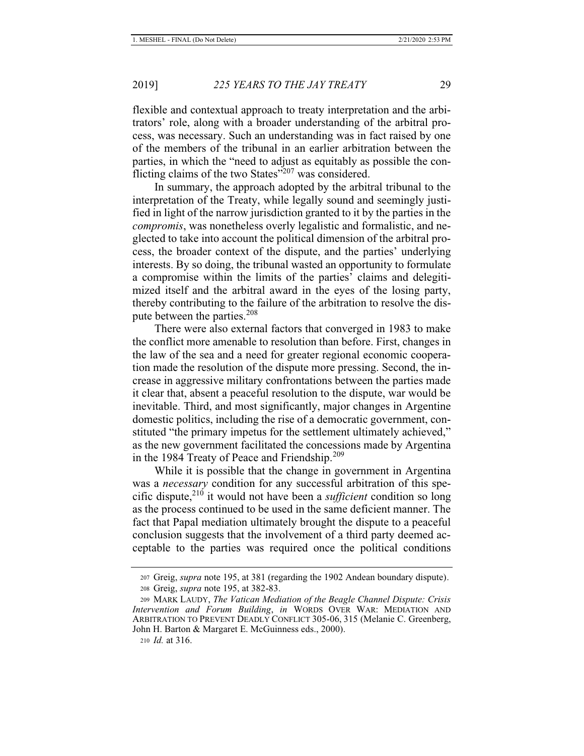flexible and contextual approach to treaty interpretation and the arbitrators' role, along with a broader understanding of the arbitral process, was necessary. Such an understanding was in fact raised by one of the members of the tribunal in an earlier arbitration between the parties, in which the "need to adjust as equitably as possible the conflicting claims of the two States"207 was considered.

In summary, the approach adopted by the arbitral tribunal to the interpretation of the Treaty, while legally sound and seemingly justified in light of the narrow jurisdiction granted to it by the parties in the *compromis*, was nonetheless overly legalistic and formalistic, and neglected to take into account the political dimension of the arbitral process, the broader context of the dispute, and the parties' underlying interests. By so doing, the tribunal wasted an opportunity to formulate a compromise within the limits of the parties' claims and delegitimized itself and the arbitral award in the eyes of the losing party, thereby contributing to the failure of the arbitration to resolve the dispute between the parties.<sup>208</sup>

There were also external factors that converged in 1983 to make the conflict more amenable to resolution than before. First, changes in the law of the sea and a need for greater regional economic cooperation made the resolution of the dispute more pressing. Second, the increase in aggressive military confrontations between the parties made it clear that, absent a peaceful resolution to the dispute, war would be inevitable. Third, and most significantly, major changes in Argentine domestic politics, including the rise of a democratic government, constituted "the primary impetus for the settlement ultimately achieved," as the new government facilitated the concessions made by Argentina in the 1984 Treaty of Peace and Friendship.<sup>209</sup>

While it is possible that the change in government in Argentina was a *necessary* condition for any successful arbitration of this specific dispute,210 it would not have been a *sufficient* condition so long as the process continued to be used in the same deficient manner. The fact that Papal mediation ultimately brought the dispute to a peaceful conclusion suggests that the involvement of a third party deemed acceptable to the parties was required once the political conditions

210 *Id.* at 316.

<sup>207</sup> Greig, *supra* note 195, at 381 (regarding the 1902 Andean boundary dispute). 208 Greig, *supra* note 195, at 382-83.

<sup>209</sup> MARK LAUDY, *The Vatican Mediation of the Beagle Channel Dispute: Crisis Intervention and Forum Building*, *in* WORDS OVER WAR: MEDIATION AND ARBITRATION TO PREVENT DEADLY CONFLICT 305-06, 315 (Melanie C. Greenberg, John H. Barton & Margaret E. McGuinness eds., 2000).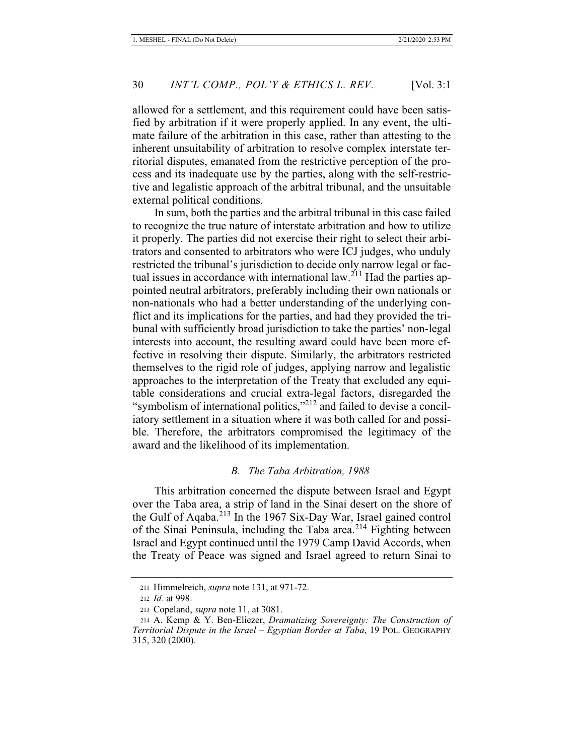allowed for a settlement, and this requirement could have been satisfied by arbitration if it were properly applied. In any event, the ultimate failure of the arbitration in this case, rather than attesting to the inherent unsuitability of arbitration to resolve complex interstate territorial disputes, emanated from the restrictive perception of the process and its inadequate use by the parties, along with the self-restrictive and legalistic approach of the arbitral tribunal, and the unsuitable external political conditions.

In sum, both the parties and the arbitral tribunal in this case failed to recognize the true nature of interstate arbitration and how to utilize it properly. The parties did not exercise their right to select their arbitrators and consented to arbitrators who were ICJ judges, who unduly restricted the tribunal's jurisdiction to decide only narrow legal or factual issues in accordance with international law.<sup>211</sup> Had the parties appointed neutral arbitrators, preferably including their own nationals or non-nationals who had a better understanding of the underlying conflict and its implications for the parties, and had they provided the tribunal with sufficiently broad jurisdiction to take the parties' non-legal interests into account, the resulting award could have been more effective in resolving their dispute. Similarly, the arbitrators restricted themselves to the rigid role of judges, applying narrow and legalistic approaches to the interpretation of the Treaty that excluded any equitable considerations and crucial extra-legal factors, disregarded the "symbolism of international politics,"<sup>212</sup> and failed to devise a conciliatory settlement in a situation where it was both called for and possible. Therefore, the arbitrators compromised the legitimacy of the award and the likelihood of its implementation.

#### *B. The Taba Arbitration, 1988*

This arbitration concerned the dispute between Israel and Egypt over the Taba area, a strip of land in the Sinai desert on the shore of the Gulf of Aqaba.213 In the 1967 Six-Day War, Israel gained control of the Sinai Peninsula, including the Taba area.<sup>214</sup> Fighting between Israel and Egypt continued until the 1979 Camp David Accords, when the Treaty of Peace was signed and Israel agreed to return Sinai to

<sup>211</sup> Himmelreich, *supra* note 131, at 971-72.

<sup>212</sup> *Id.* at 998.

<sup>213</sup> Copeland, *supra* note 11, at 3081.

<sup>214</sup> A. Kemp & Y. Ben-Eliezer, *Dramatizing Sovereignty: The Construction of Territorial Dispute in the Israel – Egyptian Border at Taba*, 19 POL. GEOGRAPHY 315, 320 (2000).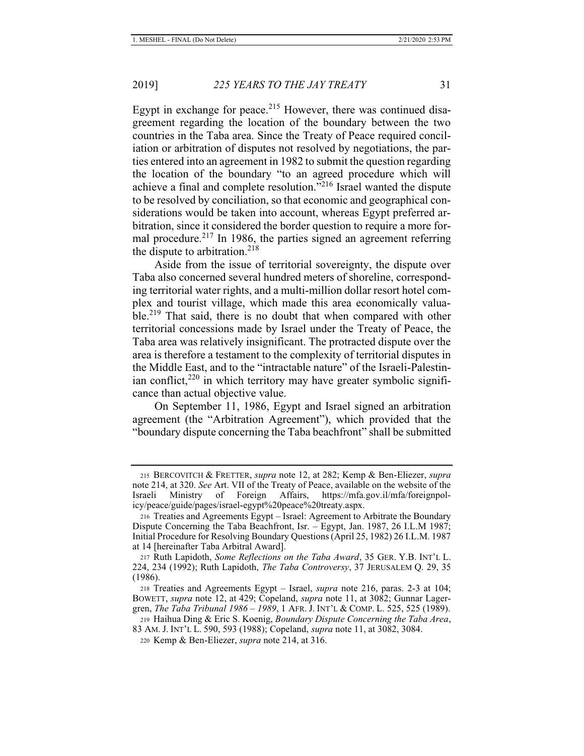Egypt in exchange for peace. $2^{15}$  However, there was continued disagreement regarding the location of the boundary between the two countries in the Taba area. Since the Treaty of Peace required conciliation or arbitration of disputes not resolved by negotiations, the parties entered into an agreement in 1982 to submit the question regarding the location of the boundary "to an agreed procedure which will achieve a final and complete resolution."<sup>216</sup> Israel wanted the dispute to be resolved by conciliation, so that economic and geographical considerations would be taken into account, whereas Egypt preferred arbitration, since it considered the border question to require a more formal procedure.<sup>217</sup> In 1986, the parties signed an agreement referring the dispute to arbitration.<sup>218</sup>

Aside from the issue of territorial sovereignty, the dispute over Taba also concerned several hundred meters of shoreline, corresponding territorial water rights, and a multi-million dollar resort hotel complex and tourist village, which made this area economically valuable.<sup>219</sup> That said, there is no doubt that when compared with other territorial concessions made by Israel under the Treaty of Peace, the Taba area was relatively insignificant. The protracted dispute over the area is therefore a testament to the complexity of territorial disputes in the Middle East, and to the "intractable nature" of the Israeli-Palestinian conflict, $220$  in which territory may have greater symbolic significance than actual objective value.

On September 11, 1986, Egypt and Israel signed an arbitration agreement (the "Arbitration Agreement"), which provided that the "boundary dispute concerning the Taba beachfront" shall be submitted

<sup>215</sup> BERCOVITCH & FRETTER, *supra* note 12, at 282; Kemp & Ben-Eliezer, *supra*  note 214, at 320. *See* Art. VII of the Treaty of Peace, available on the website of the Israeli Ministry of Foreign Affairs, https://mfa.gov.il/mfa/foreignpolicy/peace/guide/pages/israel-egypt%20peace%20treaty.aspx.

<sup>216</sup> Treaties and Agreements Egypt – Israel: Agreement to Arbitrate the Boundary Dispute Concerning the Taba Beachfront, Isr. – Egypt, Jan. 1987, 26 I.L.M 1987; Initial Procedure for Resolving Boundary Questions (April 25, 1982) 26 I.L.M. 1987 at 14 [hereinafter Taba Arbitral Award].

<sup>217</sup> Ruth Lapidoth, *Some Reflections on the Taba Award*, 35 GER. Y.B. INT'L L. 224, 234 (1992); Ruth Lapidoth, *The Taba Controversy*, 37 JERUSALEM Q. 29, 35 (1986).

<sup>218</sup> Treaties and Agreements Egypt – Israel, *supra* note 216, paras. 2-3 at 104; BOWETT, *supra* note 12, at 429; Copeland, *supra* note 11, at 3082; Gunnar Lagergren, *The Taba Tribunal 1986 – 1989*, 1 AFR. J. INT'L & COMP. L. 525, 525 (1989).

<sup>219</sup> Haihua Ding & Eric S. Koenig, *Boundary Dispute Concerning the Taba Area*, 83 AM. J. INT'L L. 590, 593 (1988); Copeland, *supra* note 11, at 3082, 3084.

<sup>220</sup> Kemp & Ben-Eliezer, *supra* note 214, at 316.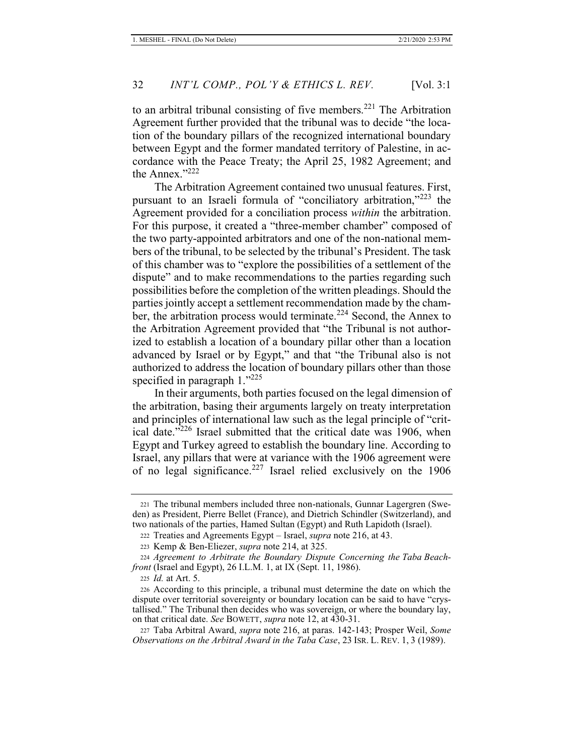to an arbitral tribunal consisting of five members.<sup>221</sup> The Arbitration Agreement further provided that the tribunal was to decide "the location of the boundary pillars of the recognized international boundary between Egypt and the former mandated territory of Palestine, in accordance with the Peace Treaty; the April 25, 1982 Agreement; and the Annex."222

The Arbitration Agreement contained two unusual features. First, pursuant to an Israeli formula of "conciliatory arbitration,"223 the Agreement provided for a conciliation process *within* the arbitration. For this purpose, it created a "three-member chamber" composed of the two party-appointed arbitrators and one of the non-national members of the tribunal, to be selected by the tribunal's President. The task of this chamber was to "explore the possibilities of a settlement of the dispute" and to make recommendations to the parties regarding such possibilities before the completion of the written pleadings. Should the parties jointly accept a settlement recommendation made by the chamber, the arbitration process would terminate.<sup>224</sup> Second, the Annex to the Arbitration Agreement provided that "the Tribunal is not authorized to establish a location of a boundary pillar other than a location advanced by Israel or by Egypt," and that "the Tribunal also is not authorized to address the location of boundary pillars other than those specified in paragraph 1."225

In their arguments, both parties focused on the legal dimension of the arbitration, basing their arguments largely on treaty interpretation and principles of international law such as the legal principle of "critical date."226 Israel submitted that the critical date was 1906, when Egypt and Turkey agreed to establish the boundary line. According to Israel, any pillars that were at variance with the 1906 agreement were of no legal significance.<sup>227</sup> Israel relied exclusively on the 1906

<sup>225</sup> *Id.* at Art. 5.

<sup>221</sup> The tribunal members included three non-nationals, Gunnar Lagergren (Sweden) as President, Pierre Bellet (France), and Dietrich Schindler (Switzerland), and two nationals of the parties, Hamed Sultan (Egypt) and Ruth Lapidoth (Israel).

<sup>222</sup> Treaties and Agreements Egypt – Israel, *supra* note 216, at 43.

<sup>223</sup> Kemp & Ben-Eliezer, *supra* note 214, at 325.

<sup>224</sup> *Agreement to Arbitrate the Boundary Dispute Concerning the Taba Beachfront* (Israel and Egypt), 26 I.L.M. 1, at IX (Sept. 11, 1986).

<sup>226</sup> According to this principle, a tribunal must determine the date on which the dispute over territorial sovereignty or boundary location can be said to have "crystallised." The Tribunal then decides who was sovereign, or where the boundary lay, on that critical date. *See* BOWETT, *supra* note 12, at 430-31.

<sup>227</sup> Taba Arbitral Award, *supra* note 216, at paras. 142-143; Prosper Weil, *Some Observations on the Arbitral Award in the Taba Case*, 23 ISR. L. REV. 1, 3 (1989).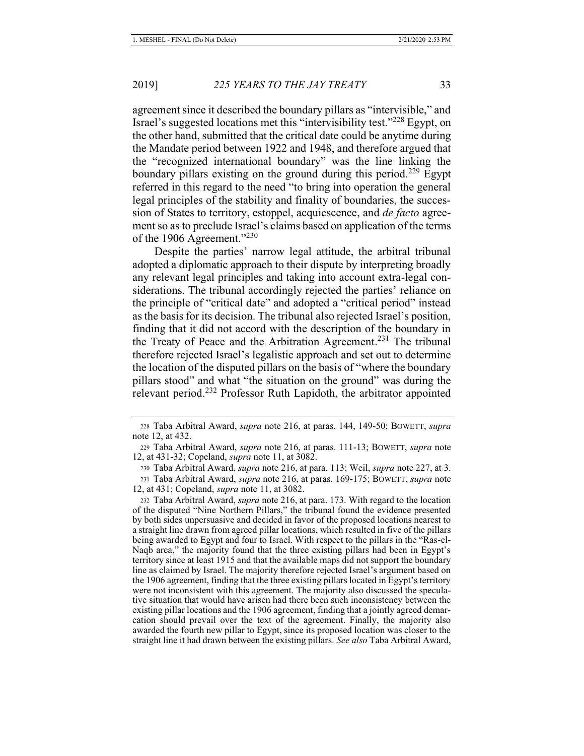agreement since it described the boundary pillars as "intervisible," and Israel's suggested locations met this "intervisibility test."228 Egypt, on the other hand, submitted that the critical date could be anytime during the Mandate period between 1922 and 1948, and therefore argued that the "recognized international boundary" was the line linking the boundary pillars existing on the ground during this period.<sup>229</sup> Egypt referred in this regard to the need "to bring into operation the general legal principles of the stability and finality of boundaries, the succession of States to territory, estoppel, acquiescence, and *de facto* agreement so as to preclude Israel's claims based on application of the terms of the 1906 Agreement."<sup>230</sup>

Despite the parties' narrow legal attitude, the arbitral tribunal adopted a diplomatic approach to their dispute by interpreting broadly any relevant legal principles and taking into account extra-legal considerations. The tribunal accordingly rejected the parties' reliance on the principle of "critical date" and adopted a "critical period" instead as the basis for its decision. The tribunal also rejected Israel's position, finding that it did not accord with the description of the boundary in the Treaty of Peace and the Arbitration Agreement.<sup>231</sup> The tribunal therefore rejected Israel's legalistic approach and set out to determine the location of the disputed pillars on the basis of "where the boundary pillars stood" and what "the situation on the ground" was during the relevant period.<sup>232</sup> Professor Ruth Lapidoth, the arbitrator appointed

<sup>228</sup> Taba Arbitral Award, *supra* note 216, at paras. 144, 149-50; BOWETT, *supra*  note 12, at 432.

<sup>229</sup> Taba Arbitral Award, *supra* note 216, at paras. 111-13; BOWETT, *supra* note 12, at 431-32; Copeland, *supra* note 11, at 3082.

<sup>230</sup> Taba Arbitral Award, *supra* note 216, at para. 113; Weil, *supra* note 227, at 3. 231 Taba Arbitral Award, *supra* note 216, at paras. 169-175; BOWETT, *supra* note 12, at 431; Copeland, *supra* note 11, at 3082.

<sup>232</sup> Taba Arbitral Award, *supra* note 216, at para. 173. With regard to the location of the disputed "Nine Northern Pillars," the tribunal found the evidence presented by both sides unpersuasive and decided in favor of the proposed locations nearest to a straight line drawn from agreed pillar locations, which resulted in five of the pillars being awarded to Egypt and four to Israel. With respect to the pillars in the "Ras-el-Naqb area," the majority found that the three existing pillars had been in Egypt's territory since at least 1915 and that the available maps did not support the boundary line as claimed by Israel. The majority therefore rejected Israel's argument based on the 1906 agreement, finding that the three existing pillars located in Egypt's territory were not inconsistent with this agreement. The majority also discussed the speculative situation that would have arisen had there been such inconsistency between the existing pillar locations and the 1906 agreement, finding that a jointly agreed demarcation should prevail over the text of the agreement. Finally, the majority also awarded the fourth new pillar to Egypt, since its proposed location was closer to the straight line it had drawn between the existing pillars. *See also* Taba Arbitral Award,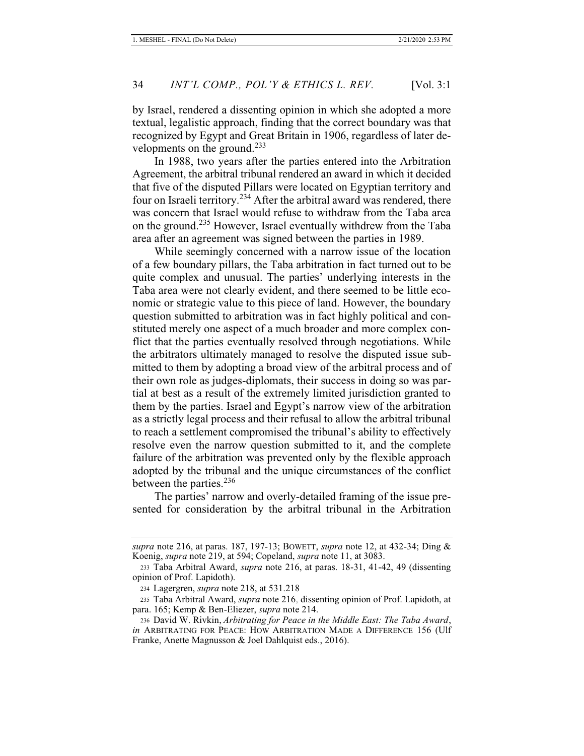by Israel, rendered a dissenting opinion in which she adopted a more textual, legalistic approach, finding that the correct boundary was that recognized by Egypt and Great Britain in 1906, regardless of later developments on the ground.<sup>233</sup>

In 1988, two years after the parties entered into the Arbitration Agreement, the arbitral tribunal rendered an award in which it decided that five of the disputed Pillars were located on Egyptian territory and four on Israeli territory.<sup>234</sup> After the arbitral award was rendered, there was concern that Israel would refuse to withdraw from the Taba area on the ground.235 However, Israel eventually withdrew from the Taba area after an agreement was signed between the parties in 1989.

While seemingly concerned with a narrow issue of the location of a few boundary pillars, the Taba arbitration in fact turned out to be quite complex and unusual. The parties' underlying interests in the Taba area were not clearly evident, and there seemed to be little economic or strategic value to this piece of land. However, the boundary question submitted to arbitration was in fact highly political and constituted merely one aspect of a much broader and more complex conflict that the parties eventually resolved through negotiations. While the arbitrators ultimately managed to resolve the disputed issue submitted to them by adopting a broad view of the arbitral process and of their own role as judges-diplomats, their success in doing so was partial at best as a result of the extremely limited jurisdiction granted to them by the parties. Israel and Egypt's narrow view of the arbitration as a strictly legal process and their refusal to allow the arbitral tribunal to reach a settlement compromised the tribunal's ability to effectively resolve even the narrow question submitted to it, and the complete failure of the arbitration was prevented only by the flexible approach adopted by the tribunal and the unique circumstances of the conflict between the parties.<sup>236</sup>

The parties' narrow and overly-detailed framing of the issue presented for consideration by the arbitral tribunal in the Arbitration

*supra* note 216, at paras. 187, 197-13; BOWETT, *supra* note 12, at 432-34; Ding & Koenig, *supra* note 219, at 594; Copeland, *supra* note 11, at 3083.

<sup>233</sup> Taba Arbitral Award, *supra* note 216, at paras. 18-31, 41-42, 49 (dissenting opinion of Prof. Lapidoth).

<sup>234</sup> Lagergren, *supra* note 218, at 531.218

<sup>235</sup> Taba Arbitral Award, *supra* note 216, dissenting opinion of Prof. Lapidoth, at para. 165; Kemp & Ben-Eliezer, *supra* note 214.

<sup>236</sup> David W. Rivkin, *Arbitrating for Peace in the Middle East: The Taba Award*, *in* ARBITRATING FOR PEACE: HOW ARBITRATION MADE A DIFFERENCE 156 (Ulf Franke, Anette Magnusson & Joel Dahlquist eds., 2016).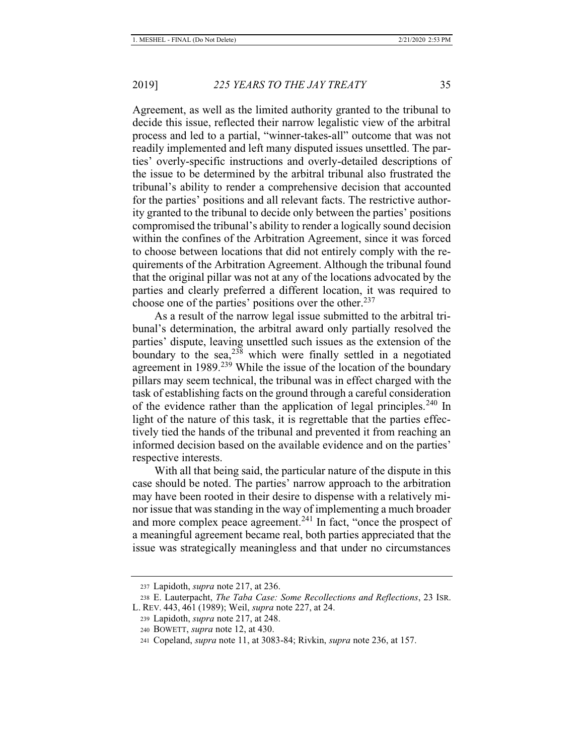Agreement, as well as the limited authority granted to the tribunal to decide this issue, reflected their narrow legalistic view of the arbitral process and led to a partial, "winner-takes-all" outcome that was not readily implemented and left many disputed issues unsettled. The parties' overly-specific instructions and overly-detailed descriptions of the issue to be determined by the arbitral tribunal also frustrated the tribunal's ability to render a comprehensive decision that accounted for the parties' positions and all relevant facts. The restrictive authority granted to the tribunal to decide only between the parties' positions compromised the tribunal's ability to render a logically sound decision within the confines of the Arbitration Agreement, since it was forced to choose between locations that did not entirely comply with the requirements of the Arbitration Agreement. Although the tribunal found that the original pillar was not at any of the locations advocated by the parties and clearly preferred a different location, it was required to choose one of the parties' positions over the other.<sup>237</sup>

As a result of the narrow legal issue submitted to the arbitral tribunal's determination, the arbitral award only partially resolved the parties' dispute, leaving unsettled such issues as the extension of the boundary to the sea,  $238$  which were finally settled in a negotiated agreement in 1989.<sup>239</sup> While the issue of the location of the boundary pillars may seem technical, the tribunal was in effect charged with the task of establishing facts on the ground through a careful consideration of the evidence rather than the application of legal principles.<sup>240</sup> In light of the nature of this task, it is regrettable that the parties effectively tied the hands of the tribunal and prevented it from reaching an informed decision based on the available evidence and on the parties' respective interests.

With all that being said, the particular nature of the dispute in this case should be noted. The parties' narrow approach to the arbitration may have been rooted in their desire to dispense with a relatively minor issue that was standing in the way of implementing a much broader and more complex peace agreement.<sup>241</sup> In fact, "once the prospect of a meaningful agreement became real, both parties appreciated that the issue was strategically meaningless and that under no circumstances

<sup>237</sup> Lapidoth, *supra* note 217, at 236.

<sup>238</sup> E. Lauterpacht, *The Taba Case: Some Recollections and Reflections*, 23 ISR. L. REV. 443, 461 (1989); Weil, *supra* note 227, at 24.

<sup>239</sup> Lapidoth, *supra* note 217, at 248.

<sup>240</sup> BOWETT, *supra* note 12, at 430.

<sup>241</sup> Copeland, *supra* note 11, at 3083-84; Rivkin, *supra* note 236, at 157.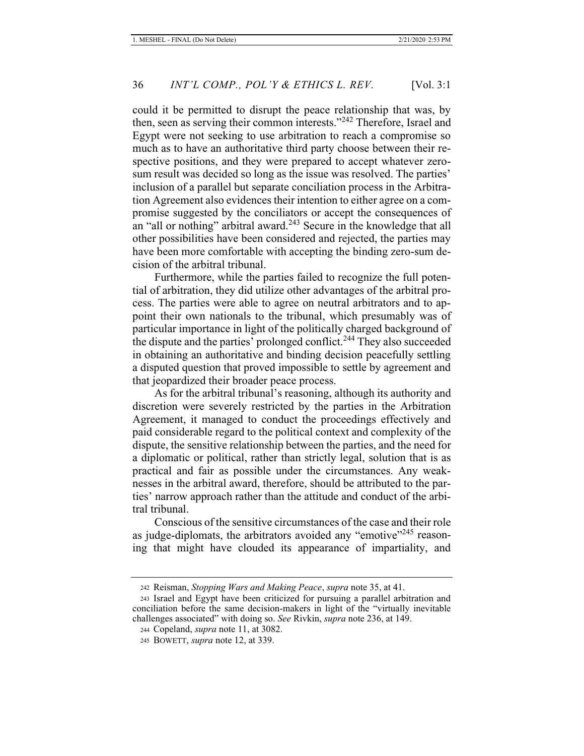could it be permitted to disrupt the peace relationship that was, by then, seen as serving their common interests."242 Therefore, Israel and Egypt were not seeking to use arbitration to reach a compromise so much as to have an authoritative third party choose between their respective positions, and they were prepared to accept whatever zerosum result was decided so long as the issue was resolved. The parties' inclusion of a parallel but separate conciliation process in the Arbitration Agreement also evidences their intention to either agree on a compromise suggested by the conciliators or accept the consequences of an "all or nothing" arbitral award. $243$  Secure in the knowledge that all other possibilities have been considered and rejected, the parties may have been more comfortable with accepting the binding zero-sum decision of the arbitral tribunal.

Furthermore, while the parties failed to recognize the full potential of arbitration, they did utilize other advantages of the arbitral process. The parties were able to agree on neutral arbitrators and to appoint their own nationals to the tribunal, which presumably was of particular importance in light of the politically charged background of the dispute and the parties' prolonged conflict.<sup>244</sup> They also succeeded in obtaining an authoritative and binding decision peacefully settling a disputed question that proved impossible to settle by agreement and that jeopardized their broader peace process.

As for the arbitral tribunal's reasoning, although its authority and discretion were severely restricted by the parties in the Arbitration Agreement, it managed to conduct the proceedings effectively and paid considerable regard to the political context and complexity of the dispute, the sensitive relationship between the parties, and the need for a diplomatic or political, rather than strictly legal, solution that is as practical and fair as possible under the circumstances. Any weaknesses in the arbitral award, therefore, should be attributed to the parties' narrow approach rather than the attitude and conduct of the arbitral tribunal.

Conscious of the sensitive circumstances of the case and their role as judge-diplomats, the arbitrators avoided any "emotive"<sup>245</sup> reasoning that might have clouded its appearance of impartiality, and

<sup>242</sup> Reisman, *Stopping Wars and Making Peace*, *supra* note 35, at 41.

<sup>243</sup> Israel and Egypt have been criticized for pursuing a parallel arbitration and conciliation before the same decision-makers in light of the "virtually inevitable challenges associated" with doing so. *See* Rivkin, *supra* note 236, at 149.

<sup>244</sup> Copeland, *supra* note 11, at 3082.

<sup>245</sup> BOWETT, *supra* note 12, at 339.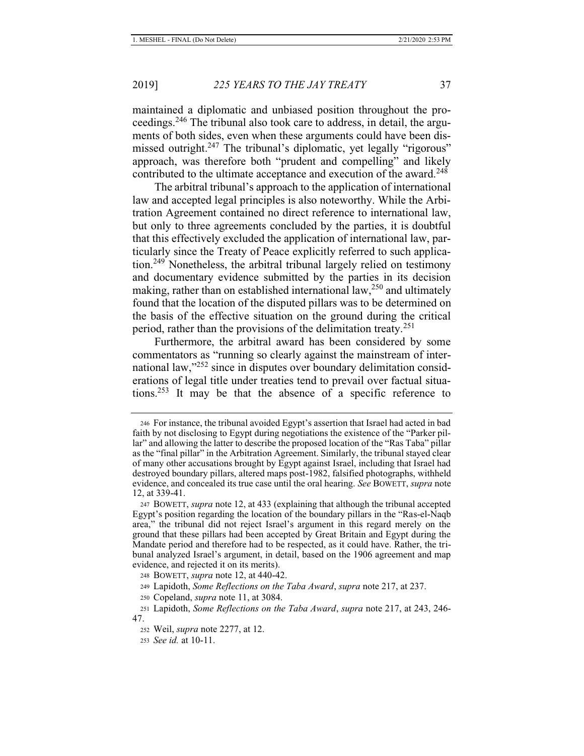maintained a diplomatic and unbiased position throughout the proceedings.246 The tribunal also took care to address, in detail, the arguments of both sides, even when these arguments could have been dismissed outright.<sup>247</sup> The tribunal's diplomatic, yet legally "rigorous" approach, was therefore both "prudent and compelling" and likely contributed to the ultimate acceptance and execution of the award.<sup>248</sup>

The arbitral tribunal's approach to the application of international law and accepted legal principles is also noteworthy. While the Arbitration Agreement contained no direct reference to international law, but only to three agreements concluded by the parties, it is doubtful that this effectively excluded the application of international law, particularly since the Treaty of Peace explicitly referred to such application.<sup>249</sup> Nonetheless, the arbitral tribunal largely relied on testimony and documentary evidence submitted by the parties in its decision making, rather than on established international law,  $250$  and ultimately found that the location of the disputed pillars was to be determined on the basis of the effective situation on the ground during the critical period, rather than the provisions of the delimitation treaty.<sup>251</sup>

Furthermore, the arbitral award has been considered by some commentators as "running so clearly against the mainstream of international law,"252 since in disputes over boundary delimitation considerations of legal title under treaties tend to prevail over factual situations.<sup>253</sup> It may be that the absence of a specific reference to

249 Lapidoth, *Some Reflections on the Taba Award*, *supra* note 217, at 237.

<sup>246</sup> For instance, the tribunal avoided Egypt's assertion that Israel had acted in bad faith by not disclosing to Egypt during negotiations the existence of the "Parker pillar" and allowing the latter to describe the proposed location of the "Ras Taba" pillar as the "final pillar" in the Arbitration Agreement. Similarly, the tribunal stayed clear of many other accusations brought by Egypt against Israel, including that Israel had destroyed boundary pillars, altered maps post-1982, falsified photographs, withheld evidence, and concealed its true case until the oral hearing. *See* BOWETT, *supra* note 12, at 339-41.

<sup>247</sup> BOWETT, *supra* note 12, at 433 (explaining that although the tribunal accepted Egypt's position regarding the location of the boundary pillars in the "Ras-el-Naqb area," the tribunal did not reject Israel's argument in this regard merely on the ground that these pillars had been accepted by Great Britain and Egypt during the Mandate period and therefore had to be respected, as it could have. Rather, the tribunal analyzed Israel's argument, in detail, based on the 1906 agreement and map evidence, and rejected it on its merits).

<sup>248</sup> BOWETT, *supra* note 12, at 440-42.

<sup>250</sup> Copeland, *supra* note 11, at 3084.

<sup>251</sup> Lapidoth, *Some Reflections on the Taba Award*, *supra* note 217, at 243, 246- 47.

<sup>252</sup> Weil, *supra* note 2277, at 12.

<sup>253</sup> *See id.* at 10-11.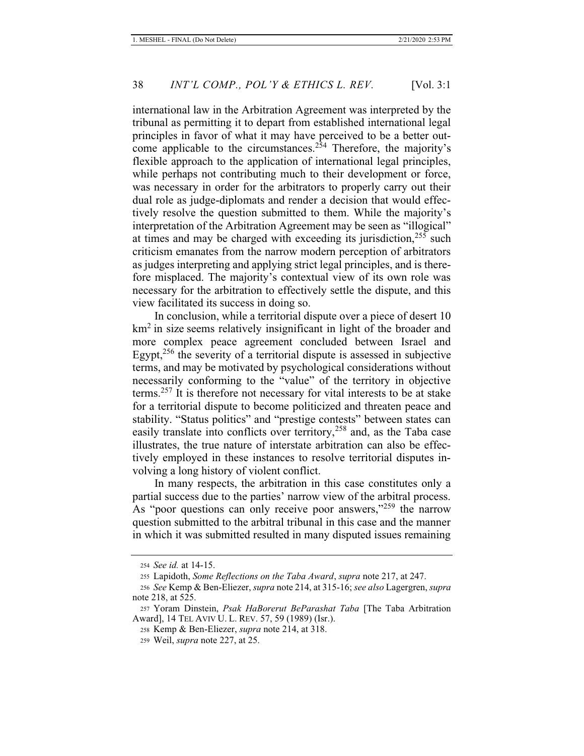international law in the Arbitration Agreement was interpreted by the tribunal as permitting it to depart from established international legal principles in favor of what it may have perceived to be a better outcome applicable to the circumstances.<sup> $2\bar{5}4$ </sup> Therefore, the majority's flexible approach to the application of international legal principles, while perhaps not contributing much to their development or force, was necessary in order for the arbitrators to properly carry out their dual role as judge-diplomats and render a decision that would effectively resolve the question submitted to them. While the majority's interpretation of the Arbitration Agreement may be seen as "illogical" at times and may be charged with exceeding its jurisdiction, $255$  such criticism emanates from the narrow modern perception of arbitrators as judges interpreting and applying strict legal principles, and is therefore misplaced. The majority's contextual view of its own role was necessary for the arbitration to effectively settle the dispute, and this view facilitated its success in doing so.

In conclusion, while a territorial dispute over a piece of desert 10  $km<sup>2</sup>$  in size seems relatively insignificant in light of the broader and more complex peace agreement concluded between Israel and Egypt,<sup>256</sup> the severity of a territorial dispute is assessed in subjective terms, and may be motivated by psychological considerations without necessarily conforming to the "value" of the territory in objective terms.<sup>257</sup> It is therefore not necessary for vital interests to be at stake for a territorial dispute to become politicized and threaten peace and stability. "Status politics" and "prestige contests" between states can easily translate into conflicts over territory,<sup>258</sup> and, as the Taba case illustrates, the true nature of interstate arbitration can also be effectively employed in these instances to resolve territorial disputes involving a long history of violent conflict.

In many respects, the arbitration in this case constitutes only a partial success due to the parties' narrow view of the arbitral process. As "poor questions can only receive poor answers,"<sup>259</sup> the narrow question submitted to the arbitral tribunal in this case and the manner in which it was submitted resulted in many disputed issues remaining

<sup>254</sup> *See id.* at 14-15.

<sup>255</sup> Lapidoth, *Some Reflections on the Taba Award*, *supra* note 217, at 247.

<sup>256</sup> *See* Kemp & Ben-Eliezer, *supra* note 214, at 315-16; *see also* Lagergren, *supra*  note 218, at 525.

<sup>257</sup> Yoram Dinstein, *Psak HaBorerut BeParashat Taba* [The Taba Arbitration Award], 14 TEL AVIV U. L. REV. 57, 59 (1989) (Isr.).

<sup>258</sup> Kemp & Ben-Eliezer, *supra* note 214, at 318.

<sup>259</sup> Weil, *supra* note 227, at 25.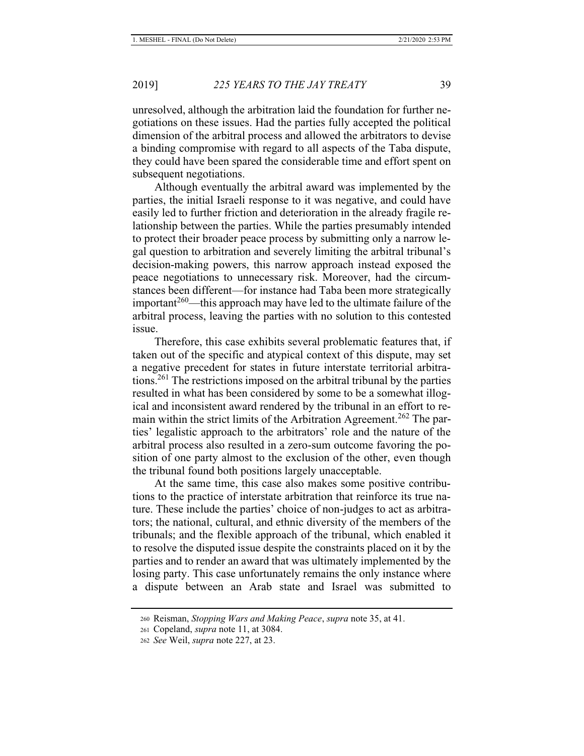unresolved, although the arbitration laid the foundation for further negotiations on these issues. Had the parties fully accepted the political dimension of the arbitral process and allowed the arbitrators to devise a binding compromise with regard to all aspects of the Taba dispute, they could have been spared the considerable time and effort spent on subsequent negotiations.

Although eventually the arbitral award was implemented by the parties, the initial Israeli response to it was negative, and could have easily led to further friction and deterioration in the already fragile relationship between the parties. While the parties presumably intended to protect their broader peace process by submitting only a narrow legal question to arbitration and severely limiting the arbitral tribunal's decision-making powers, this narrow approach instead exposed the peace negotiations to unnecessary risk. Moreover, had the circumstances been different—for instance had Taba been more strategically important<sup>260</sup>—this approach may have led to the ultimate failure of the arbitral process, leaving the parties with no solution to this contested issue.

Therefore, this case exhibits several problematic features that, if taken out of the specific and atypical context of this dispute, may set a negative precedent for states in future interstate territorial arbitrations.261 The restrictions imposed on the arbitral tribunal by the parties resulted in what has been considered by some to be a somewhat illogical and inconsistent award rendered by the tribunal in an effort to remain within the strict limits of the Arbitration Agreement.<sup>262</sup> The parties' legalistic approach to the arbitrators' role and the nature of the arbitral process also resulted in a zero-sum outcome favoring the position of one party almost to the exclusion of the other, even though the tribunal found both positions largely unacceptable.

At the same time, this case also makes some positive contributions to the practice of interstate arbitration that reinforce its true nature. These include the parties' choice of non-judges to act as arbitrators; the national, cultural, and ethnic diversity of the members of the tribunals; and the flexible approach of the tribunal, which enabled it to resolve the disputed issue despite the constraints placed on it by the parties and to render an award that was ultimately implemented by the losing party. This case unfortunately remains the only instance where a dispute between an Arab state and Israel was submitted to

<sup>260</sup> Reisman, *Stopping Wars and Making Peace*, *supra* note 35, at 41.

<sup>261</sup> Copeland, *supra* note 11, at 3084.

<sup>262</sup> *See* Weil, *supra* note 227, at 23.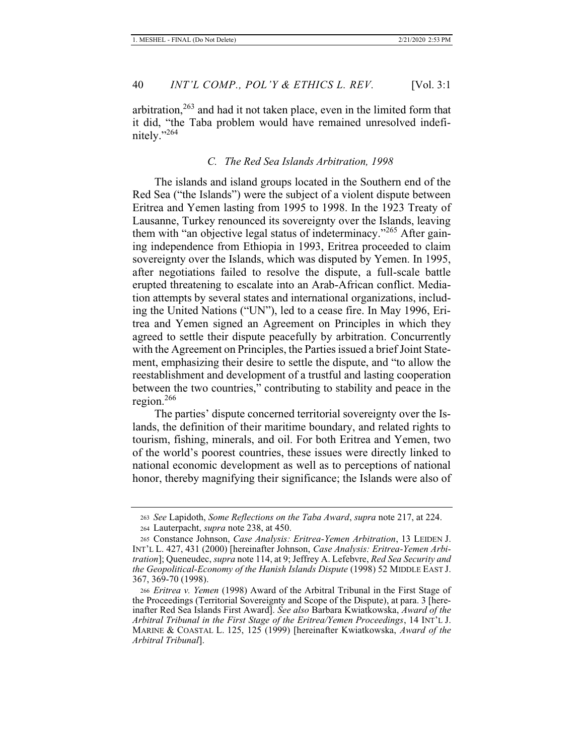arbitration, $2^{63}$  and had it not taken place, even in the limited form that it did, "the Taba problem would have remained unresolved indefinitely."264

#### *C. The Red Sea Islands Arbitration, 1998*

The islands and island groups located in the Southern end of the Red Sea ("the Islands") were the subject of a violent dispute between Eritrea and Yemen lasting from 1995 to 1998. In the 1923 Treaty of Lausanne, Turkey renounced its sovereignty over the Islands, leaving them with "an objective legal status of indeterminacy."<sup>265</sup> After gaining independence from Ethiopia in 1993, Eritrea proceeded to claim sovereignty over the Islands, which was disputed by Yemen. In 1995, after negotiations failed to resolve the dispute, a full-scale battle erupted threatening to escalate into an Arab-African conflict. Mediation attempts by several states and international organizations, including the United Nations ("UN"), led to a cease fire. In May 1996, Eritrea and Yemen signed an Agreement on Principles in which they agreed to settle their dispute peacefully by arbitration. Concurrently with the Agreement on Principles, the Parties issued a brief Joint Statement, emphasizing their desire to settle the dispute, and "to allow the reestablishment and development of a trustful and lasting cooperation between the two countries," contributing to stability and peace in the region.<sup>266</sup>

The parties' dispute concerned territorial sovereignty over the Islands, the definition of their maritime boundary, and related rights to tourism, fishing, minerals, and oil. For both Eritrea and Yemen, two of the world's poorest countries, these issues were directly linked to national economic development as well as to perceptions of national honor, thereby magnifying their significance; the Islands were also of

<sup>263</sup> *See* Lapidoth, *Some Reflections on the Taba Award*, *supra* note 217, at 224. 264 Lauterpacht, *supra* note 238, at 450.

<sup>265</sup> Constance Johnson, *Case Analysis: Eritrea-Yemen Arbitration*, 13 LEIDEN J. INT'L L. 427, 431 (2000) [hereinafter Johnson, *Case Analysis: Eritrea-Yemen Arbitration*]; Queneudec, *supra* note 114, at 9; Jeffrey A. Lefebvre, *Red Sea Security and the Geopolitical-Economy of the Hanish Islands Dispute* (1998) 52 MIDDLE EAST J. 367, 369-70 (1998).

<sup>266</sup> *Eritrea v. Yemen* (1998) Award of the Arbitral Tribunal in the First Stage of the Proceedings (Territorial Sovereignty and Scope of the Dispute), at para. 3 [hereinafter Red Sea Islands First Award]. *See also* Barbara Kwiatkowska, *Award of the Arbitral Tribunal in the First Stage of the Eritrea/Yemen Proceedings*, 14 INT'L J. MARINE & COASTAL L. 125, 125 (1999) [hereinafter Kwiatkowska, *Award of the Arbitral Tribunal*].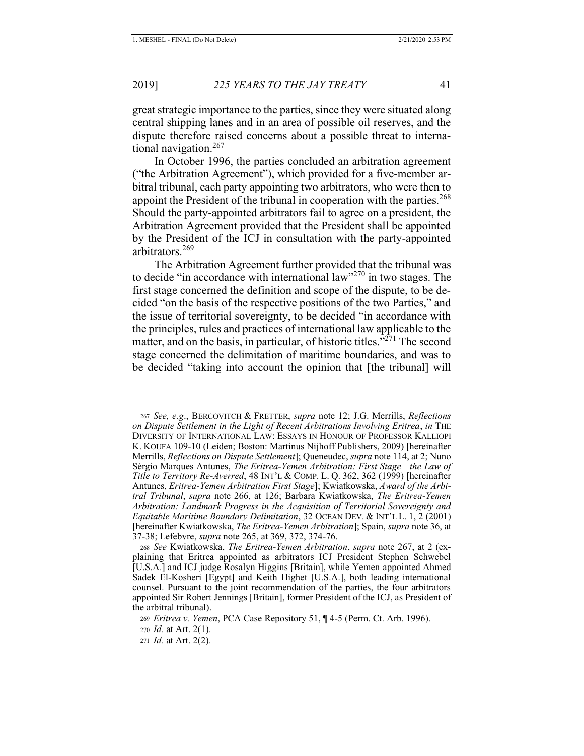great strategic importance to the parties, since they were situated along central shipping lanes and in an area of possible oil reserves, and the dispute therefore raised concerns about a possible threat to international navigation.<sup>267</sup>

In October 1996, the parties concluded an arbitration agreement ("the Arbitration Agreement"), which provided for a five-member arbitral tribunal, each party appointing two arbitrators, who were then to appoint the President of the tribunal in cooperation with the parties.<sup>268</sup> Should the party-appointed arbitrators fail to agree on a president, the Arbitration Agreement provided that the President shall be appointed by the President of the ICJ in consultation with the party-appointed arbitrators.<sup>269</sup>

The Arbitration Agreement further provided that the tribunal was to decide "in accordance with international law"270 in two stages. The first stage concerned the definition and scope of the dispute, to be decided "on the basis of the respective positions of the two Parties," and the issue of territorial sovereignty, to be decided "in accordance with the principles, rules and practices of international law applicable to the matter, and on the basis, in particular, of historic titles."<sup>271</sup> The second stage concerned the delimitation of maritime boundaries, and was to be decided "taking into account the opinion that [the tribunal] will

<sup>267</sup> *See, e.g*., BERCOVITCH & FRETTER, *supra* note 12; J.G. Merrills, *Reflections on Dispute Settlement in the Light of Recent Arbitrations Involving Eritrea*, *in* THE DIVERSITY OF INTERNATIONAL LAW: ESSAYS IN HONOUR OF PROFESSOR KALLIOPI K. KOUFA 109-10 (Leiden; Boston: Martinus Nijhoff Publishers, 2009) [hereinafter Merrills, *Reflections on Dispute Settlement*]; Queneudec, *supra* note 114, at 2; Nuno Sérgio Marques Antunes, *The Eritrea-Yemen Arbitration: First Stage—the Law of Title to Territory Re-Averred*, 48 INT'L & COMP. L. Q. 362, 362 (1999) [hereinafter Antunes, *Eritrea-Yemen Arbitration First Stage*]; Kwiatkowska, *Award of the Arbitral Tribunal*, *supra* note 266, at 126; Barbara Kwiatkowska, *The Eritrea-Yemen Arbitration: Landmark Progress in the Acquisition of Territorial Sovereignty and Equitable Maritime Boundary Delimitation*, 32 OCEAN DEV. & INT'L L. 1, 2 (2001) [hereinafter Kwiatkowska, *The Eritrea-Yemen Arbitration*]; Spain, *supra* note 36, at 37-38; Lefebvre, *supra* note 265, at 369, 372, 374-76.

<sup>268</sup> *See* Kwiatkowska, *The Eritrea-Yemen Arbitration*, *supra* note 267, at 2 (explaining that Eritrea appointed as arbitrators ICJ President Stephen Schwebel [U.S.A.] and ICJ judge Rosalyn Higgins [Britain], while Yemen appointed Ahmed Sadek El-Kosheri [Egypt] and Keith Highet [U.S.A.], both leading international counsel. Pursuant to the joint recommendation of the parties, the four arbitrators appointed Sir Robert Jennings [Britain], former President of the ICJ, as President of the arbitral tribunal).

<sup>269</sup> *Eritrea v. Yemen*, PCA Case Repository 51, ¶ 4-5 (Perm. Ct. Arb. 1996).

<sup>270</sup> *Id.* at Art. 2(1).

<sup>271</sup> *Id.* at Art. 2(2).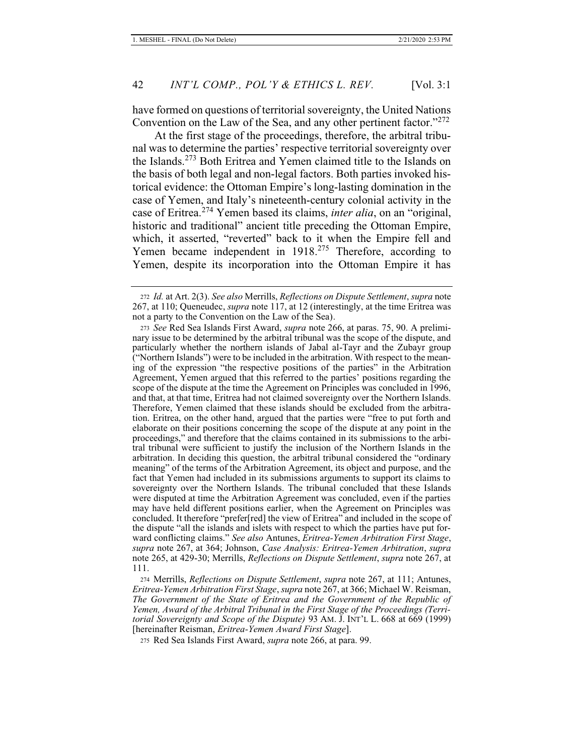have formed on questions of territorial sovereignty, the United Nations Convention on the Law of the Sea, and any other pertinent factor."<sup>272</sup>

At the first stage of the proceedings, therefore, the arbitral tribunal was to determine the parties' respective territorial sovereignty over the Islands.273 Both Eritrea and Yemen claimed title to the Islands on the basis of both legal and non-legal factors. Both parties invoked historical evidence: the Ottoman Empire's long-lasting domination in the case of Yemen, and Italy's nineteenth-century colonial activity in the case of Eritrea.274 Yemen based its claims, *inter alia*, on an "original, historic and traditional" ancient title preceding the Ottoman Empire, which, it asserted, "reverted" back to it when the Empire fell and Yemen became independent in 1918.<sup>275</sup> Therefore, according to Yemen, despite its incorporation into the Ottoman Empire it has

275 Red Sea Islands First Award, *supra* note 266, at para. 99.

<sup>272</sup> *Id.* at Art. 2(3). *See also* Merrills, *Reflections on Dispute Settlement*, *supra* note 267, at 110; Queneudec, *supra* note 117, at 12 (interestingly, at the time Eritrea was not a party to the Convention on the Law of the Sea).

<sup>273</sup> *See* Red Sea Islands First Award, *supra* note 266, at paras. 75, 90. A preliminary issue to be determined by the arbitral tribunal was the scope of the dispute, and particularly whether the northern islands of Jabal al-Tayr and the Zubayr group ("Northern Islands") were to be included in the arbitration. With respect to the meaning of the expression "the respective positions of the parties" in the Arbitration Agreement, Yemen argued that this referred to the parties' positions regarding the scope of the dispute at the time the Agreement on Principles was concluded in 1996, and that, at that time, Eritrea had not claimed sovereignty over the Northern Islands. Therefore, Yemen claimed that these islands should be excluded from the arbitration. Eritrea, on the other hand, argued that the parties were "free to put forth and elaborate on their positions concerning the scope of the dispute at any point in the proceedings," and therefore that the claims contained in its submissions to the arbitral tribunal were sufficient to justify the inclusion of the Northern Islands in the arbitration. In deciding this question, the arbitral tribunal considered the "ordinary meaning" of the terms of the Arbitration Agreement, its object and purpose, and the fact that Yemen had included in its submissions arguments to support its claims to sovereignty over the Northern Islands. The tribunal concluded that these Islands were disputed at time the Arbitration Agreement was concluded, even if the parties may have held different positions earlier, when the Agreement on Principles was concluded. It therefore "prefer[red] the view of Eritrea" and included in the scope of the dispute "all the islands and islets with respect to which the parties have put forward conflicting claims." *See also* Antunes, *Eritrea-Yemen Arbitration First Stage*, *supra* note 267, at 364; Johnson, *Case Analysis: Eritrea-Yemen Arbitration*, *supra*  note 265, at 429-30; Merrills, *Reflections on Dispute Settlement*, *supra* note 267, at 111.

<sup>274</sup> Merrills, *Reflections on Dispute Settlement*, *supra* note 267, at 111; Antunes, *Eritrea-Yemen Arbitration First Stage*, *supra* note 267, at 366; Michael W. Reisman, *The Government of the State of Eritrea and the Government of the Republic of Yemen, Award of the Arbitral Tribunal in the First Stage of the Proceedings (Territorial Sovereignty and Scope of the Dispute)* 93 AM. J. INT'L L. 668 at 669 (1999) [hereinafter Reisman, *Eritrea-Yemen Award First Stage*].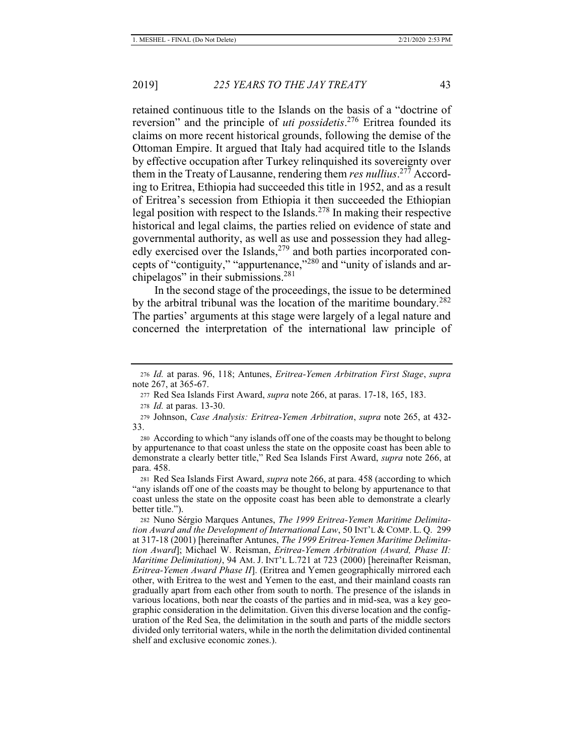retained continuous title to the Islands on the basis of a "doctrine of reversion" and the principle of *uti possidetis*. 276 Eritrea founded its claims on more recent historical grounds, following the demise of the Ottoman Empire. It argued that Italy had acquired title to the Islands by effective occupation after Turkey relinquished its sovereignty over them in the Treaty of Lausanne, rendering them *res nullius*. 277 According to Eritrea, Ethiopia had succeeded this title in 1952, and as a result of Eritrea's secession from Ethiopia it then succeeded the Ethiopian legal position with respect to the Islands.<sup>278</sup> In making their respective historical and legal claims, the parties relied on evidence of state and governmental authority, as well as use and possession they had allegedly exercised over the Islands, $279$  and both parties incorporated concepts of "contiguity," "appurtenance,"<sup>280</sup> and "unity of islands and archipelagos" in their submissions.<sup>281</sup>

In the second stage of the proceedings, the issue to be determined by the arbitral tribunal was the location of the maritime boundary.<sup>282</sup> The parties' arguments at this stage were largely of a legal nature and concerned the interpretation of the international law principle of

<sup>276</sup> *Id.* at paras. 96, 118; Antunes, *Eritrea-Yemen Arbitration First Stage*, *supra*  note 267, at 365-67.

<sup>277</sup> Red Sea Islands First Award, *supra* note 266, at paras. 17-18, 165, 183.

<sup>278</sup> *Id.* at paras. 13-30.

<sup>279</sup> Johnson, *Case Analysis: Eritrea-Yemen Arbitration*, *supra* note 265, at 432- 33.

<sup>280</sup> According to which "any islands off one of the coasts may be thought to belong by appurtenance to that coast unless the state on the opposite coast has been able to demonstrate a clearly better title," Red Sea Islands First Award, *supra* note 266, at para. 458.

<sup>281</sup> Red Sea Islands First Award, *supra* note 266, at para. 458 (according to which "any islands off one of the coasts may be thought to belong by appurtenance to that coast unless the state on the opposite coast has been able to demonstrate a clearly better title.").

<sup>282</sup> Nuno Sérgio Marques Antunes, *The 1999 Eritrea-Yemen Maritime Delimitation Award and the Development of International Law*, 50 INT'L & COMP. L. Q. 299 at 317-18 (2001) [hereinafter Antunes, *The 1999 Eritrea-Yemen Maritime Delimitation Award*]; Michael W. Reisman, *Eritrea-Yemen Arbitration (Award, Phase II: Maritime Delimitation)*, 94 AM. J. INT'L L.721 at 723 (2000) [hereinafter Reisman, *Eritrea-Yemen Award Phase II*]. (Eritrea and Yemen geographically mirrored each other, with Eritrea to the west and Yemen to the east, and their mainland coasts ran gradually apart from each other from south to north. The presence of the islands in various locations, both near the coasts of the parties and in mid-sea, was a key geographic consideration in the delimitation. Given this diverse location and the configuration of the Red Sea, the delimitation in the south and parts of the middle sectors divided only territorial waters, while in the north the delimitation divided continental shelf and exclusive economic zones.).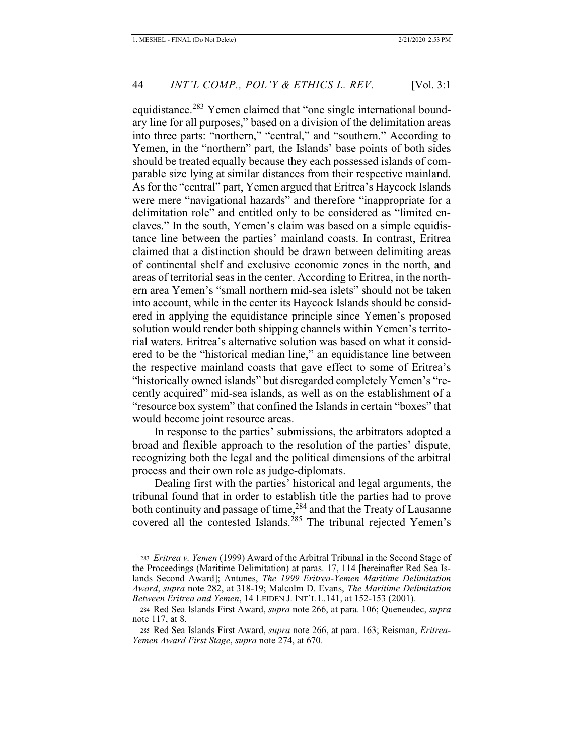equidistance.<sup>283</sup> Yemen claimed that "one single international boundary line for all purposes," based on a division of the delimitation areas into three parts: "northern," "central," and "southern." According to Yemen, in the "northern" part, the Islands' base points of both sides should be treated equally because they each possessed islands of comparable size lying at similar distances from their respective mainland. As for the "central" part, Yemen argued that Eritrea's Haycock Islands were mere "navigational hazards" and therefore "inappropriate for a delimitation role" and entitled only to be considered as "limited enclaves." In the south, Yemen's claim was based on a simple equidistance line between the parties' mainland coasts. In contrast, Eritrea claimed that a distinction should be drawn between delimiting areas of continental shelf and exclusive economic zones in the north, and areas of territorial seas in the center. According to Eritrea, in the northern area Yemen's "small northern mid-sea islets" should not be taken into account, while in the center its Haycock Islands should be considered in applying the equidistance principle since Yemen's proposed solution would render both shipping channels within Yemen's territorial waters. Eritrea's alternative solution was based on what it considered to be the "historical median line," an equidistance line between the respective mainland coasts that gave effect to some of Eritrea's "historically owned islands" but disregarded completely Yemen's "recently acquired" mid-sea islands, as well as on the establishment of a "resource box system" that confined the Islands in certain "boxes" that would become joint resource areas.

In response to the parties' submissions, the arbitrators adopted a broad and flexible approach to the resolution of the parties' dispute, recognizing both the legal and the political dimensions of the arbitral process and their own role as judge-diplomats.

Dealing first with the parties' historical and legal arguments, the tribunal found that in order to establish title the parties had to prove both continuity and passage of time,<sup>284</sup> and that the Treaty of Lausanne covered all the contested Islands.<sup>285</sup> The tribunal rejected Yemen's

<sup>283</sup> *Eritrea v. Yemen* (1999) Award of the Arbitral Tribunal in the Second Stage of the Proceedings (Maritime Delimitation) at paras. 17, 114 [hereinafter Red Sea Islands Second Award]; Antunes, *The 1999 Eritrea-Yemen Maritime Delimitation Award*, *supra* note 282, at 318-19; Malcolm D. Evans, *The Maritime Delimitation Between Eritrea and Yemen*, 14 LEIDEN J. INT'L L.141, at 152-153 (2001).

<sup>284</sup> Red Sea Islands First Award, *supra* note 266, at para. 106; Queneudec, *supra*  note 117, at 8.

<sup>285</sup> Red Sea Islands First Award, *supra* note 266, at para. 163; Reisman, *Eritrea-Yemen Award First Stage*, *supra* note 274, at 670.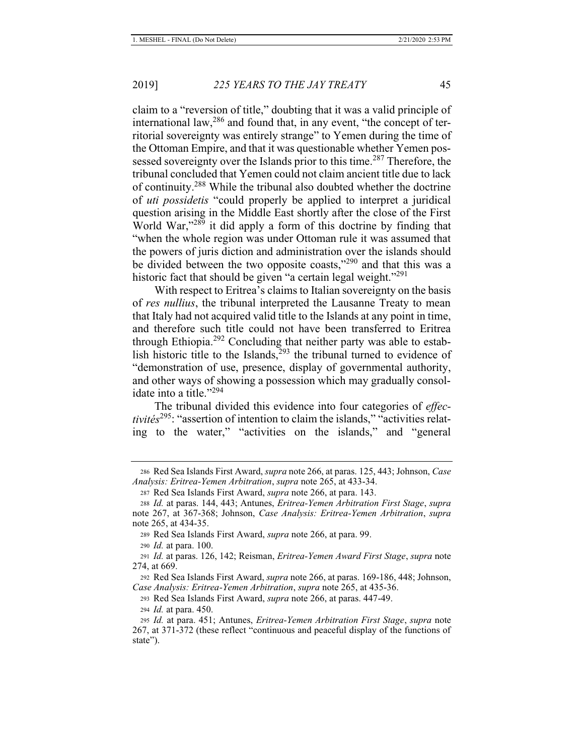claim to a "reversion of title," doubting that it was a valid principle of international law, $286$  and found that, in any event, "the concept of territorial sovereignty was entirely strange" to Yemen during the time of the Ottoman Empire, and that it was questionable whether Yemen possessed sovereignty over the Islands prior to this time.<sup>287</sup> Therefore, the tribunal concluded that Yemen could not claim ancient title due to lack of continuity.<sup>288</sup> While the tribunal also doubted whether the doctrine of *uti possidetis* "could properly be applied to interpret a juridical question arising in the Middle East shortly after the close of the First World War,"<sup>289</sup> it did apply a form of this doctrine by finding that "when the whole region was under Ottoman rule it was assumed that the powers of juris diction and administration over the islands should be divided between the two opposite coasts,"<sup>290</sup> and that this was a historic fact that should be given "a certain legal weight."<sup>291</sup>

With respect to Eritrea's claims to Italian sovereignty on the basis of *res nullius*, the tribunal interpreted the Lausanne Treaty to mean that Italy had not acquired valid title to the Islands at any point in time, and therefore such title could not have been transferred to Eritrea through Ethiopia. $292$  Concluding that neither party was able to establish historic title to the Islands, $293$  the tribunal turned to evidence of "demonstration of use, presence, display of governmental authority, and other ways of showing a possession which may gradually consolidate into a title."<sup>294</sup>

The tribunal divided this evidence into four categories of *effectivités*<sup>295</sup>: "assertion of intention to claim the islands," "activities relating to the water," "activities on the islands," and "general

<sup>290</sup> *Id.* at para. 100.

<sup>286</sup> Red Sea Islands First Award, *supra* note 266, at paras. 125, 443; Johnson, *Case Analysis: Eritrea-Yemen Arbitration*, *supra* note 265, at 433-34.

<sup>287</sup> Red Sea Islands First Award, *supra* note 266, at para. 143.

<sup>288</sup> *Id.* at paras. 144, 443; Antunes, *Eritrea-Yemen Arbitration First Stage*, *supra*  note 267, at 367-368; Johnson, *Case Analysis: Eritrea-Yemen Arbitration*, *supra*  note 265, at 434-35.

<sup>289</sup> Red Sea Islands First Award, *supra* note 266, at para. 99.

<sup>291</sup> *Id.* at paras. 126, 142; Reisman, *Eritrea-Yemen Award First Stage*, *supra* note 274, at 669.

<sup>292</sup> Red Sea Islands First Award, *supra* note 266, at paras. 169-186, 448; Johnson, *Case Analysis: Eritrea-Yemen Arbitration*, *supra* note 265, at 435-36.

<sup>293</sup> Red Sea Islands First Award, *supra* note 266, at paras. 447-49.

<sup>294</sup> *Id.* at para. 450.

<sup>295</sup> *Id.* at para. 451; Antunes, *Eritrea-Yemen Arbitration First Stage*, *supra* note 267, at 371-372 (these reflect "continuous and peaceful display of the functions of state").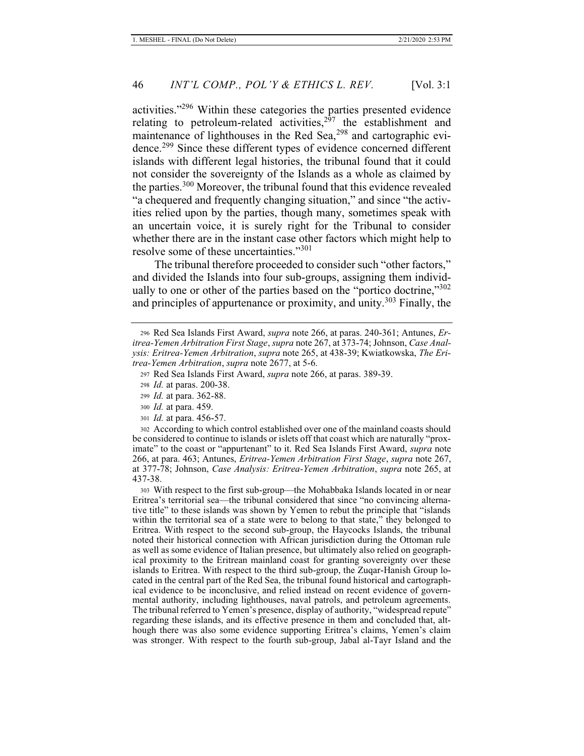activities."<sup>296</sup> Within these categories the parties presented evidence relating to petroleum-related activities,  $2^{57}$  the establishment and maintenance of lighthouses in the Red Sea,<sup>298</sup> and cartographic evidence.299 Since these different types of evidence concerned different islands with different legal histories, the tribunal found that it could not consider the sovereignty of the Islands as a whole as claimed by the parties.<sup>300</sup> Moreover, the tribunal found that this evidence revealed "a chequered and frequently changing situation," and since "the activities relied upon by the parties, though many, sometimes speak with an uncertain voice, it is surely right for the Tribunal to consider whether there are in the instant case other factors which might help to resolve some of these uncertainties."<sup>301</sup>

The tribunal therefore proceeded to consider such "other factors," and divided the Islands into four sub-groups, assigning them individually to one or other of the parties based on the "portico doctrine,"<sup>302</sup> and principles of appurtenance or proximity, and unity.<sup>303</sup> Finally, the

302 According to which control established over one of the mainland coasts should be considered to continue to islands or islets off that coast which are naturally "proximate" to the coast or "appurtenant" to it. Red Sea Islands First Award, *supra* note 266, at para. 463; Antunes, *Eritrea-Yemen Arbitration First Stage*, *supra* note 267, at 377-78; Johnson, *Case Analysis: Eritrea-Yemen Arbitration*, *supra* note 265, at 437-38.

303 With respect to the first sub-group—the Mohabbaka Islands located in or near Eritrea's territorial sea—the tribunal considered that since "no convincing alternative title" to these islands was shown by Yemen to rebut the principle that "islands within the territorial sea of a state were to belong to that state," they belonged to Eritrea. With respect to the second sub-group, the Haycocks Islands, the tribunal noted their historical connection with African jurisdiction during the Ottoman rule as well as some evidence of Italian presence, but ultimately also relied on geographical proximity to the Eritrean mainland coast for granting sovereignty over these islands to Eritrea. With respect to the third sub-group, the Zuqar-Hanish Group located in the central part of the Red Sea, the tribunal found historical and cartographical evidence to be inconclusive, and relied instead on recent evidence of governmental authority, including lighthouses, naval patrols, and petroleum agreements. The tribunal referred to Yemen's presence, display of authority, "widespread repute" regarding these islands, and its effective presence in them and concluded that, although there was also some evidence supporting Eritrea's claims, Yemen's claim was stronger. With respect to the fourth sub-group, Jabal al-Tayr Island and the

<sup>296</sup> Red Sea Islands First Award, *supra* note 266, at paras. 240-361; Antunes, *Eritrea-Yemen Arbitration First Stage*, *supra* note 267, at 373-74; Johnson, *Case Analysis: Eritrea-Yemen Arbitration*, *supra* note 265, at 438-39; Kwiatkowska, *The Eritrea-Yemen Arbitration*, *supra* note 2677, at 5-6.

<sup>297</sup> Red Sea Islands First Award, *supra* note 266, at paras. 389-39.

<sup>298</sup> *Id.* at paras. 200-38.

<sup>299</sup> *Id.* at para. 362-88.

<sup>300</sup> *Id.* at para. 459.

<sup>301</sup> *Id.* at para. 456-57.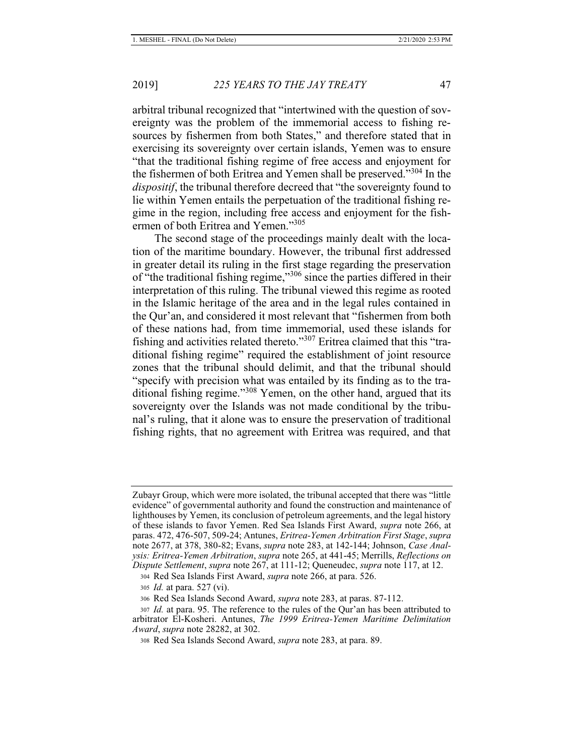arbitral tribunal recognized that "intertwined with the question of sovereignty was the problem of the immemorial access to fishing resources by fishermen from both States," and therefore stated that in exercising its sovereignty over certain islands, Yemen was to ensure "that the traditional fishing regime of free access and enjoyment for the fishermen of both Eritrea and Yemen shall be preserved."304 In the *dispositif*, the tribunal therefore decreed that "the sovereignty found to lie within Yemen entails the perpetuation of the traditional fishing regime in the region, including free access and enjoyment for the fishermen of both Eritrea and Yemen."<sup>305</sup>

The second stage of the proceedings mainly dealt with the location of the maritime boundary. However, the tribunal first addressed in greater detail its ruling in the first stage regarding the preservation of "the traditional fishing regime,"306 since the parties differed in their interpretation of this ruling. The tribunal viewed this regime as rooted in the Islamic heritage of the area and in the legal rules contained in the Qur'an, and considered it most relevant that "fishermen from both of these nations had, from time immemorial, used these islands for fishing and activities related thereto."<sup>307</sup> Eritrea claimed that this "traditional fishing regime" required the establishment of joint resource zones that the tribunal should delimit, and that the tribunal should "specify with precision what was entailed by its finding as to the traditional fishing regime."<sup>308</sup> Yemen, on the other hand, argued that its sovereignty over the Islands was not made conditional by the tribunal's ruling, that it alone was to ensure the preservation of traditional fishing rights, that no agreement with Eritrea was required, and that

Zubayr Group, which were more isolated, the tribunal accepted that there was "little evidence" of governmental authority and found the construction and maintenance of lighthouses by Yemen, its conclusion of petroleum agreements, and the legal history of these islands to favor Yemen. Red Sea Islands First Award, *supra* note 266, at paras. 472, 476-507, 509-24; Antunes, *Eritrea-Yemen Arbitration First Stage*, *supra*  note 2677, at 378, 380-82; Evans, *supra* note 283, at 142-144; Johnson, *Case Analysis: Eritrea-Yemen Arbitration*, *supra* note 265, at 441-45; Merrills, *Reflections on Dispute Settlement*, *supra* note 267, at 111-12; Queneudec, *supra* note 117, at 12.

<sup>304</sup> Red Sea Islands First Award, *supra* note 266, at para. 526.

<sup>305</sup> *Id.* at para. 527 (vi).

<sup>306</sup> Red Sea Islands Second Award, *supra* note 283, at paras. 87-112.

<sup>307</sup> *Id.* at para. 95. The reference to the rules of the Qur'an has been attributed to arbitrator El-Kosheri. Antunes, *The 1999 Eritrea-Yemen Maritime Delimitation Award*, *supra* note 28282, at 302.

<sup>308</sup> Red Sea Islands Second Award, *supra* note 283, at para. 89.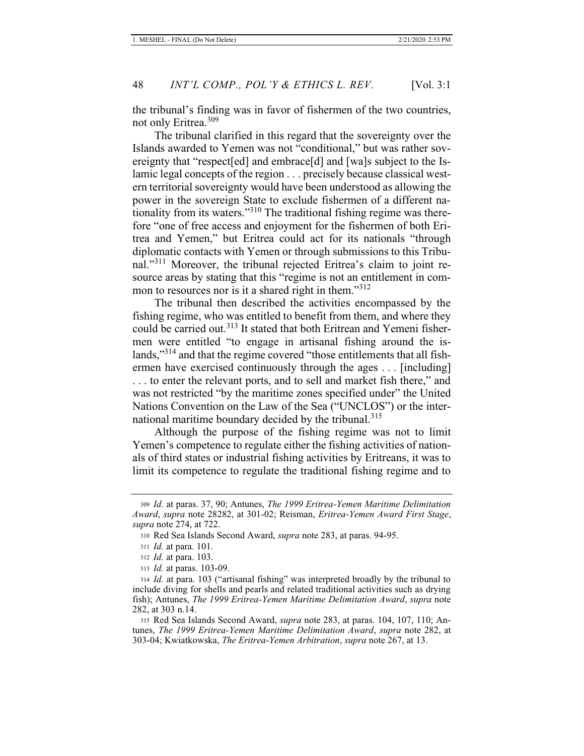the tribunal's finding was in favor of fishermen of the two countries, not only Eritrea.<sup>309</sup>

The tribunal clarified in this regard that the sovereignty over the Islands awarded to Yemen was not "conditional," but was rather sovereignty that "respect[ed] and embrace[d] and [wa]s subject to the Islamic legal concepts of the region . . . precisely because classical western territorial sovereignty would have been understood as allowing the power in the sovereign State to exclude fishermen of a different nationality from its waters."<sup>310</sup> The traditional fishing regime was therefore "one of free access and enjoyment for the fishermen of both Eritrea and Yemen," but Eritrea could act for its nationals "through diplomatic contacts with Yemen or through submissions to this Tribunal."<sup>311</sup> Moreover, the tribunal rejected Eritrea's claim to joint resource areas by stating that this "regime is not an entitlement in common to resources nor is it a shared right in them."<sup>312</sup>

The tribunal then described the activities encompassed by the fishing regime, who was entitled to benefit from them, and where they could be carried out.<sup>313</sup> It stated that both Eritrean and Yemeni fishermen were entitled "to engage in artisanal fishing around the islands,"<sup>314</sup> and that the regime covered "those entitlements that all fishermen have exercised continuously through the ages . . . [including] . . . to enter the relevant ports, and to sell and market fish there," and was not restricted "by the maritime zones specified under" the United Nations Convention on the Law of the Sea ("UNCLOS") or the international maritime boundary decided by the tribunal.<sup>315</sup>

Although the purpose of the fishing regime was not to limit Yemen's competence to regulate either the fishing activities of nationals of third states or industrial fishing activities by Eritreans, it was to limit its competence to regulate the traditional fishing regime and to

<sup>309</sup> *Id.* at paras. 37, 90; Antunes, *The 1999 Eritrea-Yemen Maritime Delimitation Award*, *supra* note 28282, at 301-02; Reisman, *Eritrea-Yemen Award First Stage*, *supra* note 274, at 722.

<sup>310</sup> Red Sea Islands Second Award, *supra* note 283, at paras. 94-95.

<sup>311</sup> *Id.* at para. 101.

<sup>312</sup> *Id.* at para. 103.

<sup>313</sup> *Id.* at paras. 103-09.

<sup>314</sup> *Id.* at para. 103 ("artisanal fishing" was interpreted broadly by the tribunal to include diving for shells and pearls and related traditional activities such as drying fish); Antunes, *The 1999 Eritrea-Yemen Maritime Delimitation Award*, *supra* note 282, at 303 n.14.

<sup>315</sup> Red Sea Islands Second Award, *supra* note 283, at paras. 104, 107, 110; Antunes, *The 1999 Eritrea-Yemen Maritime Delimitation Award*, *supra* note 282, at 303-04; Kwiatkowska, *The Eritrea-Yemen Arbitration*, *supra* note 267, at 13.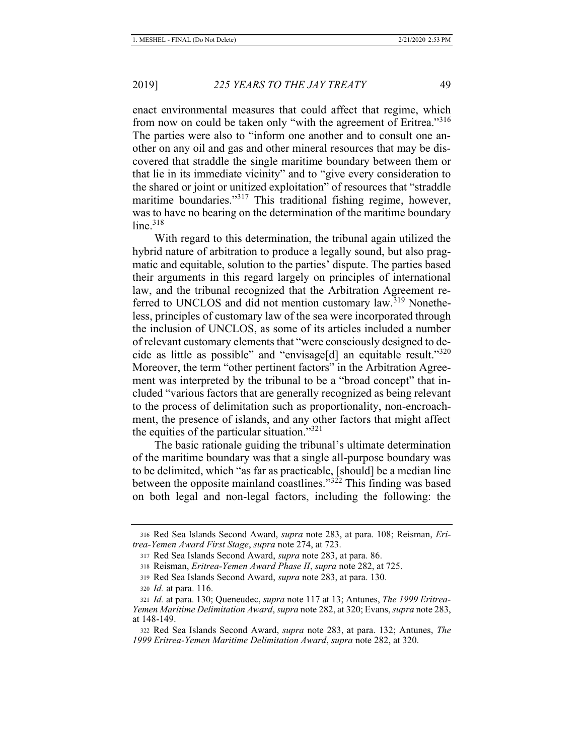enact environmental measures that could affect that regime, which from now on could be taken only "with the agreement of Eritrea."<sup>316</sup> The parties were also to "inform one another and to consult one another on any oil and gas and other mineral resources that may be discovered that straddle the single maritime boundary between them or that lie in its immediate vicinity" and to "give every consideration to the shared or joint or unitized exploitation" of resources that "straddle maritime boundaries."<sup>317</sup> This traditional fishing regime, however, was to have no bearing on the determination of the maritime boundary  $line<sup>318</sup>$ 

With regard to this determination, the tribunal again utilized the hybrid nature of arbitration to produce a legally sound, but also pragmatic and equitable, solution to the parties' dispute. The parties based their arguments in this regard largely on principles of international law, and the tribunal recognized that the Arbitration Agreement referred to UNCLOS and did not mention customary law.<sup>319</sup> Nonetheless, principles of customary law of the sea were incorporated through the inclusion of UNCLOS, as some of its articles included a number of relevant customary elements that "were consciously designed to decide as little as possible" and "envisage[d] an equitable result." $320$ Moreover, the term "other pertinent factors" in the Arbitration Agreement was interpreted by the tribunal to be a "broad concept" that included "various factors that are generally recognized as being relevant to the process of delimitation such as proportionality, non-encroachment, the presence of islands, and any other factors that might affect the equities of the particular situation."<sup>321</sup>

The basic rationale guiding the tribunal's ultimate determination of the maritime boundary was that a single all-purpose boundary was to be delimited, which "as far as practicable, [should] be a median line between the opposite mainland coastlines."322 This finding was based on both legal and non-legal factors, including the following: the

<sup>316</sup> Red Sea Islands Second Award, *supra* note 283, at para. 108; Reisman, *Eritrea-Yemen Award First Stage*, *supra* note 274, at 723.

<sup>317</sup> Red Sea Islands Second Award, *supra* note 283, at para. 86.

<sup>318</sup> Reisman, *Eritrea-Yemen Award Phase II*, *supra* note 282, at 725.

<sup>319</sup> Red Sea Islands Second Award, *supra* note 283, at para. 130.

<sup>320</sup> *Id.* at para. 116.

<sup>321</sup> *Id.* at para. 130; Queneudec, *supra* note 117 at 13; Antunes, *The 1999 Eritrea-Yemen Maritime Delimitation Award*, *supra* note 282, at 320; Evans, *supra* note 283, at 148-149.

<sup>322</sup> Red Sea Islands Second Award, *supra* note 283, at para. 132; Antunes, *The 1999 Eritrea-Yemen Maritime Delimitation Award*, *supra* note 282, at 320.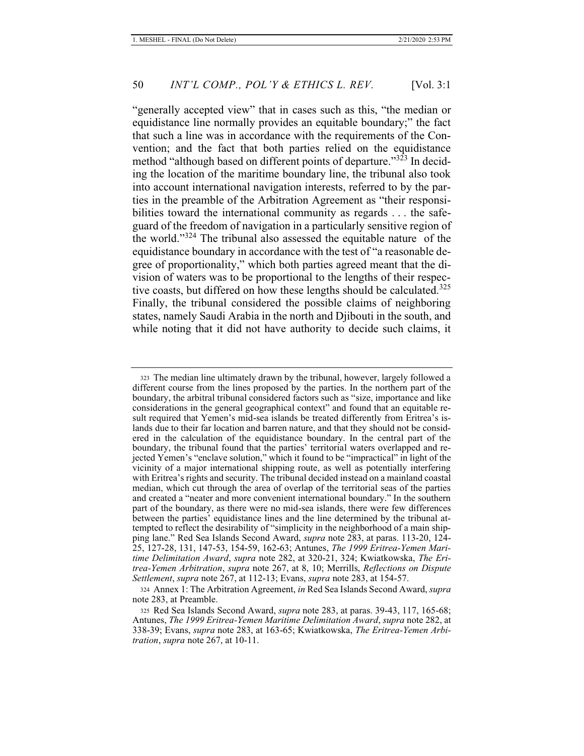"generally accepted view" that in cases such as this, "the median or equidistance line normally provides an equitable boundary;" the fact that such a line was in accordance with the requirements of the Convention; and the fact that both parties relied on the equidistance method "although based on different points of departure."<sup>323</sup> In deciding the location of the maritime boundary line, the tribunal also took into account international navigation interests, referred to by the parties in the preamble of the Arbitration Agreement as "their responsibilities toward the international community as regards ... the safeguard of the freedom of navigation in a particularly sensitive region of the world."324 The tribunal also assessed the equitable nature of the equidistance boundary in accordance with the test of "a reasonable degree of proportionality," which both parties agreed meant that the division of waters was to be proportional to the lengths of their respective coasts, but differed on how these lengths should be calculated.<sup>325</sup> Finally, the tribunal considered the possible claims of neighboring states, namely Saudi Arabia in the north and Djibouti in the south, and while noting that it did not have authority to decide such claims, it

<sup>323</sup> The median line ultimately drawn by the tribunal, however, largely followed a different course from the lines proposed by the parties. In the northern part of the boundary, the arbitral tribunal considered factors such as "size, importance and like considerations in the general geographical context" and found that an equitable result required that Yemen's mid-sea islands be treated differently from Eritrea's islands due to their far location and barren nature, and that they should not be considered in the calculation of the equidistance boundary. In the central part of the boundary, the tribunal found that the parties' territorial waters overlapped and rejected Yemen's "enclave solution," which it found to be "impractical" in light of the vicinity of a major international shipping route, as well as potentially interfering with Eritrea's rights and security. The tribunal decided instead on a mainland coastal median, which cut through the area of overlap of the territorial seas of the parties and created a "neater and more convenient international boundary." In the southern part of the boundary, as there were no mid-sea islands, there were few differences between the parties' equidistance lines and the line determined by the tribunal attempted to reflect the desirability of "simplicity in the neighborhood of a main shipping lane." Red Sea Islands Second Award, *supra* note 283, at paras. 113-20, 124- 25, 127-28, 131, 147-53, 154-59, 162-63; Antunes, *The 1999 Eritrea-Yemen Maritime Delimitation Award*, *supra* note 282, at 320-21, 324; Kwiatkowska, *The Eritrea-Yemen Arbitration*, *supra* note 267, at 8, 10; Merrills, *Reflections on Dispute Settlement*, *supra* note 267, at 112-13; Evans, *supra* note 283, at 154-57.

<sup>324</sup> Annex 1: The Arbitration Agreement, *in* Red Sea Islands Second Award, *supra*  note 283, at Preamble.

<sup>325</sup> Red Sea Islands Second Award, *supra* note 283, at paras. 39-43, 117, 165-68; Antunes, *The 1999 Eritrea-Yemen Maritime Delimitation Award*, *supra* note 282, at 338-39; Evans, *supra* note 283, at 163-65; Kwiatkowska, *The Eritrea-Yemen Arbitration*, *supra* note 267, at 10-11.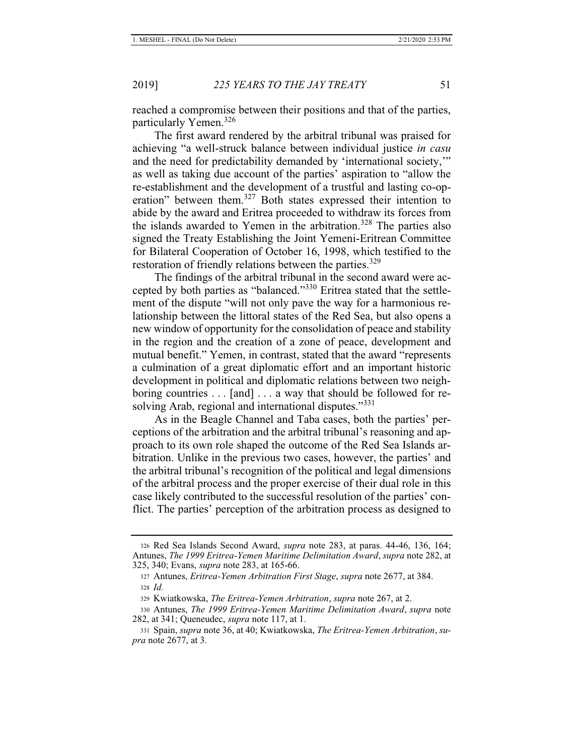reached a compromise between their positions and that of the parties, particularly Yemen.<sup>326</sup>

The first award rendered by the arbitral tribunal was praised for achieving "a well-struck balance between individual justice *in casu*  and the need for predictability demanded by 'international society,'" as well as taking due account of the parties' aspiration to "allow the re-establishment and the development of a trustful and lasting co-operation" between them.<sup>327</sup> Both states expressed their intention to abide by the award and Eritrea proceeded to withdraw its forces from the islands awarded to Yemen in the arbitration.<sup>328</sup> The parties also signed the Treaty Establishing the Joint Yemeni-Eritrean Committee for Bilateral Cooperation of October 16, 1998, which testified to the restoration of friendly relations between the parties.<sup>329</sup>

The findings of the arbitral tribunal in the second award were accepted by both parties as "balanced."330 Eritrea stated that the settlement of the dispute "will not only pave the way for a harmonious relationship between the littoral states of the Red Sea, but also opens a new window of opportunity for the consolidation of peace and stability in the region and the creation of a zone of peace, development and mutual benefit." Yemen, in contrast, stated that the award "represents a culmination of a great diplomatic effort and an important historic development in political and diplomatic relations between two neighboring countries . . . [and] . . . a way that should be followed for resolving Arab, regional and international disputes."<sup>331</sup>

As in the Beagle Channel and Taba cases, both the parties' perceptions of the arbitration and the arbitral tribunal's reasoning and approach to its own role shaped the outcome of the Red Sea Islands arbitration. Unlike in the previous two cases, however, the parties' and the arbitral tribunal's recognition of the political and legal dimensions of the arbitral process and the proper exercise of their dual role in this case likely contributed to the successful resolution of the parties' conflict. The parties' perception of the arbitration process as designed to

<sup>326</sup> Red Sea Islands Second Award, *supra* note 283, at paras. 44-46, 136, 164; Antunes, *The 1999 Eritrea-Yemen Maritime Delimitation Award*, *supra* note 282, at 325, 340; Evans, *supra* note 283, at 165-66.

<sup>327</sup> Antunes, *Eritrea-Yemen Arbitration First Stage*, *supra* note 2677, at 384. <sup>328</sup> *Id.*

<sup>329</sup> Kwiatkowska, *The Eritrea-Yemen Arbitration*, *supra* note 267, at 2.

<sup>330</sup> Antunes, *The 1999 Eritrea-Yemen Maritime Delimitation Award*, *supra* note 282, at 341; Queneudec, *supra* note 117, at 1.

<sup>331</sup> Spain, *supra* note 36, at 40; Kwiatkowska, *The Eritrea-Yemen Arbitration*, *supra* note 2677, at 3.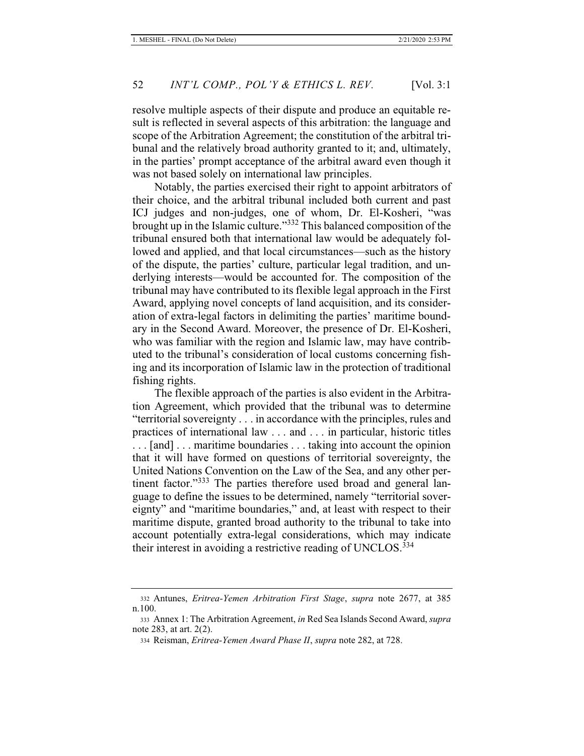resolve multiple aspects of their dispute and produce an equitable result is reflected in several aspects of this arbitration: the language and scope of the Arbitration Agreement; the constitution of the arbitral tribunal and the relatively broad authority granted to it; and, ultimately, in the parties' prompt acceptance of the arbitral award even though it was not based solely on international law principles.

Notably, the parties exercised their right to appoint arbitrators of their choice, and the arbitral tribunal included both current and past ICJ judges and non-judges, one of whom, Dr. El-Kosheri, "was brought up in the Islamic culture."332 This balanced composition of the tribunal ensured both that international law would be adequately followed and applied, and that local circumstances—such as the history of the dispute, the parties' culture, particular legal tradition, and underlying interests—would be accounted for. The composition of the tribunal may have contributed to its flexible legal approach in the First Award, applying novel concepts of land acquisition, and its consideration of extra-legal factors in delimiting the parties' maritime boundary in the Second Award. Moreover, the presence of Dr. El-Kosheri, who was familiar with the region and Islamic law, may have contributed to the tribunal's consideration of local customs concerning fishing and its incorporation of Islamic law in the protection of traditional fishing rights.

The flexible approach of the parties is also evident in the Arbitration Agreement, which provided that the tribunal was to determine "territorial sovereignty . . . in accordance with the principles, rules and practices of international law . . . and . . . in particular, historic titles . . . [and] . . . maritime boundaries . . . taking into account the opinion that it will have formed on questions of territorial sovereignty, the United Nations Convention on the Law of the Sea, and any other pertinent factor."<sup>333</sup> The parties therefore used broad and general language to define the issues to be determined, namely "territorial sovereignty" and "maritime boundaries," and, at least with respect to their maritime dispute, granted broad authority to the tribunal to take into account potentially extra-legal considerations, which may indicate their interest in avoiding a restrictive reading of UNCLOS.<sup>334</sup>

<sup>332</sup> Antunes, *Eritrea-Yemen Arbitration First Stage*, *supra* note 2677, at 385 n.100.

<sup>333</sup> Annex 1: The Arbitration Agreement, *in* Red Sea Islands Second Award, *supra*  note 283, at art. 2(2).

<sup>334</sup> Reisman, *Eritrea-Yemen Award Phase II*, *supra* note 282, at 728.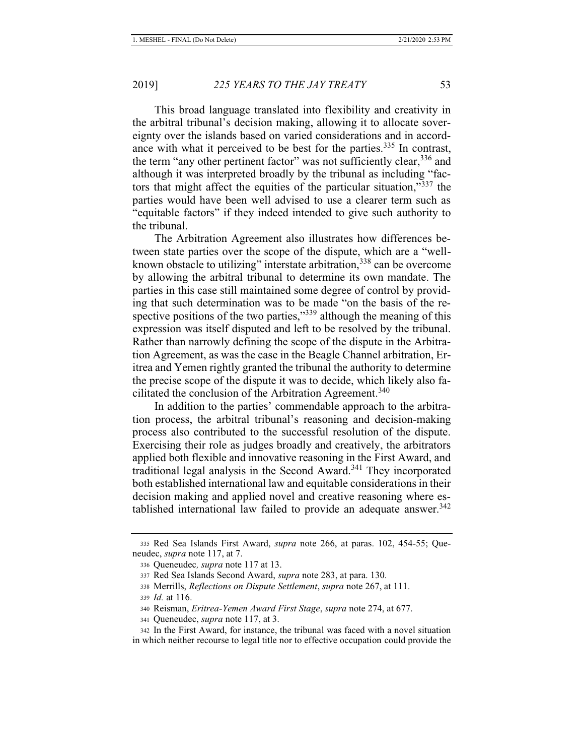This broad language translated into flexibility and creativity in the arbitral tribunal's decision making, allowing it to allocate sovereignty over the islands based on varied considerations and in accordance with what it perceived to be best for the parties.<sup>335</sup> In contrast, the term "any other pertinent factor" was not sufficiently clear,  $336$  and although it was interpreted broadly by the tribunal as including "factors that might affect the equities of the particular situation,"<sup>337</sup> the parties would have been well advised to use a clearer term such as "equitable factors" if they indeed intended to give such authority to the tribunal.

The Arbitration Agreement also illustrates how differences between state parties over the scope of the dispute, which are a "wellknown obstacle to utilizing" interstate arbitration,  $338$  can be overcome by allowing the arbitral tribunal to determine its own mandate. The parties in this case still maintained some degree of control by providing that such determination was to be made "on the basis of the respective positions of the two parties,"<sup>339</sup> although the meaning of this expression was itself disputed and left to be resolved by the tribunal. Rather than narrowly defining the scope of the dispute in the Arbitration Agreement, as was the case in the Beagle Channel arbitration, Eritrea and Yemen rightly granted the tribunal the authority to determine the precise scope of the dispute it was to decide, which likely also facilitated the conclusion of the Arbitration Agreement.<sup>340</sup>

In addition to the parties' commendable approach to the arbitration process, the arbitral tribunal's reasoning and decision-making process also contributed to the successful resolution of the dispute. Exercising their role as judges broadly and creatively, the arbitrators applied both flexible and innovative reasoning in the First Award, and traditional legal analysis in the Second Award.<sup>341</sup> They incorporated both established international law and equitable considerations in their decision making and applied novel and creative reasoning where established international law failed to provide an adequate answer.<sup>342</sup>

<sup>335</sup> Red Sea Islands First Award, *supra* note 266, at paras. 102, 454-55; Queneudec, *supra* note 117, at 7.

<sup>336</sup> Queneudec*, supra* note 117 at 13.

<sup>337</sup> Red Sea Islands Second Award, *supra* note 283, at para. 130.

<sup>338</sup> Merrills, *Reflections on Dispute Settlement*, *supra* note 267, at 111.

<sup>339</sup> *Id.* at 116.

<sup>340</sup> Reisman, *Eritrea-Yemen Award First Stage*, *supra* note 274, at 677.

<sup>341</sup> Queneudec, *supra* note 117, at 3.

<sup>342</sup> In the First Award, for instance, the tribunal was faced with a novel situation in which neither recourse to legal title nor to effective occupation could provide the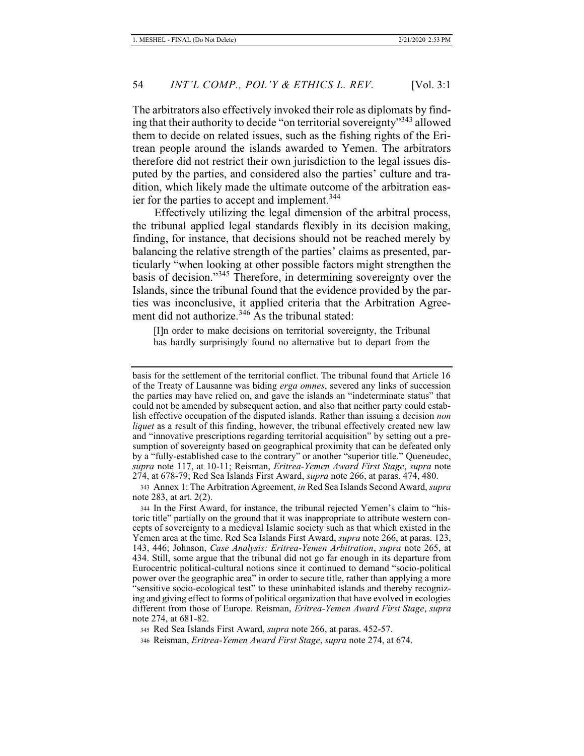The arbitrators also effectively invoked their role as diplomats by finding that their authority to decide "on territorial sovereignty"343 allowed them to decide on related issues, such as the fishing rights of the Eritrean people around the islands awarded to Yemen. The arbitrators therefore did not restrict their own jurisdiction to the legal issues disputed by the parties, and considered also the parties' culture and tradition, which likely made the ultimate outcome of the arbitration easier for the parties to accept and implement.<sup>344</sup>

Effectively utilizing the legal dimension of the arbitral process, the tribunal applied legal standards flexibly in its decision making, finding, for instance, that decisions should not be reached merely by balancing the relative strength of the parties' claims as presented, particularly "when looking at other possible factors might strengthen the basis of decision."345 Therefore, in determining sovereignty over the Islands, since the tribunal found that the evidence provided by the parties was inconclusive, it applied criteria that the Arbitration Agreement did not authorize.<sup>346</sup> As the tribunal stated:

[I]n order to make decisions on territorial sovereignty, the Tribunal has hardly surprisingly found no alternative but to depart from the

basis for the settlement of the territorial conflict. The tribunal found that Article 16 of the Treaty of Lausanne was biding *erga omnes*, severed any links of succession the parties may have relied on, and gave the islands an "indeterminate status" that could not be amended by subsequent action, and also that neither party could establish effective occupation of the disputed islands. Rather than issuing a decision *non liquet* as a result of this finding, however, the tribunal effectively created new law and "innovative prescriptions regarding territorial acquisition" by setting out a presumption of sovereignty based on geographical proximity that can be defeated only by a "fully-established case to the contrary" or another "superior title." Queneudec, *supra* note 117, at 10-11; Reisman, *Eritrea-Yemen Award First Stage*, *supra* note 274, at 678-79; Red Sea Islands First Award, *supra* note 266, at paras. 474, 480.

<sup>343</sup> Annex 1: The Arbitration Agreement, *in* Red Sea Islands Second Award, *supra*  note 283, at art. 2(2).

<sup>344</sup> In the First Award, for instance, the tribunal rejected Yemen's claim to "historic title" partially on the ground that it was inappropriate to attribute western concepts of sovereignty to a medieval Islamic society such as that which existed in the Yemen area at the time. Red Sea Islands First Award, *supra* note 266, at paras. 123, 143, 446; Johnson, *Case Analysis: Eritrea-Yemen Arbitration*, *supra* note 265, at 434. Still, some argue that the tribunal did not go far enough in its departure from Eurocentric political-cultural notions since it continued to demand "socio-political power over the geographic area" in order to secure title, rather than applying a more "sensitive socio-ecological test" to these uninhabited islands and thereby recognizing and giving effect to forms of political organization that have evolved in ecologies different from those of Europe. Reisman, *Eritrea-Yemen Award First Stage*, *supra*  note 274, at 681-82.

<sup>345</sup> Red Sea Islands First Award, *supra* note 266, at paras. 452-57.

<sup>346</sup> Reisman, *Eritrea-Yemen Award First Stage*, *supra* note 274, at 674.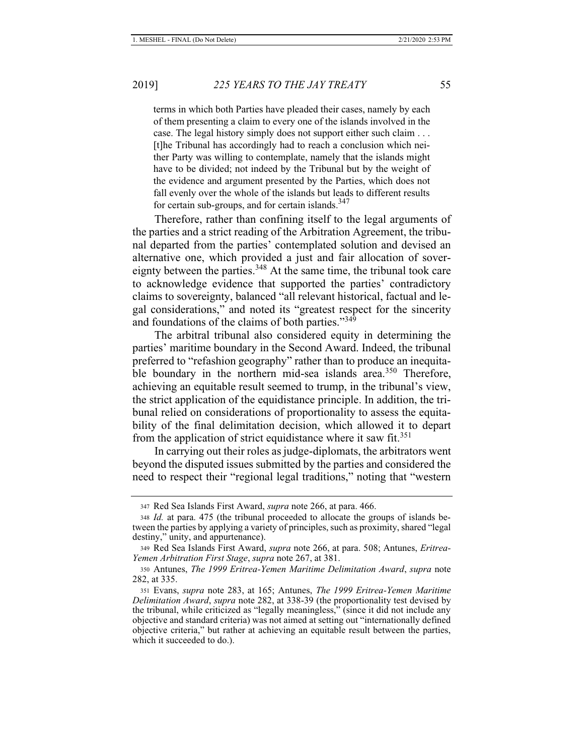terms in which both Parties have pleaded their cases, namely by each of them presenting a claim to every one of the islands involved in the case. The legal history simply does not support either such claim . . . [t]he Tribunal has accordingly had to reach a conclusion which neither Party was willing to contemplate, namely that the islands might have to be divided; not indeed by the Tribunal but by the weight of the evidence and argument presented by the Parties, which does not fall evenly over the whole of the islands but leads to different results for certain sub-groups, and for certain islands. $347$ 

Therefore, rather than confining itself to the legal arguments of the parties and a strict reading of the Arbitration Agreement, the tribunal departed from the parties' contemplated solution and devised an alternative one, which provided a just and fair allocation of sovereignty between the parties.<sup>348</sup> At the same time, the tribunal took care to acknowledge evidence that supported the parties' contradictory claims to sovereignty, balanced "all relevant historical, factual and legal considerations," and noted its "greatest respect for the sincerity and foundations of the claims of both parties."<sup>349</sup>

The arbitral tribunal also considered equity in determining the parties' maritime boundary in the Second Award. Indeed, the tribunal preferred to "refashion geography" rather than to produce an inequitable boundary in the northern mid-sea islands area.<sup>350</sup> Therefore, achieving an equitable result seemed to trump, in the tribunal's view, the strict application of the equidistance principle. In addition, the tribunal relied on considerations of proportionality to assess the equitability of the final delimitation decision, which allowed it to depart from the application of strict equidistance where it saw fit.<sup>351</sup>

In carrying out their roles as judge-diplomats, the arbitrators went beyond the disputed issues submitted by the parties and considered the need to respect their "regional legal traditions," noting that "western

<sup>347</sup> Red Sea Islands First Award, *supra* note 266, at para. 466.

<sup>348</sup> *Id.* at para. 475 (the tribunal proceeded to allocate the groups of islands between the parties by applying a variety of principles, such as proximity, shared "legal destiny," unity, and appurtenance).

<sup>349</sup> Red Sea Islands First Award, *supra* note 266, at para. 508; Antunes, *Eritrea-Yemen Arbitration First Stage*, *supra* note 267, at 381.

<sup>350</sup> Antunes, *The 1999 Eritrea-Yemen Maritime Delimitation Award*, *supra* note 282, at 335.

<sup>351</sup> Evans, *supra* note 283, at 165; Antunes, *The 1999 Eritrea-Yemen Maritime Delimitation Award*, *supra* note 282, at 338-39 (the proportionality test devised by the tribunal, while criticized as "legally meaningless," (since it did not include any objective and standard criteria) was not aimed at setting out "internationally defined objective criteria," but rather at achieving an equitable result between the parties, which it succeeded to do.).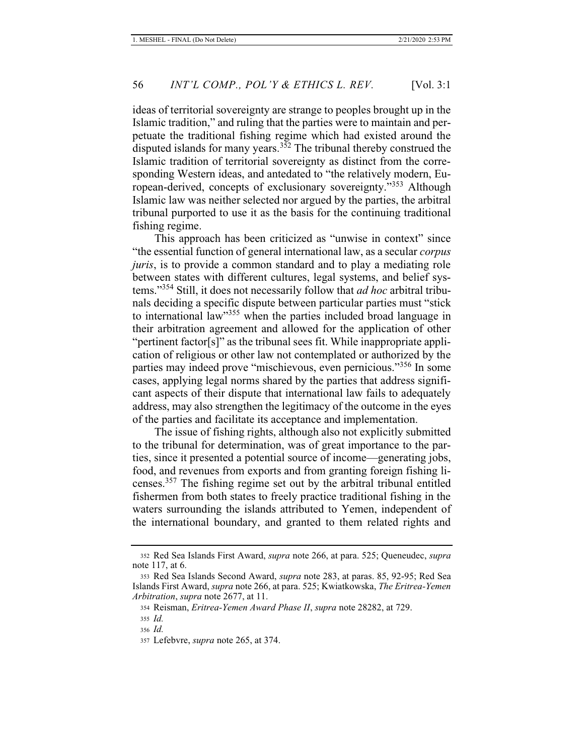ideas of territorial sovereignty are strange to peoples brought up in the Islamic tradition," and ruling that the parties were to maintain and perpetuate the traditional fishing regime which had existed around the disputed islands for many years.<sup>352</sup> The tribunal thereby construed the Islamic tradition of territorial sovereignty as distinct from the corresponding Western ideas, and antedated to "the relatively modern, European-derived, concepts of exclusionary sovereignty."353 Although Islamic law was neither selected nor argued by the parties, the arbitral tribunal purported to use it as the basis for the continuing traditional fishing regime.

This approach has been criticized as "unwise in context" since "the essential function of general international law, as a secular *corpus juris*, is to provide a common standard and to play a mediating role between states with different cultures, legal systems, and belief systems."354 Still, it does not necessarily follow that *ad hoc* arbitral tribunals deciding a specific dispute between particular parties must "stick to international law<sup>355</sup> when the parties included broad language in their arbitration agreement and allowed for the application of other "pertinent factor[s]" as the tribunal sees fit. While inappropriate application of religious or other law not contemplated or authorized by the parties may indeed prove "mischievous, even pernicious."356 In some cases, applying legal norms shared by the parties that address significant aspects of their dispute that international law fails to adequately address, may also strengthen the legitimacy of the outcome in the eyes of the parties and facilitate its acceptance and implementation.

The issue of fishing rights, although also not explicitly submitted to the tribunal for determination, was of great importance to the parties, since it presented a potential source of income—generating jobs, food, and revenues from exports and from granting foreign fishing licenses.357 The fishing regime set out by the arbitral tribunal entitled fishermen from both states to freely practice traditional fishing in the waters surrounding the islands attributed to Yemen, independent of the international boundary, and granted to them related rights and

<sup>352</sup> Red Sea Islands First Award, *supra* note 266, at para. 525; Queneudec, *supra*  note 117, at 6.

<sup>353</sup> Red Sea Islands Second Award, *supra* note 283, at paras. 85, 92-95; Red Sea Islands First Award, *supra* note 266, at para. 525; Kwiatkowska, *The Eritrea-Yemen Arbitration*, *supra* note 2677, at 11.

<sup>354</sup> Reisman, *Eritrea-Yemen Award Phase II*, *supra* note 28282, at 729.

<sup>355</sup> *Id.*

<sup>356</sup> *Id.*

<sup>357</sup> Lefebvre, *supra* note 265, at 374.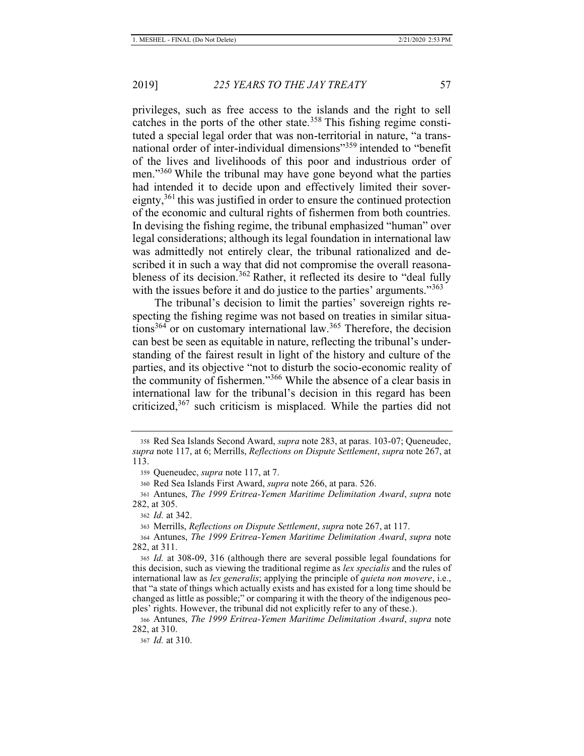privileges, such as free access to the islands and the right to sell catches in the ports of the other state.<sup>358</sup> This fishing regime constituted a special legal order that was non-territorial in nature, "a transnational order of inter-individual dimensions<sup>"359</sup> intended to "benefit" of the lives and livelihoods of this poor and industrious order of men."<sup>360</sup> While the tribunal may have gone beyond what the parties had intended it to decide upon and effectively limited their sovereignty,<sup>361</sup> this was justified in order to ensure the continued protection of the economic and cultural rights of fishermen from both countries. In devising the fishing regime, the tribunal emphasized "human" over legal considerations; although its legal foundation in international law was admittedly not entirely clear, the tribunal rationalized and described it in such a way that did not compromise the overall reasonableness of its decision.<sup>362</sup> Rather, it reflected its desire to "deal fully with the issues before it and do justice to the parties' arguments."<sup>363</sup>

The tribunal's decision to limit the parties' sovereign rights respecting the fishing regime was not based on treaties in similar situations<sup>364</sup> or on customary international law.<sup>365</sup> Therefore, the decision can best be seen as equitable in nature, reflecting the tribunal's understanding of the fairest result in light of the history and culture of the parties, and its objective "not to disturb the socio-economic reality of the community of fishermen."366 While the absence of a clear basis in international law for the tribunal's decision in this regard has been criticized,<sup>367</sup> such criticism is misplaced. While the parties did not

<sup>358</sup> Red Sea Islands Second Award, *supra* note 283, at paras. 103-07; Queneudec, *supra* note 117, at 6; Merrills, *Reflections on Dispute Settlement*, *supra* note 267, at 113.

<sup>359</sup> Queneudec, *supra* note 117, at 7.

<sup>360</sup> Red Sea Islands First Award, *supra* note 266, at para. 526.

<sup>361</sup> Antunes, *The 1999 Eritrea-Yemen Maritime Delimitation Award*, *supra* note 282, at 305.

<sup>362</sup> *Id.* at 342.

<sup>363</sup> Merrills, *Reflections on Dispute Settlement*, *supra* note 267, at 117.

<sup>364</sup> Antunes, *The 1999 Eritrea-Yemen Maritime Delimitation Award*, *supra* note 282, at 311.

<sup>365</sup> *Id.* at 308-09, 316 (although there are several possible legal foundations for this decision, such as viewing the traditional regime as *lex specialis* and the rules of international law as *lex generalis*; applying the principle of *quieta non movere*, i.e., that "a state of things which actually exists and has existed for a long time should be changed as little as possible;" or comparing it with the theory of the indigenous peoples' rights. However, the tribunal did not explicitly refer to any of these.).

<sup>366</sup> Antunes, *The 1999 Eritrea-Yemen Maritime Delimitation Award*, *supra* note 282, at 310.

<sup>367</sup> *Id.* at 310.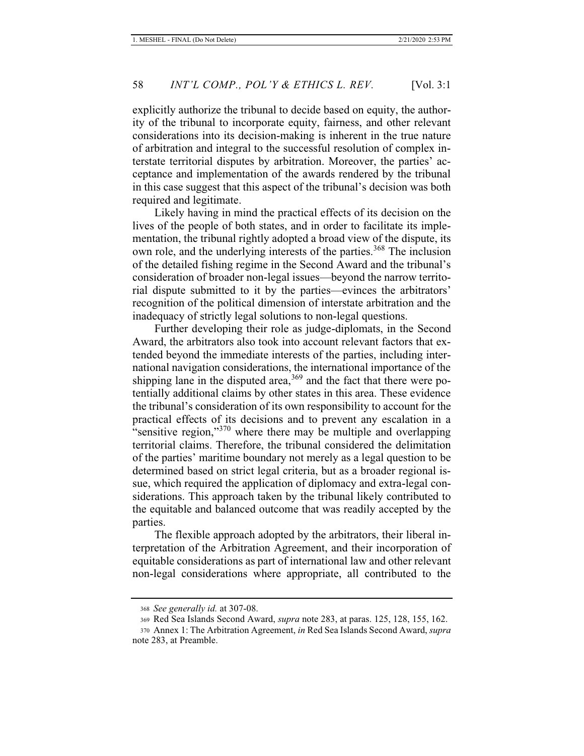explicitly authorize the tribunal to decide based on equity, the authority of the tribunal to incorporate equity, fairness, and other relevant considerations into its decision-making is inherent in the true nature of arbitration and integral to the successful resolution of complex interstate territorial disputes by arbitration. Moreover, the parties' acceptance and implementation of the awards rendered by the tribunal in this case suggest that this aspect of the tribunal's decision was both required and legitimate.

Likely having in mind the practical effects of its decision on the lives of the people of both states, and in order to facilitate its implementation, the tribunal rightly adopted a broad view of the dispute, its own role, and the underlying interests of the parties.<sup>368</sup> The inclusion of the detailed fishing regime in the Second Award and the tribunal's consideration of broader non-legal issues—beyond the narrow territorial dispute submitted to it by the parties—evinces the arbitrators' recognition of the political dimension of interstate arbitration and the inadequacy of strictly legal solutions to non-legal questions.

Further developing their role as judge-diplomats, in the Second Award, the arbitrators also took into account relevant factors that extended beyond the immediate interests of the parties, including international navigation considerations, the international importance of the shipping lane in the disputed area,  $369$  and the fact that there were potentially additional claims by other states in this area. These evidence the tribunal's consideration of its own responsibility to account for the practical effects of its decisions and to prevent any escalation in a "sensitive region,"370 where there may be multiple and overlapping territorial claims. Therefore, the tribunal considered the delimitation of the parties' maritime boundary not merely as a legal question to be determined based on strict legal criteria, but as a broader regional issue, which required the application of diplomacy and extra-legal considerations. This approach taken by the tribunal likely contributed to the equitable and balanced outcome that was readily accepted by the parties.

The flexible approach adopted by the arbitrators, their liberal interpretation of the Arbitration Agreement, and their incorporation of equitable considerations as part of international law and other relevant non-legal considerations where appropriate, all contributed to the

<sup>368</sup> *See generally id.* at 307-08.

<sup>369</sup> Red Sea Islands Second Award, *supra* note 283, at paras. 125, 128, 155, 162.

<sup>370</sup> Annex 1: The Arbitration Agreement, *in* Red Sea Islands Second Award, *supra*  note 283, at Preamble.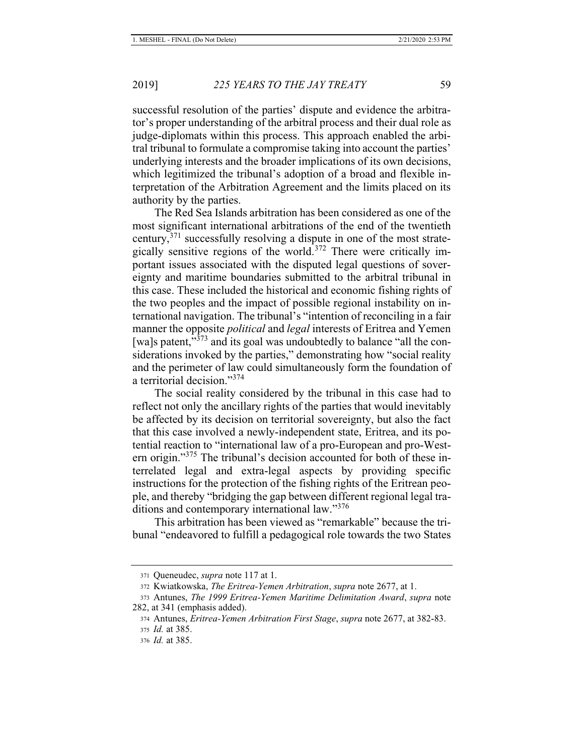successful resolution of the parties' dispute and evidence the arbitrator's proper understanding of the arbitral process and their dual role as judge-diplomats within this process. This approach enabled the arbitral tribunal to formulate a compromise taking into account the parties' underlying interests and the broader implications of its own decisions, which legitimized the tribunal's adoption of a broad and flexible interpretation of the Arbitration Agreement and the limits placed on its authority by the parties.

The Red Sea Islands arbitration has been considered as one of the most significant international arbitrations of the end of the twentieth century,  $371$  successfully resolving a dispute in one of the most strategically sensitive regions of the world.<sup>372</sup> There were critically important issues associated with the disputed legal questions of sovereignty and maritime boundaries submitted to the arbitral tribunal in this case. These included the historical and economic fishing rights of the two peoples and the impact of possible regional instability on international navigation. The tribunal's "intention of reconciling in a fair manner the opposite *political* and *legal* interests of Eritrea and Yemen [wa]s patent,"<sup>373</sup> and its goal was undoubtedly to balance "all the considerations invoked by the parties," demonstrating how "social reality and the perimeter of law could simultaneously form the foundation of a territorial decision."<sup>374</sup>

The social reality considered by the tribunal in this case had to reflect not only the ancillary rights of the parties that would inevitably be affected by its decision on territorial sovereignty, but also the fact that this case involved a newly-independent state, Eritrea, and its potential reaction to "international law of a pro-European and pro-Western origin."<sup>375</sup> The tribunal's decision accounted for both of these interrelated legal and extra-legal aspects by providing specific instructions for the protection of the fishing rights of the Eritrean people, and thereby "bridging the gap between different regional legal traditions and contemporary international law."376

This arbitration has been viewed as "remarkable" because the tribunal "endeavored to fulfill a pedagogical role towards the two States

<sup>371</sup> Queneudec, *supra* note 117 at 1.

<sup>372</sup> Kwiatkowska, *The Eritrea-Yemen Arbitration*, *supra* note 2677, at 1.

<sup>373</sup> Antunes, *The 1999 Eritrea-Yemen Maritime Delimitation Award*, *supra* note 282, at 341 (emphasis added).

<sup>374</sup> Antunes, *Eritrea-Yemen Arbitration First Stage*, *supra* note 2677, at 382-83. <sup>375</sup> *Id.* at 385.

<sup>376</sup> *Id.* at 385.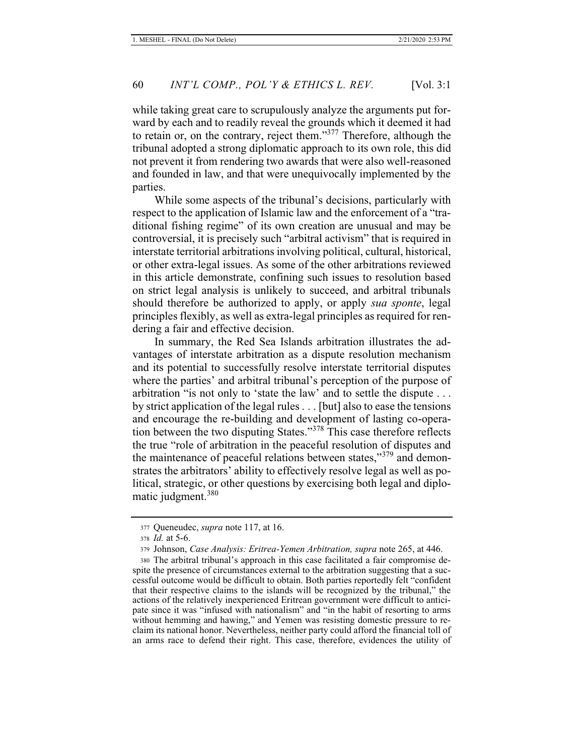while taking great care to scrupulously analyze the arguments put forward by each and to readily reveal the grounds which it deemed it had to retain or, on the contrary, reject them."377 Therefore, although the tribunal adopted a strong diplomatic approach to its own role, this did not prevent it from rendering two awards that were also well-reasoned and founded in law, and that were unequivocally implemented by the parties.

While some aspects of the tribunal's decisions, particularly with respect to the application of Islamic law and the enforcement of a "traditional fishing regime" of its own creation are unusual and may be controversial, it is precisely such "arbitral activism" that is required in interstate territorial arbitrations involving political, cultural, historical, or other extra-legal issues. As some of the other arbitrations reviewed in this article demonstrate, confining such issues to resolution based on strict legal analysis is unlikely to succeed, and arbitral tribunals should therefore be authorized to apply, or apply *sua sponte*, legal principles flexibly, as well as extra-legal principles as required for rendering a fair and effective decision.

In summary, the Red Sea Islands arbitration illustrates the advantages of interstate arbitration as a dispute resolution mechanism and its potential to successfully resolve interstate territorial disputes where the parties' and arbitral tribunal's perception of the purpose of arbitration "is not only to 'state the law' and to settle the dispute . . . by strict application of the legal rules . . . [but] also to ease the tensions and encourage the re-building and development of lasting co-operation between the two disputing States."378 This case therefore reflects the true "role of arbitration in the peaceful resolution of disputes and the maintenance of peaceful relations between states,"<sup>379</sup> and demonstrates the arbitrators' ability to effectively resolve legal as well as political, strategic, or other questions by exercising both legal and diplomatic judgment.<sup>380</sup>

<sup>377</sup> Queneudec, *supra* note 117, at 16.

<sup>378</sup> *Id.* at 5-6.

<sup>379</sup> Johnson, *Case Analysis: Eritrea-Yemen Arbitration, supra* note 265, at 446.

<sup>380</sup> The arbitral tribunal's approach in this case facilitated a fair compromise despite the presence of circumstances external to the arbitration suggesting that a successful outcome would be difficult to obtain. Both parties reportedly felt "confident that their respective claims to the islands will be recognized by the tribunal," the actions of the relatively inexperienced Eritrean government were difficult to anticipate since it was "infused with nationalism" and "in the habit of resorting to arms without hemming and hawing," and Yemen was resisting domestic pressure to reclaim its national honor. Nevertheless, neither party could afford the financial toll of an arms race to defend their right. This case, therefore, evidences the utility of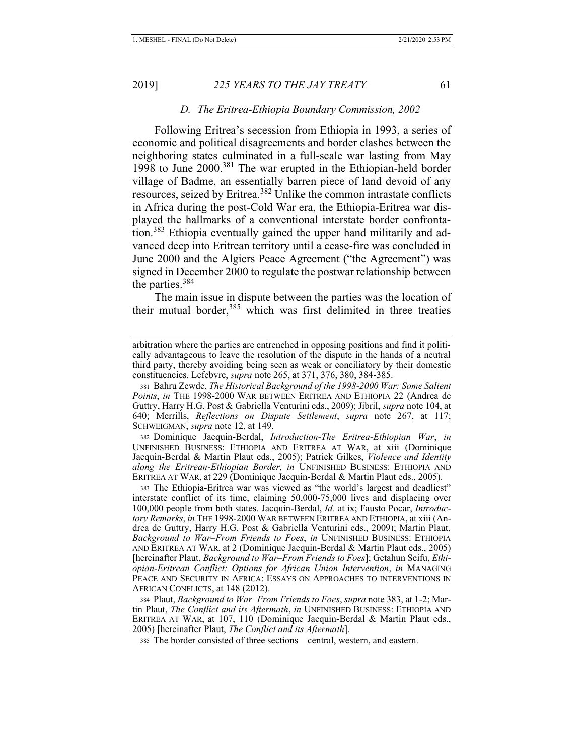## *D. The Eritrea-Ethiopia Boundary Commission, 2002*

Following Eritrea's secession from Ethiopia in 1993, a series of economic and political disagreements and border clashes between the neighboring states culminated in a full-scale war lasting from May 1998 to June 2000.381 The war erupted in the Ethiopian-held border village of Badme, an essentially barren piece of land devoid of any resources, seized by Eritrea.382 Unlike the common intrastate conflicts in Africa during the post-Cold War era, the Ethiopia-Eritrea war displayed the hallmarks of a conventional interstate border confrontation.<sup>383</sup> Ethiopia eventually gained the upper hand militarily and advanced deep into Eritrean territory until a cease-fire was concluded in June 2000 and the Algiers Peace Agreement ("the Agreement") was signed in December 2000 to regulate the postwar relationship between the parties.<sup>384</sup>

The main issue in dispute between the parties was the location of their mutual border,<sup>385</sup> which was first delimited in three treaties

382 Dominique Jacquin-Berdal, *Introduction-The Eritrea-Ethiopian War*, *in* UNFINISHED BUSINESS: ETHIOPIA AND ERITREA AT WAR, at xiii (Dominique Jacquin-Berdal & Martin Plaut eds., 2005); Patrick Gilkes, *Violence and Identity along the Eritrean-Ethiopian Border, in* UNFINISHED BUSINESS: ETHIOPIA AND ERITREA AT WAR, at 229 (Dominique Jacquin-Berdal & Martin Plaut eds., 2005).

383 The Ethiopia-Eritrea war was viewed as "the world's largest and deadliest" interstate conflict of its time, claiming 50,000-75,000 lives and displacing over 100,000 people from both states. Jacquin-Berdal, *Id.* at ix; Fausto Pocar, *Introductory Remarks*, *in* THE 1998-2000 WAR BETWEEN ERITREA AND ETHIOPIA, at xiii (Andrea de Guttry, Harry H.G. Post & Gabriella Venturini eds., 2009); Martin Plaut, *Background to War–From Friends to Foes*, *in* UNFINISHED BUSINESS: ETHIOPIA AND ERITREA AT WAR, at 2 (Dominique Jacquin-Berdal & Martin Plaut eds., 2005) [hereinafter Plaut, *Background to War–From Friends to Foes*]; Getahun Seifu, *Ethiopian-Eritrean Conflict: Options for African Union Intervention*, *in* MANAGING PEACE AND SECURITY IN AFRICA: ESSAYS ON APPROACHES TO INTERVENTIONS IN AFRICAN CONFLICTS, at 148 (2012).

384 Plaut, *Background to War–From Friends to Foes*, *supra* note 383, at 1-2; Martin Plaut, *The Conflict and its Aftermath*, *in* UNFINISHED BUSINESS: ETHIOPIA AND ERITREA AT WAR, at 107, 110 (Dominique Jacquin-Berdal & Martin Plaut eds., 2005) [hereinafter Plaut, *The Conflict and its Aftermath*].

385 The border consisted of three sections—central, western, and eastern.

arbitration where the parties are entrenched in opposing positions and find it politically advantageous to leave the resolution of the dispute in the hands of a neutral third party, thereby avoiding being seen as weak or conciliatory by their domestic constituencies. Lefebvre, *supra* note 265, at 371, 376, 380, 384-385.

<sup>381</sup> Bahru Zewde, *The Historical Background of the 1998-2000 War: Some Salient Points*, *in* THE 1998-2000 WAR BETWEEN ERITREA AND ETHIOPIA 22 (Andrea de Guttry, Harry H.G. Post & Gabriella Venturini eds., 2009); Jibril, *supra* note 104, at 640; Merrills, *Reflections on Dispute Settlement*, *supra* note 267, at 117; SCHWEIGMAN, *supra* note 12, at 149.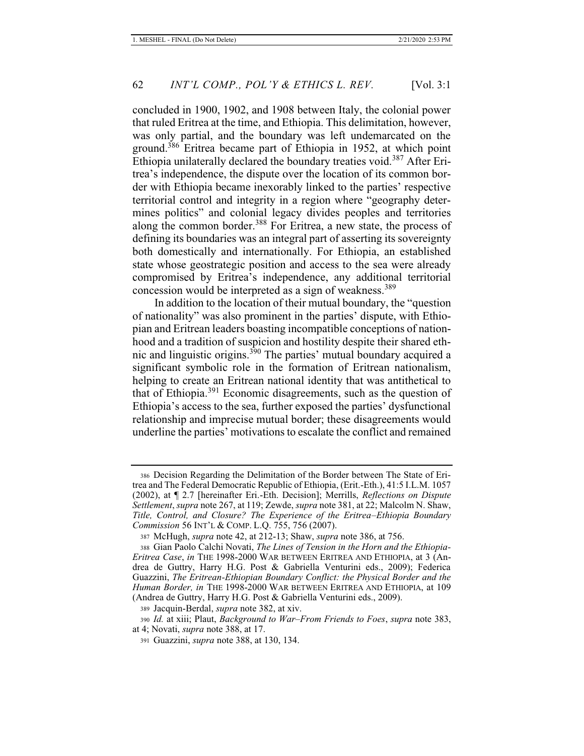concluded in 1900, 1902, and 1908 between Italy, the colonial power that ruled Eritrea at the time, and Ethiopia. This delimitation, however, was only partial, and the boundary was left undemarcated on the ground.386 Eritrea became part of Ethiopia in 1952, at which point Ethiopia unilaterally declared the boundary treaties void.<sup>387</sup> After Eritrea's independence, the dispute over the location of its common border with Ethiopia became inexorably linked to the parties' respective territorial control and integrity in a region where "geography determines politics" and colonial legacy divides peoples and territories along the common border.<sup>388</sup> For Eritrea, a new state, the process of defining its boundaries was an integral part of asserting its sovereignty both domestically and internationally. For Ethiopia, an established state whose geostrategic position and access to the sea were already compromised by Eritrea's independence, any additional territorial concession would be interpreted as a sign of weakness.<sup>389</sup>

In addition to the location of their mutual boundary, the "question of nationality" was also prominent in the parties' dispute, with Ethiopian and Eritrean leaders boasting incompatible conceptions of nationhood and a tradition of suspicion and hostility despite their shared ethnic and linguistic origins.<sup>390</sup> The parties' mutual boundary acquired a significant symbolic role in the formation of Eritrean nationalism, helping to create an Eritrean national identity that was antithetical to that of Ethiopia.391 Economic disagreements, such as the question of Ethiopia's access to the sea, further exposed the parties' dysfunctional relationship and imprecise mutual border; these disagreements would underline the parties' motivations to escalate the conflict and remained

<sup>386</sup> Decision Regarding the Delimitation of the Border between The State of Eritrea and The Federal Democratic Republic of Ethiopia, (Erit.-Eth.), 41:5 I.L.M. 1057 (2002), at ¶ 2.7 [hereinafter Eri.-Eth. Decision]; Merrills, *Reflections on Dispute Settlement*, *supra* note 267, at 119; Zewde, *supra* note 381, at 22; Malcolm N. Shaw, *Title, Control, and Closure? The Experience of the Eritrea–Ethiopia Boundary Commission* 56 INT'L & COMP. L.Q. 755, 756 (2007).

<sup>387</sup> McHugh, *supra* note 42, at 212-13; Shaw, *supra* note 386, at 756.

<sup>388</sup> Gian Paolo Calchi Novati, *The Lines of Tension in the Horn and the Ethiopia-Eritrea Case*, *in* THE 1998-2000 WAR BETWEEN ERITREA AND ETHIOPIA, at 3 (Andrea de Guttry, Harry H.G. Post & Gabriella Venturini eds., 2009); Federica Guazzini, *The Eritrean-Ethiopian Boundary Conflict: the Physical Border and the Human Border, in* THE 1998-2000 WAR BETWEEN ERITREA AND ETHIOPIA, at 109 (Andrea de Guttry, Harry H.G. Post & Gabriella Venturini eds., 2009).

<sup>389</sup> Jacquin-Berdal, *supra* note 382, at xiv.

<sup>390</sup> *Id.* at xiii; Plaut, *Background to War–From Friends to Foes*, *supra* note 383, at 4; Novati, *supra* note 388, at 17.

<sup>391</sup> Guazzini, *supra* note 388, at 130, 134.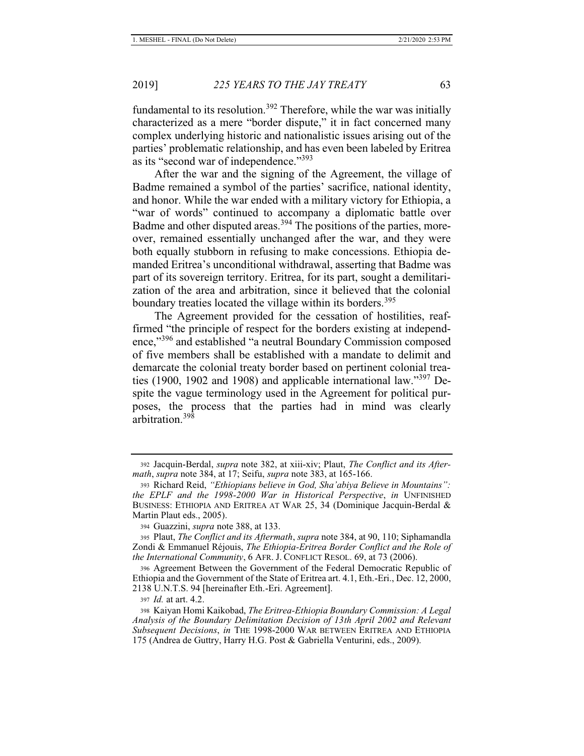fundamental to its resolution.<sup>392</sup> Therefore, while the war was initially characterized as a mere "border dispute," it in fact concerned many complex underlying historic and nationalistic issues arising out of the parties' problematic relationship, and has even been labeled by Eritrea as its "second war of independence."<sup>393</sup>

After the war and the signing of the Agreement, the village of Badme remained a symbol of the parties' sacrifice, national identity, and honor. While the war ended with a military victory for Ethiopia, a "war of words" continued to accompany a diplomatic battle over Badme and other disputed areas.<sup>394</sup> The positions of the parties, moreover, remained essentially unchanged after the war, and they were both equally stubborn in refusing to make concessions. Ethiopia demanded Eritrea's unconditional withdrawal, asserting that Badme was part of its sovereign territory. Eritrea, for its part, sought a demilitarization of the area and arbitration, since it believed that the colonial boundary treaties located the village within its borders.<sup>395</sup>

The Agreement provided for the cessation of hostilities, reaffirmed "the principle of respect for the borders existing at independence,"<sup>396</sup> and established "a neutral Boundary Commission composed of five members shall be established with a mandate to delimit and demarcate the colonial treaty border based on pertinent colonial treaties (1900, 1902 and 1908) and applicable international law."<sup>397</sup> Despite the vague terminology used in the Agreement for political purposes, the process that the parties had in mind was clearly arbitration.<sup>398</sup>

<sup>392</sup> Jacquin-Berdal, *supra* note 382, at xiii-xiv; Plaut, *The Conflict and its Aftermath*, *supra* note 384, at 17; Seifu, *supra* note 383, at 165-166.

<sup>393</sup> Richard Reid, *"Ethiopians believe in God, Sha'abiya Believe in Mountains": the EPLF and the 1998-2000 War in Historical Perspective*, *in* UNFINISHED BUSINESS: ETHIOPIA AND ERITREA AT WAR 25, 34 (Dominique Jacquin-Berdal & Martin Plaut eds., 2005).

<sup>394</sup> Guazzini, *supra* note 388, at 133.

<sup>395</sup> Plaut, *The Conflict and its Aftermath*, *supra* note 384, at 90, 110; Siphamandla Zondi & Emmanuel Réjouis, *The Ethiopia-Eritrea Border Conflict and the Role of the International Community*, 6 AFR. J. CONFLICT RESOL. 69, at 73 (2006).

<sup>396</sup> Agreement Between the Government of the Federal Democratic Republic of Ethiopia and the Government of the State of Eritrea art. 4.1, Eth.-Eri., Dec. 12, 2000, 2138 U.N.T.S. 94 [hereinafter Eth.-Eri. Agreement].

<sup>397</sup> *Id.* at art. 4.2.

<sup>398</sup> Kaiyan Homi Kaikobad, *The Eritrea-Ethiopia Boundary Commission: A Legal Analysis of the Boundary Delimitation Decision of 13th April 2002 and Relevant Subsequent Decisions*, *in* THE 1998-2000 WAR BETWEEN ERITREA AND ETHIOPIA 175 (Andrea de Guttry, Harry H.G. Post & Gabriella Venturini, eds., 2009).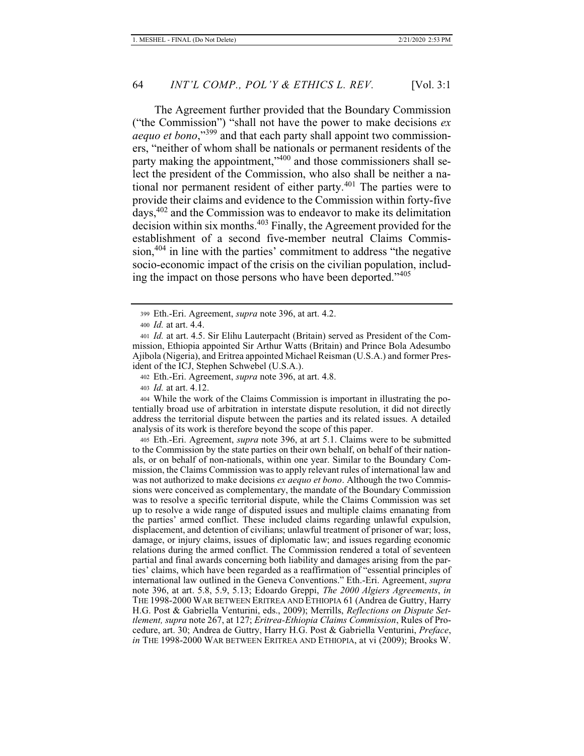The Agreement further provided that the Boundary Commission ("the Commission") "shall not have the power to make decisions *ex aequo et bono*,"399 and that each party shall appoint two commissioners, "neither of whom shall be nationals or permanent residents of the party making the appointment,"<sup>400</sup> and those commissioners shall select the president of the Commission, who also shall be neither a national nor permanent resident of either party.<sup>401</sup> The parties were to provide their claims and evidence to the Commission within forty-five days,402 and the Commission was to endeavor to make its delimitation decision within six months.403 Finally, the Agreement provided for the establishment of a second five-member neutral Claims Commis $sion,404$  in line with the parties' commitment to address "the negative socio-economic impact of the crisis on the civilian population, including the impact on those persons who have been deported."<sup>405</sup>

404 While the work of the Claims Commission is important in illustrating the potentially broad use of arbitration in interstate dispute resolution, it did not directly address the territorial dispute between the parties and its related issues. A detailed analysis of its work is therefore beyond the scope of this paper.

405 Eth.-Eri. Agreement, *supra* note 396, at art 5.1. Claims were to be submitted to the Commission by the state parties on their own behalf, on behalf of their nationals, or on behalf of non-nationals, within one year. Similar to the Boundary Commission, the Claims Commission was to apply relevant rules of international law and was not authorized to make decisions *ex aequo et bono*. Although the two Commissions were conceived as complementary, the mandate of the Boundary Commission was to resolve a specific territorial dispute, while the Claims Commission was set up to resolve a wide range of disputed issues and multiple claims emanating from the parties' armed conflict. These included claims regarding unlawful expulsion, displacement, and detention of civilians; unlawful treatment of prisoner of war; loss, damage, or injury claims, issues of diplomatic law; and issues regarding economic relations during the armed conflict. The Commission rendered a total of seventeen partial and final awards concerning both liability and damages arising from the parties' claims, which have been regarded as a reaffirmation of "essential principles of international law outlined in the Geneva Conventions." Eth.-Eri. Agreement, *supra*  note 396, at art. 5.8, 5.9, 5.13; Edoardo Greppi, *The 2000 Algiers Agreements*, *in* THE 1998-2000 WAR BETWEEN ERITREA AND ETHIOPIA 61 (Andrea de Guttry, Harry H.G. Post & Gabriella Venturini, eds., 2009); Merrills, *Reflections on Dispute Settlement, supra* note 267, at 127; *Eritrea-Ethiopia Claims Commission*, Rules of Procedure, art. 30; Andrea de Guttry, Harry H.G. Post & Gabriella Venturini, *Preface*, *in* THE 1998-2000 WAR BETWEEN ERITREA AND ETHIOPIA, at vi (2009); Brooks W.

<sup>399</sup> Eth.-Eri. Agreement, *supra* note 396, at art. 4.2.

<sup>400</sup> *Id.* at art. 4.4.

<sup>401</sup> *Id.* at art. 4.5. Sir Elihu Lauterpacht (Britain) served as President of the Commission, Ethiopia appointed Sir Arthur Watts (Britain) and Prince Bola Adesumbo Ajibola (Nigeria), and Eritrea appointed Michael Reisman (U.S.A.) and former President of the ICJ, Stephen Schwebel (U.S.A.).

<sup>402</sup> Eth.-Eri. Agreement, *supra* note 396, at art. 4.8.

<sup>403</sup> *Id.* at art. 4.12.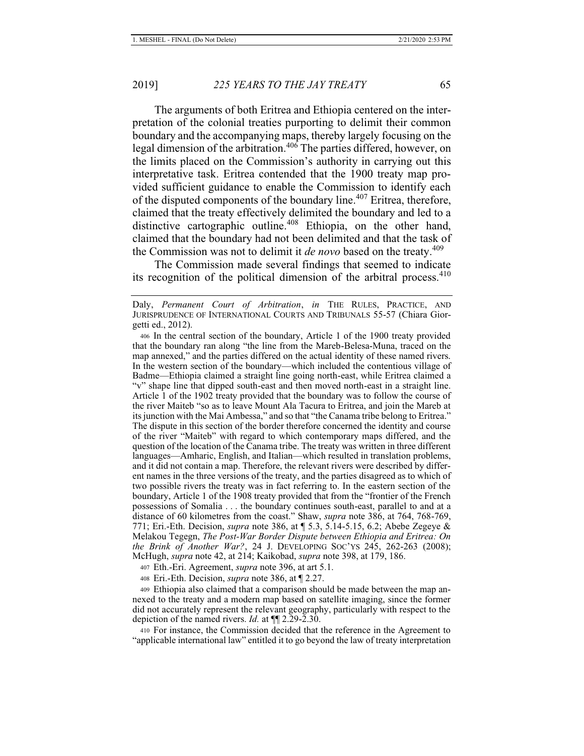The arguments of both Eritrea and Ethiopia centered on the interpretation of the colonial treaties purporting to delimit their common boundary and the accompanying maps, thereby largely focusing on the legal dimension of the arbitration.<sup>406</sup> The parties differed, however, on the limits placed on the Commission's authority in carrying out this interpretative task. Eritrea contended that the 1900 treaty map provided sufficient guidance to enable the Commission to identify each of the disputed components of the boundary line.<sup>407</sup> Eritrea, therefore, claimed that the treaty effectively delimited the boundary and led to a distinctive cartographic outline.<sup>408</sup> Ethiopia, on the other hand, claimed that the boundary had not been delimited and that the task of the Commission was not to delimit it *de novo* based on the treaty.<sup>409</sup>

The Commission made several findings that seemed to indicate its recognition of the political dimension of the arbitral process. $410$ 

407 Eth.-Eri. Agreement, *supra* note 396, at art 5.1.

408 Eri.-Eth. Decision, *supra* note 386, at ¶ 2.27.

409 Ethiopia also claimed that a comparison should be made between the map annexed to the treaty and a modern map based on satellite imaging, since the former did not accurately represent the relevant geography, particularly with respect to the depiction of the named rivers. *Id.* at ¶¶ 2.29-2.30.

410 For instance, the Commission decided that the reference in the Agreement to "applicable international law" entitled it to go beyond the law of treaty interpretation

Daly, *Permanent Court of Arbitration*, *in* THE RULES, PRACTICE, AND JURISPRUDENCE OF INTERNATIONAL COURTS AND TRIBUNALS 55-57 (Chiara Giorgetti ed., 2012).

<sup>406</sup> In the central section of the boundary, Article 1 of the 1900 treaty provided that the boundary ran along "the line from the Mareb-Belesa-Muna, traced on the map annexed," and the parties differed on the actual identity of these named rivers. In the western section of the boundary—which included the contentious village of Badme—Ethiopia claimed a straight line going north-east, while Eritrea claimed a "v" shape line that dipped south-east and then moved north-east in a straight line. Article 1 of the 1902 treaty provided that the boundary was to follow the course of the river Maiteb "so as to leave Mount Ala Tacura to Eritrea, and join the Mareb at its junction with the Mai Ambessa," and so that "the Canama tribe belong to Eritrea." The dispute in this section of the border therefore concerned the identity and course of the river "Maiteb" with regard to which contemporary maps differed, and the question of the location of the Canama tribe. The treaty was written in three different languages—Amharic, English, and Italian—which resulted in translation problems, and it did not contain a map. Therefore, the relevant rivers were described by different names in the three versions of the treaty, and the parties disagreed as to which of two possible rivers the treaty was in fact referring to. In the eastern section of the boundary, Article 1 of the 1908 treaty provided that from the "frontier of the French possessions of Somalia . . . the boundary continues south-east, parallel to and at a distance of 60 kilometres from the coast." Shaw, *supra* note 386, at 764, 768-769, 771; Eri.-Eth. Decision, *supra* note 386, at ¶ 5.3, 5.14-5.15, 6.2; Abebe Zegeye & Melakou Tegegn, *The Post-War Border Dispute between Ethiopia and Eritrea: On the Brink of Another War?*, 24 J. DEVELOPING SOC'YS 245, 262-263 (2008); McHugh, *supra* note 42, at 214; Kaikobad, *supra* note 398, at 179, 186.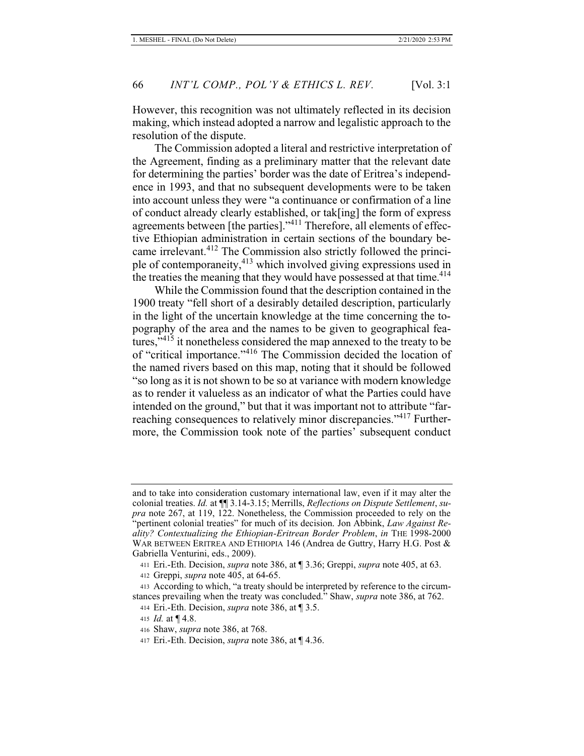However, this recognition was not ultimately reflected in its decision making, which instead adopted a narrow and legalistic approach to the resolution of the dispute.

The Commission adopted a literal and restrictive interpretation of the Agreement, finding as a preliminary matter that the relevant date for determining the parties' border was the date of Eritrea's independence in 1993, and that no subsequent developments were to be taken into account unless they were "a continuance or confirmation of a line of conduct already clearly established, or tak[ing] the form of express agreements between [the parties]."411 Therefore, all elements of effective Ethiopian administration in certain sections of the boundary became irrelevant.<sup>412</sup> The Commission also strictly followed the principle of contemporaneity,413 which involved giving expressions used in the treaties the meaning that they would have possessed at that time.<sup>414</sup>

While the Commission found that the description contained in the 1900 treaty "fell short of a desirably detailed description, particularly in the light of the uncertain knowledge at the time concerning the topography of the area and the names to be given to geographical features,"<sup>415</sup> it nonetheless considered the map annexed to the treaty to be of "critical importance."416 The Commission decided the location of the named rivers based on this map, noting that it should be followed "so long as it is not shown to be so at variance with modern knowledge as to render it valueless as an indicator of what the Parties could have intended on the ground," but that it was important not to attribute "farreaching consequences to relatively minor discrepancies."<sup>417</sup> Furthermore, the Commission took note of the parties' subsequent conduct

and to take into consideration customary international law, even if it may alter the colonial treaties. *Id.* at ¶¶ 3.14-3.15; Merrills, *Reflections on Dispute Settlement*, *supra* note 267, at 119, 122. Nonetheless, the Commission proceeded to rely on the "pertinent colonial treaties" for much of its decision. Jon Abbink, *Law Against Reality? Contextualizing the Ethiopian-Eritrean Border Problem*, *in* THE 1998-2000 WAR BETWEEN ERITREA AND ETHIOPIA 146 (Andrea de Guttry, Harry H.G. Post & Gabriella Venturini, eds., 2009).

<sup>411</sup> Eri.-Eth. Decision, *supra* note 386, at ¶ 3.36; Greppi, *supra* note 405, at 63.

<sup>412</sup> Greppi, *supra* note 405, at 64-65.

<sup>413</sup> According to which, "a treaty should be interpreted by reference to the circumstances prevailing when the treaty was concluded." Shaw, *supra* note 386, at 762. 414 Eri.-Eth. Decision, *supra* note 386, at ¶ 3.5.

<sup>415</sup> *Id.* at ¶ 4.8.

<sup>416</sup> Shaw, *supra* note 386, at 768.

<sup>417</sup> Eri.-Eth. Decision, *supra* note 386, at ¶ 4.36.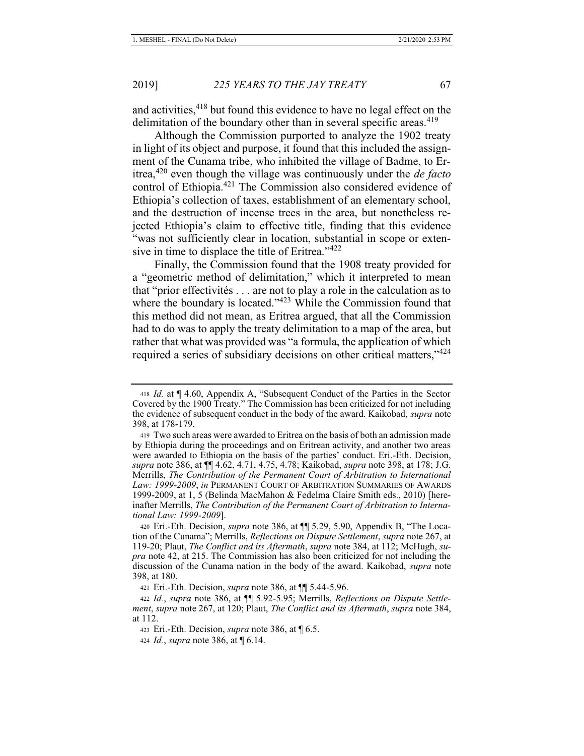and activities,<sup>418</sup> but found this evidence to have no legal effect on the delimitation of the boundary other than in several specific areas.<sup>419</sup>

Although the Commission purported to analyze the 1902 treaty in light of its object and purpose, it found that this included the assignment of the Cunama tribe, who inhibited the village of Badme, to Eritrea,420 even though the village was continuously under the *de facto*  control of Ethiopia.421 The Commission also considered evidence of Ethiopia's collection of taxes, establishment of an elementary school, and the destruction of incense trees in the area, but nonetheless rejected Ethiopia's claim to effective title, finding that this evidence "was not sufficiently clear in location, substantial in scope or extensive in time to displace the title of Eritrea."<sup>422</sup>

Finally, the Commission found that the 1908 treaty provided for a "geometric method of delimitation," which it interpreted to mean that "prior effectivités . . . are not to play a role in the calculation as to where the boundary is located."<sup>423</sup> While the Commission found that this method did not mean, as Eritrea argued, that all the Commission had to do was to apply the treaty delimitation to a map of the area, but rather that what was provided was "a formula, the application of which required a series of subsidiary decisions on other critical matters,"<sup>424</sup>

<sup>418</sup> *Id.* at ¶ 4.60, Appendix A, "Subsequent Conduct of the Parties in the Sector Covered by the 1900 Treaty." The Commission has been criticized for not including the evidence of subsequent conduct in the body of the award. Kaikobad, *supra* note 398, at 178-179.

<sup>419</sup> Two such areas were awarded to Eritrea on the basis of both an admission made by Ethiopia during the proceedings and on Eritrean activity, and another two areas were awarded to Ethiopia on the basis of the parties' conduct. Eri.-Eth. Decision, *supra* note 386, at ¶¶ 4.62, 4.71, 4.75, 4.78; Kaikobad, *supra* note 398, at 178; J.G. Merrills, *The Contribution of the Permanent Court of Arbitration to International Law: 1999-2009*, *in* PERMANENT COURT OF ARBITRATION SUMMARIES OF AWARDS 1999-2009, at 1, 5 (Belinda MacMahon & Fedelma Claire Smith eds., 2010) [hereinafter Merrills, *The Contribution of the Permanent Court of Arbitration to International Law: 1999-2009*].

<sup>420</sup> Eri.-Eth. Decision, *supra* note 386, at ¶¶ 5.29, 5.90, Appendix B, "The Location of the Cunama"; Merrills, *Reflections on Dispute Settlement*, *supra* note 267, at 119-20; Plaut, *The Conflict and its Aftermath*, *supra* note 384, at 112; McHugh, *supra* note 42, at 215. The Commission has also been criticized for not including the discussion of the Cunama nation in the body of the award. Kaikobad, *supra* note 398, at 180.

<sup>421</sup> Eri.-Eth. Decision, *supra* note 386, at ¶¶ 5.44-5.96.

<sup>422</sup> *Id.*, *supra* note 386, at ¶¶ 5.92-5.95; Merrills, *Reflections on Dispute Settlement*, *supra* note 267, at 120; Plaut, *The Conflict and its Aftermath*, *supra* note 384, at 112.

<sup>423</sup> Eri.-Eth. Decision, *supra* note 386, at ¶ 6.5.

<sup>424</sup> *Id.*, *supra* note 386, at ¶ 6.14.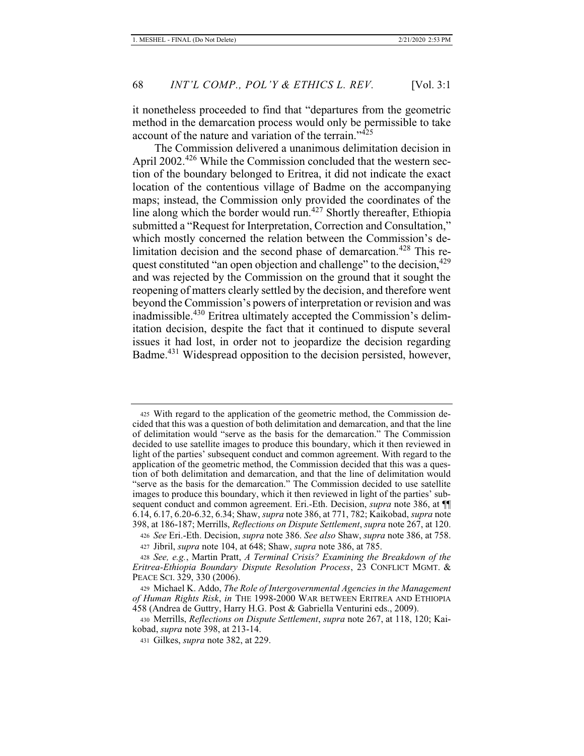it nonetheless proceeded to find that "departures from the geometric method in the demarcation process would only be permissible to take account of the nature and variation of the terrain."<sup>425</sup>

The Commission delivered a unanimous delimitation decision in April 2002.<sup>426</sup> While the Commission concluded that the western section of the boundary belonged to Eritrea, it did not indicate the exact location of the contentious village of Badme on the accompanying maps; instead, the Commission only provided the coordinates of the line along which the border would run.<sup>427</sup> Shortly thereafter, Ethiopia submitted a "Request for Interpretation, Correction and Consultation," which mostly concerned the relation between the Commission's delimitation decision and the second phase of demarcation.<sup>428</sup> This request constituted "an open objection and challenge" to the decision,  $429$ and was rejected by the Commission on the ground that it sought the reopening of matters clearly settled by the decision, and therefore went beyond the Commission's powers of interpretation or revision and was inadmissible.<sup>430</sup> Eritrea ultimately accepted the Commission's delimitation decision, despite the fact that it continued to dispute several issues it had lost, in order not to jeopardize the decision regarding Badme.431 Widespread opposition to the decision persisted, however,

<sup>425</sup> With regard to the application of the geometric method, the Commission decided that this was a question of both delimitation and demarcation, and that the line of delimitation would "serve as the basis for the demarcation." The Commission decided to use satellite images to produce this boundary, which it then reviewed in light of the parties' subsequent conduct and common agreement. With regard to the application of the geometric method, the Commission decided that this was a question of both delimitation and demarcation, and that the line of delimitation would "serve as the basis for the demarcation." The Commission decided to use satellite images to produce this boundary, which it then reviewed in light of the parties' subsequent conduct and common agreement. Eri.-Eth. Decision, *supra* note 386, at ¶¶ 6.14, 6.17, 6.20-6.32, 6.34; Shaw, *supra* note 386, at 771, 782; Kaikobad, *supra* note 398, at 186-187; Merrills, *Reflections on Dispute Settlement*, *supra* note 267, at 120.

<sup>426</sup> *See* Eri.-Eth. Decision, *supra* note 386. *See also* Shaw, *supra* note 386, at 758.

<sup>427</sup> Jibril, *supra* note 104, at 648; Shaw, *supra* note 386, at 785.

<sup>428</sup> *See, e.g.*, Martin Pratt, *A Terminal Crisis? Examining the Breakdown of the Eritrea-Ethiopia Boundary Dispute Resolution Process*, 23 CONFLICT MGMT. & PEACE SCI. 329, 330 (2006).

<sup>429</sup> Michael K. Addo, *The Role of Intergovernmental Agencies in the Management of Human Rights Risk*, *in* THE 1998-2000 WAR BETWEEN ERITREA AND ETHIOPIA 458 (Andrea de Guttry, Harry H.G. Post & Gabriella Venturini eds., 2009).

<sup>430</sup> Merrills, *Reflections on Dispute Settlement*, *supra* note 267, at 118, 120; Kaikobad, *supra* note 398, at 213-14.

<sup>431</sup> Gilkes, *supra* note 382, at 229.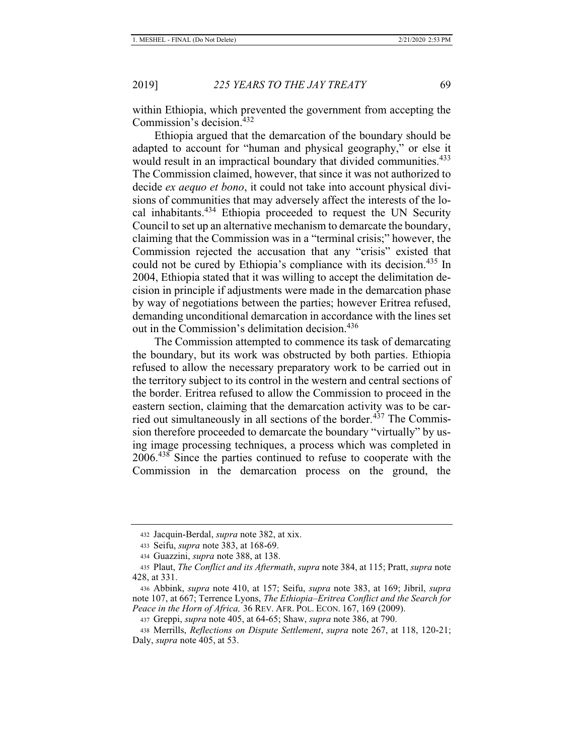within Ethiopia, which prevented the government from accepting the Commission's decision.<sup>432</sup>

Ethiopia argued that the demarcation of the boundary should be adapted to account for "human and physical geography," or else it would result in an impractical boundary that divided communities.<sup>433</sup> The Commission claimed, however, that since it was not authorized to decide *ex aequo et bono*, it could not take into account physical divisions of communities that may adversely affect the interests of the local inhabitants.434 Ethiopia proceeded to request the UN Security Council to set up an alternative mechanism to demarcate the boundary, claiming that the Commission was in a "terminal crisis;" however, the Commission rejected the accusation that any "crisis" existed that could not be cured by Ethiopia's compliance with its decision.<sup>435</sup> In 2004, Ethiopia stated that it was willing to accept the delimitation decision in principle if adjustments were made in the demarcation phase by way of negotiations between the parties; however Eritrea refused, demanding unconditional demarcation in accordance with the lines set out in the Commission's delimitation decision.<sup>436</sup>

The Commission attempted to commence its task of demarcating the boundary, but its work was obstructed by both parties. Ethiopia refused to allow the necessary preparatory work to be carried out in the territory subject to its control in the western and central sections of the border. Eritrea refused to allow the Commission to proceed in the eastern section, claiming that the demarcation activity was to be carried out simultaneously in all sections of the border.<sup>437</sup> The Commission therefore proceeded to demarcate the boundary "virtually" by using image processing techniques, a process which was completed in 2006.<sup>438</sup> Since the parties continued to refuse to cooperate with the Commission in the demarcation process on the ground, the

<sup>432</sup> Jacquin-Berdal, *supra* note 382, at xix.

<sup>433</sup> Seifu, *supra* note 383, at 168-69.

<sup>434</sup> Guazzini, *supra* note 388, at 138.

<sup>435</sup> Plaut, *The Conflict and its Aftermath*, *supra* note 384, at 115; Pratt, *supra* note 428, at 331.

<sup>436</sup> Abbink, *supra* note 410, at 157; Seifu, *supra* note 383, at 169; Jibril, *supra*  note 107, at 667; Terrence Lyons, *The Ethiopia–Eritrea Conflict and the Search for Peace in the Horn of Africa,* 36 REV. AFR. POL. ECON. 167, 169 (2009).

<sup>437</sup> Greppi, *supra* note 405, at 64-65; Shaw, *supra* note 386, at 790.

<sup>438</sup> Merrills, *Reflections on Dispute Settlement*, *supra* note 267, at 118, 120-21; Daly, *supra* note 405, at 53.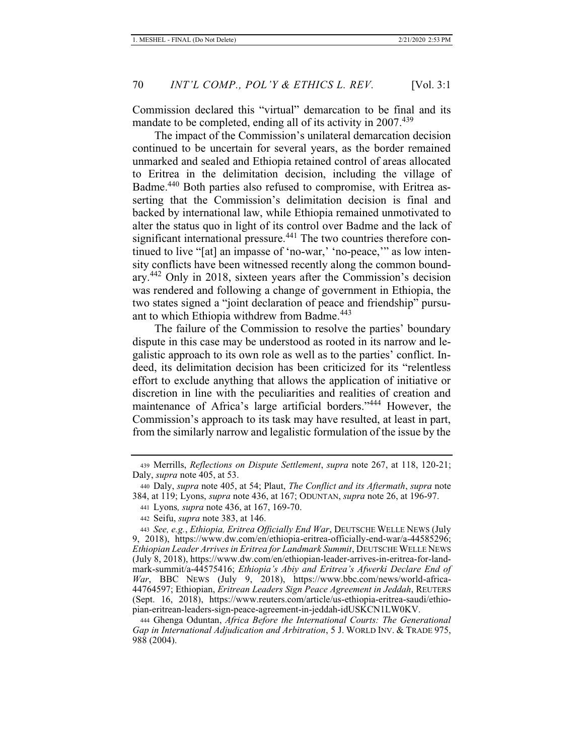Commission declared this "virtual" demarcation to be final and its mandate to be completed, ending all of its activity in  $2007<sup>439</sup>$ 

The impact of the Commission's unilateral demarcation decision continued to be uncertain for several years, as the border remained unmarked and sealed and Ethiopia retained control of areas allocated to Eritrea in the delimitation decision, including the village of Badme.440 Both parties also refused to compromise, with Eritrea asserting that the Commission's delimitation decision is final and backed by international law, while Ethiopia remained unmotivated to alter the status quo in light of its control over Badme and the lack of significant international pressure.<sup>441</sup> The two countries therefore continued to live "[at] an impasse of 'no-war,' 'no-peace," as low intensity conflicts have been witnessed recently along the common boundary.<sup>442</sup> Only in 2018, sixteen years after the Commission's decision was rendered and following a change of government in Ethiopia, the two states signed a "joint declaration of peace and friendship" pursuant to which Ethiopia withdrew from Badme.<sup>443</sup>

The failure of the Commission to resolve the parties' boundary dispute in this case may be understood as rooted in its narrow and legalistic approach to its own role as well as to the parties' conflict. Indeed, its delimitation decision has been criticized for its "relentless effort to exclude anything that allows the application of initiative or discretion in line with the peculiarities and realities of creation and maintenance of Africa's large artificial borders."444 However, the Commission's approach to its task may have resulted, at least in part, from the similarly narrow and legalistic formulation of the issue by the

<sup>439</sup> Merrills, *Reflections on Dispute Settlement*, *supra* note 267, at 118, 120-21; Daly, *supra* note 405, at 53.

<sup>440</sup> Daly, *supra* note 405, at 54; Plaut, *The Conflict and its Aftermath*, *supra* note 384, at 119; Lyons, *supra* note 436, at 167; ODUNTAN, *supra* note 26, at 196-97.

<sup>441</sup> Lyons*, supra* note 436, at 167, 169-70.

<sup>442</sup> Seifu, *supra* note 383, at 146.

<sup>443</sup> *See, e.g.*, *Ethiopia, Eritrea Officially End War*, DEUTSCHE WELLE NEWS (July 9, 2018), https://www.dw.com/en/ethiopia-eritrea-officially-end-war/a-44585296; *Ethiopian Leader Arrives in Eritrea for Landmark Summit*, DEUTSCHE WELLE NEWS (July 8, 2018), https://www.dw.com/en/ethiopian-leader-arrives-in-eritrea-for-landmark-summit/a-44575416; *Ethiopia's Abiy and Eritrea's Afwerki Declare End of War*, BBC NEWS (July 9, 2018), https://www.bbc.com/news/world-africa-44764597; Ethiopian, *Eritrean Leaders Sign Peace Agreement in Jeddah*, REUTERS (Sept. 16, 2018), https://www.reuters.com/article/us-ethiopia-eritrea-saudi/ethiopian-eritrean-leaders-sign-peace-agreement-in-jeddah-idUSKCN1LW0KV.

<sup>444</sup> Ghenga Oduntan, *Africa Before the International Courts: The Generational Gap in International Adjudication and Arbitration*, 5 J. WORLD INV. & TRADE 975, 988 (2004).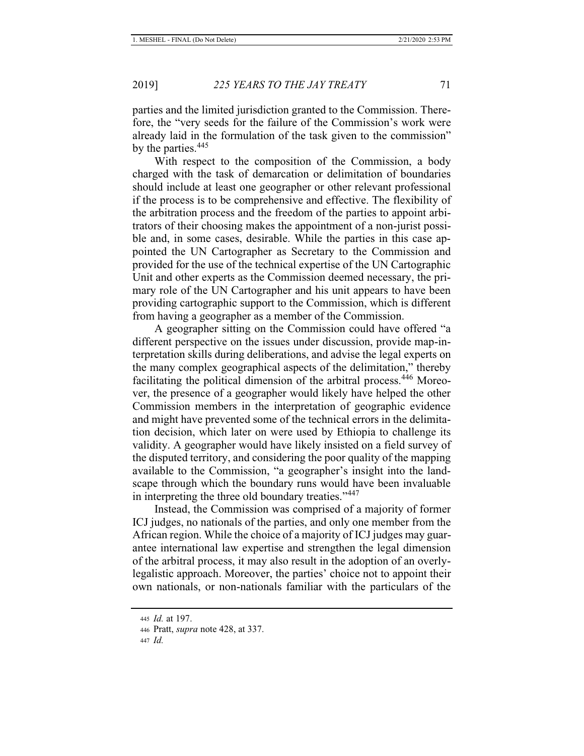parties and the limited jurisdiction granted to the Commission. Therefore, the "very seeds for the failure of the Commission's work were already laid in the formulation of the task given to the commission" by the parties.<sup>445</sup>

With respect to the composition of the Commission, a body charged with the task of demarcation or delimitation of boundaries should include at least one geographer or other relevant professional if the process is to be comprehensive and effective. The flexibility of the arbitration process and the freedom of the parties to appoint arbitrators of their choosing makes the appointment of a non-jurist possible and, in some cases, desirable. While the parties in this case appointed the UN Cartographer as Secretary to the Commission and provided for the use of the technical expertise of the UN Cartographic Unit and other experts as the Commission deemed necessary, the primary role of the UN Cartographer and his unit appears to have been providing cartographic support to the Commission, which is different from having a geographer as a member of the Commission.

A geographer sitting on the Commission could have offered "a different perspective on the issues under discussion, provide map-interpretation skills during deliberations, and advise the legal experts on the many complex geographical aspects of the delimitation," thereby facilitating the political dimension of the arbitral process.<sup>446</sup> Moreover, the presence of a geographer would likely have helped the other Commission members in the interpretation of geographic evidence and might have prevented some of the technical errors in the delimitation decision, which later on were used by Ethiopia to challenge its validity. A geographer would have likely insisted on a field survey of the disputed territory, and considering the poor quality of the mapping available to the Commission, "a geographer's insight into the landscape through which the boundary runs would have been invaluable in interpreting the three old boundary treaties."<sup>447</sup>

Instead, the Commission was comprised of a majority of former ICJ judges, no nationals of the parties, and only one member from the African region. While the choice of a majority of ICJ judges may guarantee international law expertise and strengthen the legal dimension of the arbitral process, it may also result in the adoption of an overlylegalistic approach. Moreover, the parties' choice not to appoint their own nationals, or non-nationals familiar with the particulars of the

<sup>445</sup> *Id.* at 197.

<sup>446</sup> Pratt, *supra* note 428, at 337.

<sup>447</sup> *Id.*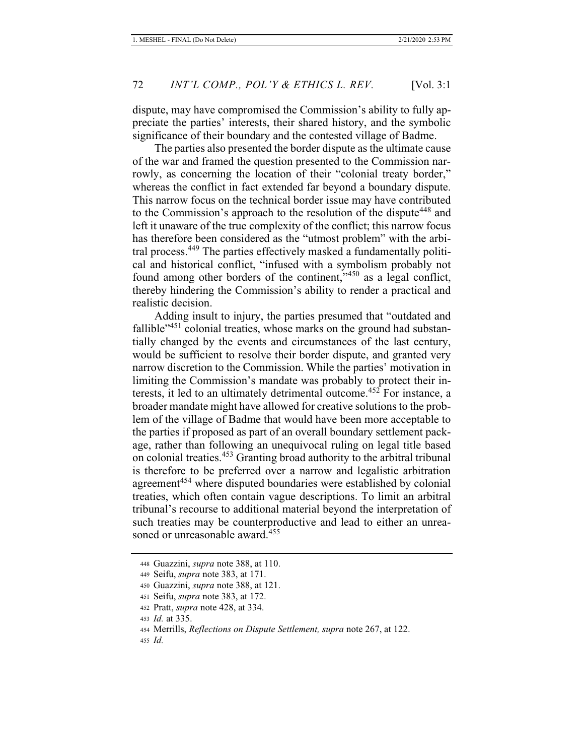dispute, may have compromised the Commission's ability to fully appreciate the parties' interests, their shared history, and the symbolic significance of their boundary and the contested village of Badme.

The parties also presented the border dispute as the ultimate cause of the war and framed the question presented to the Commission narrowly, as concerning the location of their "colonial treaty border," whereas the conflict in fact extended far beyond a boundary dispute. This narrow focus on the technical border issue may have contributed to the Commission's approach to the resolution of the dispute<sup>448</sup> and left it unaware of the true complexity of the conflict; this narrow focus has therefore been considered as the "utmost problem" with the arbitral process.449 The parties effectively masked a fundamentally political and historical conflict, "infused with a symbolism probably not found among other borders of the continent,"450 as a legal conflict, thereby hindering the Commission's ability to render a practical and realistic decision.

Adding insult to injury, the parties presumed that "outdated and fallible<sup> $3451$ </sup> colonial treaties, whose marks on the ground had substantially changed by the events and circumstances of the last century, would be sufficient to resolve their border dispute, and granted very narrow discretion to the Commission. While the parties' motivation in limiting the Commission's mandate was probably to protect their interests, it led to an ultimately detrimental outcome.<sup>452</sup> For instance, a broader mandate might have allowed for creative solutions to the problem of the village of Badme that would have been more acceptable to the parties if proposed as part of an overall boundary settlement package, rather than following an unequivocal ruling on legal title based on colonial treaties.<sup>453</sup> Granting broad authority to the arbitral tribunal is therefore to be preferred over a narrow and legalistic arbitration agreement<sup>454</sup> where disputed boundaries were established by colonial treaties, which often contain vague descriptions. To limit an arbitral tribunal's recourse to additional material beyond the interpretation of such treaties may be counterproductive and lead to either an unreasoned or unreasonable award.<sup>455</sup>

<sup>448</sup> Guazzini, *supra* note 388, at 110.

<sup>449</sup> Seifu, *supra* note 383, at 171.

<sup>450</sup> Guazzini, *supra* note 388, at 121.

<sup>451</sup> Seifu, *supra* note 383, at 172.

<sup>452</sup> Pratt, *supra* note 428, at 334.

<sup>453</sup> *Id.* at 335.

<sup>454</sup> Merrills, *Reflections on Dispute Settlement, supra* note 267, at 122.

<sup>455</sup> *Id.*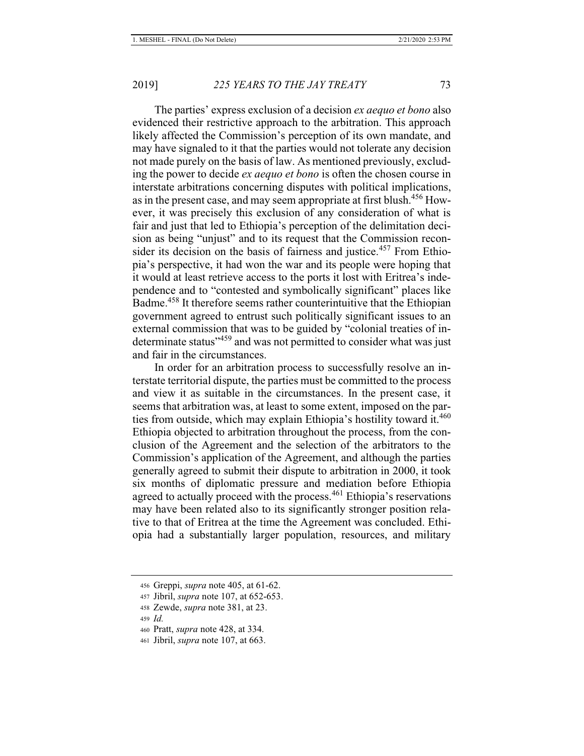The parties' express exclusion of a decision *ex aequo et bono* also evidenced their restrictive approach to the arbitration. This approach likely affected the Commission's perception of its own mandate, and may have signaled to it that the parties would not tolerate any decision not made purely on the basis of law. As mentioned previously, excluding the power to decide *ex aequo et bono* is often the chosen course in interstate arbitrations concerning disputes with political implications, as in the present case, and may seem appropriate at first blush.<sup>456</sup> However, it was precisely this exclusion of any consideration of what is fair and just that led to Ethiopia's perception of the delimitation decision as being "unjust" and to its request that the Commission reconsider its decision on the basis of fairness and justice.<sup>457</sup> From Ethiopia's perspective, it had won the war and its people were hoping that it would at least retrieve access to the ports it lost with Eritrea's independence and to "contested and symbolically significant" places like Badme.<sup>458</sup> It therefore seems rather counterintuitive that the Ethiopian government agreed to entrust such politically significant issues to an external commission that was to be guided by "colonial treaties of indeterminate status"<sup>459</sup> and was not permitted to consider what was just and fair in the circumstances.

In order for an arbitration process to successfully resolve an interstate territorial dispute, the parties must be committed to the process and view it as suitable in the circumstances. In the present case, it seems that arbitration was, at least to some extent, imposed on the parties from outside, which may explain Ethiopia's hostility toward it.<sup>460</sup> Ethiopia objected to arbitration throughout the process, from the conclusion of the Agreement and the selection of the arbitrators to the Commission's application of the Agreement, and although the parties generally agreed to submit their dispute to arbitration in 2000, it took six months of diplomatic pressure and mediation before Ethiopia agreed to actually proceed with the process.<sup>461</sup> Ethiopia's reservations may have been related also to its significantly stronger position relative to that of Eritrea at the time the Agreement was concluded. Ethiopia had a substantially larger population, resources, and military

<sup>456</sup> Greppi, *supra* note 405, at 61-62.

<sup>457</sup> Jibril, *supra* note 107, at 652-653.

<sup>458</sup> Zewde, *supra* note 381, at 23.

<sup>459</sup> *Id.*

<sup>460</sup> Pratt, *supra* note 428, at 334.

<sup>461</sup> Jibril, *supra* note 107, at 663.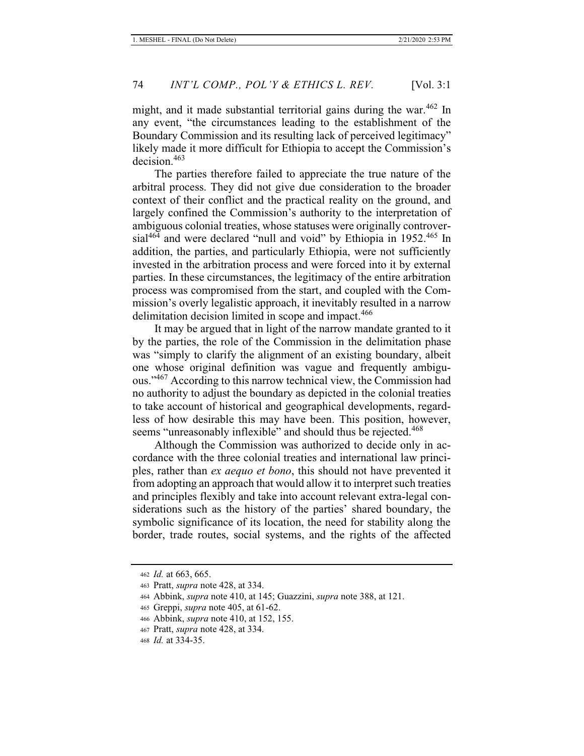might, and it made substantial territorial gains during the war.<sup>462</sup> In any event, "the circumstances leading to the establishment of the Boundary Commission and its resulting lack of perceived legitimacy" likely made it more difficult for Ethiopia to accept the Commission's decision.<sup>463</sup>

The parties therefore failed to appreciate the true nature of the arbitral process. They did not give due consideration to the broader context of their conflict and the practical reality on the ground, and largely confined the Commission's authority to the interpretation of ambiguous colonial treaties, whose statuses were originally controver $sial^{464}$  and were declared "null and void" by Ethiopia in 1952.<sup>465</sup> In addition, the parties, and particularly Ethiopia, were not sufficiently invested in the arbitration process and were forced into it by external parties. In these circumstances, the legitimacy of the entire arbitration process was compromised from the start, and coupled with the Commission's overly legalistic approach, it inevitably resulted in a narrow delimitation decision limited in scope and impact.<sup>466</sup>

It may be argued that in light of the narrow mandate granted to it by the parties, the role of the Commission in the delimitation phase was "simply to clarify the alignment of an existing boundary, albeit one whose original definition was vague and frequently ambiguous."<sup>467</sup> According to this narrow technical view, the Commission had no authority to adjust the boundary as depicted in the colonial treaties to take account of historical and geographical developments, regardless of how desirable this may have been. This position, however, seems "unreasonably inflexible" and should thus be rejected.<sup>468</sup>

Although the Commission was authorized to decide only in accordance with the three colonial treaties and international law principles, rather than *ex aequo et bono*, this should not have prevented it from adopting an approach that would allow it to interpret such treaties and principles flexibly and take into account relevant extra-legal considerations such as the history of the parties' shared boundary, the symbolic significance of its location, the need for stability along the border, trade routes, social systems, and the rights of the affected

<sup>462</sup> *Id.* at 663, 665.

<sup>463</sup> Pratt, *supra* note 428, at 334.

<sup>464</sup> Abbink, *supra* note 410, at 145; Guazzini, *supra* note 388, at 121.

<sup>465</sup> Greppi, *supra* note 405, at 61-62.

<sup>466</sup> Abbink, *supra* note 410, at 152, 155.

<sup>467</sup> Pratt, *supra* note 428, at 334.

<sup>468</sup> *Id.* at 334-35.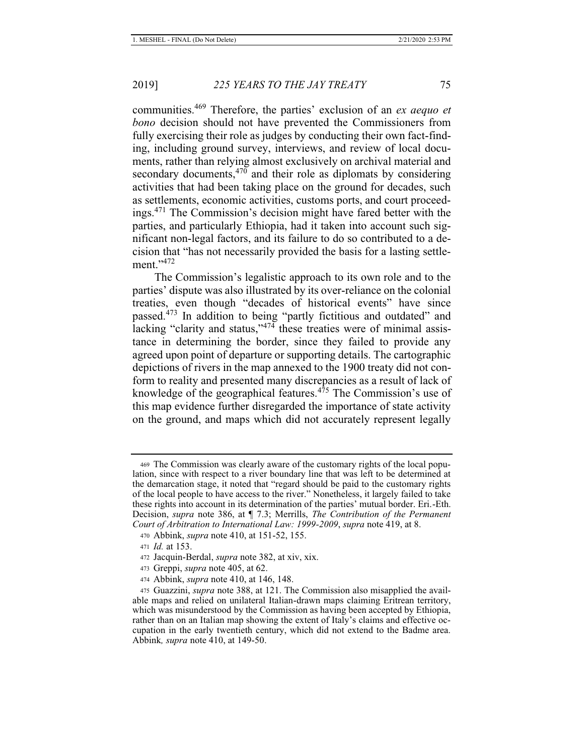communities.<sup>469</sup> Therefore, the parties' exclusion of an *ex aequo et bono* decision should not have prevented the Commissioners from fully exercising their role as judges by conducting their own fact-finding, including ground survey, interviews, and review of local documents, rather than relying almost exclusively on archival material and secondary documents, $470$  and their role as diplomats by considering activities that had been taking place on the ground for decades, such as settlements, economic activities, customs ports, and court proceedings.<sup>471</sup> The Commission's decision might have fared better with the parties, and particularly Ethiopia, had it taken into account such significant non-legal factors, and its failure to do so contributed to a decision that "has not necessarily provided the basis for a lasting settlement."<sup>472</sup>

The Commission's legalistic approach to its own role and to the parties' dispute was also illustrated by its over-reliance on the colonial treaties, even though "decades of historical events" have since passed.<sup>473</sup> In addition to being "partly fictitious and outdated" and lacking "clarity and status,"<sup>474</sup> these treaties were of minimal assistance in determining the border, since they failed to provide any agreed upon point of departure or supporting details. The cartographic depictions of rivers in the map annexed to the 1900 treaty did not conform to reality and presented many discrepancies as a result of lack of knowledge of the geographical features. $4^{75}$  The Commission's use of this map evidence further disregarded the importance of state activity on the ground, and maps which did not accurately represent legally

<sup>469</sup> The Commission was clearly aware of the customary rights of the local population, since with respect to a river boundary line that was left to be determined at the demarcation stage, it noted that "regard should be paid to the customary rights of the local people to have access to the river." Nonetheless, it largely failed to take these rights into account in its determination of the parties' mutual border. Eri.-Eth. Decision, *supra* note 386, at ¶ 7.3; Merrills, *The Contribution of the Permanent Court of Arbitration to International Law: 1999-2009*, *supra* note 419, at 8.

<sup>470</sup> Abbink, *supra* note 410, at 151-52, 155.

<sup>471</sup> *Id.* at 153.

<sup>472</sup> Jacquin-Berdal, *supra* note 382, at xiv, xix.

<sup>473</sup> Greppi, *supra* note 405, at 62.

<sup>474</sup> Abbink, *supra* note 410, at 146, 148.

<sup>475</sup> Guazzini, *supra* note 388, at 121. The Commission also misapplied the available maps and relied on unilateral Italian-drawn maps claiming Eritrean territory, which was misunderstood by the Commission as having been accepted by Ethiopia, rather than on an Italian map showing the extent of Italy's claims and effective occupation in the early twentieth century, which did not extend to the Badme area. Abbink*, supra* note 410, at 149-50.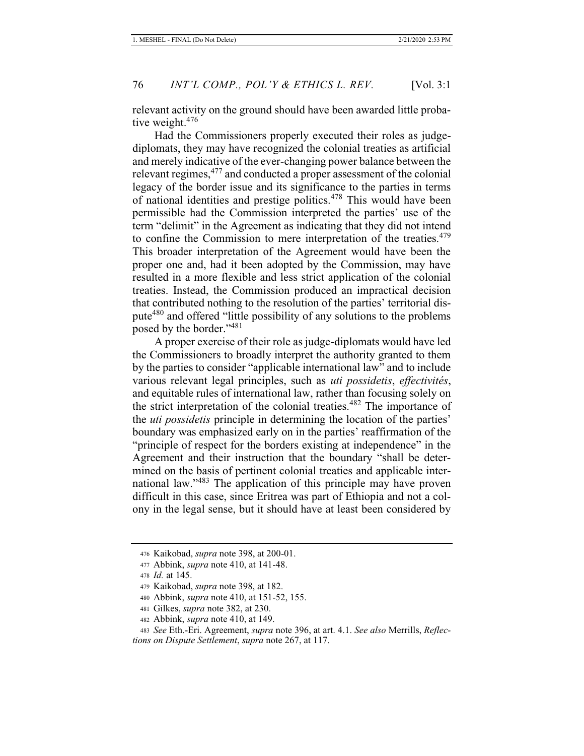relevant activity on the ground should have been awarded little probative weight.<sup>476</sup>

Had the Commissioners properly executed their roles as judgediplomats, they may have recognized the colonial treaties as artificial and merely indicative of the ever-changing power balance between the relevant regimes,<sup>477</sup> and conducted a proper assessment of the colonial legacy of the border issue and its significance to the parties in terms of national identities and prestige politics.478 This would have been permissible had the Commission interpreted the parties' use of the term "delimit" in the Agreement as indicating that they did not intend to confine the Commission to mere interpretation of the treaties.<sup>479</sup> This broader interpretation of the Agreement would have been the proper one and, had it been adopted by the Commission, may have resulted in a more flexible and less strict application of the colonial treaties. Instead, the Commission produced an impractical decision that contributed nothing to the resolution of the parties' territorial dispute<sup>480</sup> and offered "little possibility of any solutions to the problems posed by the border."<sup>481</sup>

A proper exercise of their role as judge-diplomats would have led the Commissioners to broadly interpret the authority granted to them by the parties to consider "applicable international law" and to include various relevant legal principles, such as *uti possidetis*, *effectivités*, and equitable rules of international law, rather than focusing solely on the strict interpretation of the colonial treaties.<sup>482</sup> The importance of the *uti possidetis* principle in determining the location of the parties' boundary was emphasized early on in the parties' reaffirmation of the "principle of respect for the borders existing at independence" in the Agreement and their instruction that the boundary "shall be determined on the basis of pertinent colonial treaties and applicable international law."<sup>483</sup> The application of this principle may have proven difficult in this case, since Eritrea was part of Ethiopia and not a colony in the legal sense, but it should have at least been considered by

<sup>476</sup> Kaikobad, *supra* note 398, at 200-01.

<sup>477</sup> Abbink, *supra* note 410, at 141-48.

<sup>478</sup> *Id.* at 145.

<sup>479</sup> Kaikobad, *supra* note 398, at 182.

<sup>480</sup> Abbink, *supra* note 410, at 151-52, 155.

<sup>481</sup> Gilkes, *supra* note 382, at 230.

<sup>482</sup> Abbink, *supra* note 410, at 149.

<sup>483</sup> *See* Eth.-Eri. Agreement, *supra* note 396, at art. 4.1. *See also* Merrills, *Reflections on Dispute Settlement*, *supra* note 267, at 117.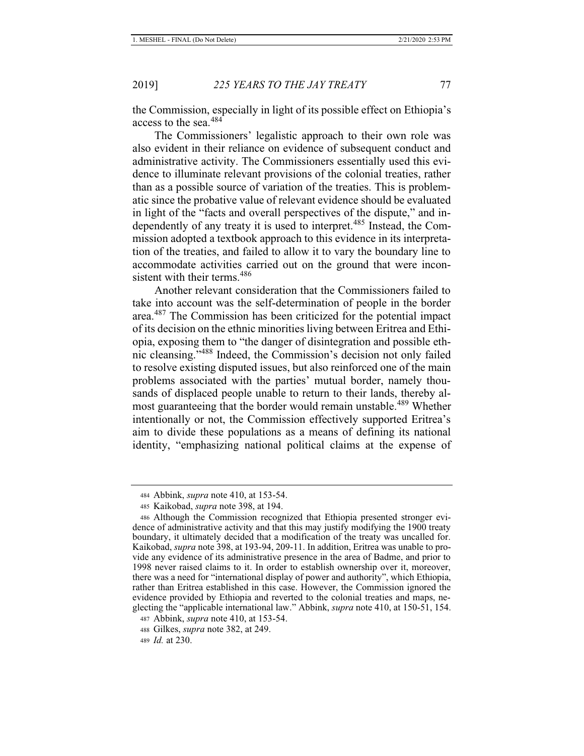the Commission, especially in light of its possible effect on Ethiopia's access to the sea.<sup>484</sup>

The Commissioners' legalistic approach to their own role was also evident in their reliance on evidence of subsequent conduct and administrative activity. The Commissioners essentially used this evidence to illuminate relevant provisions of the colonial treaties, rather than as a possible source of variation of the treaties. This is problematic since the probative value of relevant evidence should be evaluated in light of the "facts and overall perspectives of the dispute," and independently of any treaty it is used to interpret.<sup>485</sup> Instead, the Commission adopted a textbook approach to this evidence in its interpretation of the treaties, and failed to allow it to vary the boundary line to accommodate activities carried out on the ground that were inconsistent with their terms.<sup>486</sup>

Another relevant consideration that the Commissioners failed to take into account was the self-determination of people in the border area.487 The Commission has been criticized for the potential impact of its decision on the ethnic minorities living between Eritrea and Ethiopia, exposing them to "the danger of disintegration and possible ethnic cleansing."<sup>488</sup> Indeed, the Commission's decision not only failed to resolve existing disputed issues, but also reinforced one of the main problems associated with the parties' mutual border, namely thousands of displaced people unable to return to their lands, thereby almost guaranteeing that the border would remain unstable.<sup>489</sup> Whether intentionally or not, the Commission effectively supported Eritrea's aim to divide these populations as a means of defining its national identity, "emphasizing national political claims at the expense of

<sup>484</sup> Abbink, *supra* note 410, at 153-54.

<sup>485</sup> Kaikobad, *supra* note 398, at 194.

<sup>486</sup> Although the Commission recognized that Ethiopia presented stronger evidence of administrative activity and that this may justify modifying the 1900 treaty boundary, it ultimately decided that a modification of the treaty was uncalled for. Kaikobad, *supra* note 398, at 193-94, 209-11. In addition, Eritrea was unable to provide any evidence of its administrative presence in the area of Badme, and prior to 1998 never raised claims to it. In order to establish ownership over it, moreover, there was a need for "international display of power and authority", which Ethiopia, rather than Eritrea established in this case. However, the Commission ignored the evidence provided by Ethiopia and reverted to the colonial treaties and maps, neglecting the "applicable international law." Abbink, *supra* note 410, at 150-51, 154.

<sup>487</sup> Abbink, *supra* note 410, at 153-54.

<sup>488</sup> Gilkes, *supra* note 382, at 249.

<sup>489</sup> *Id.* at 230.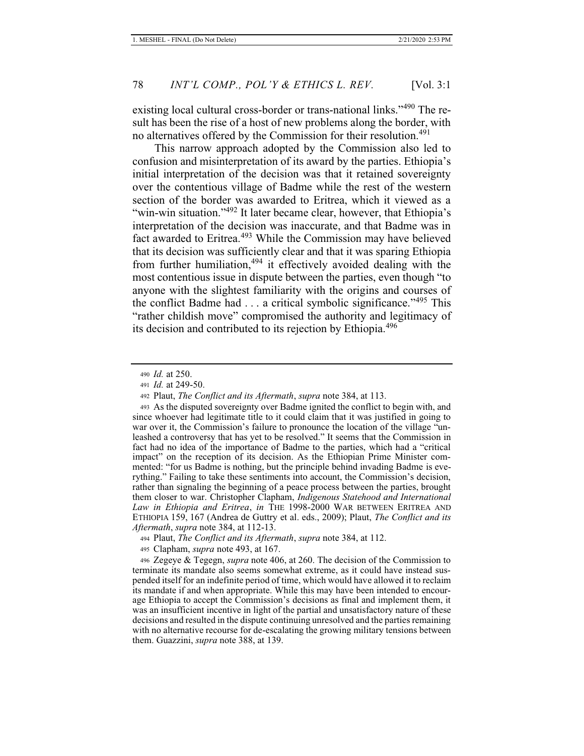existing local cultural cross-border or trans-national links."<sup>490</sup> The result has been the rise of a host of new problems along the border, with no alternatives offered by the Commission for their resolution.<sup>491</sup>

This narrow approach adopted by the Commission also led to confusion and misinterpretation of its award by the parties. Ethiopia's initial interpretation of the decision was that it retained sovereignty over the contentious village of Badme while the rest of the western section of the border was awarded to Eritrea, which it viewed as a "win-win situation."<sup>492</sup> It later became clear, however, that Ethiopia's interpretation of the decision was inaccurate, and that Badme was in fact awarded to Eritrea.<sup>493</sup> While the Commission may have believed that its decision was sufficiently clear and that it was sparing Ethiopia from further humiliation,<sup>494</sup> it effectively avoided dealing with the most contentious issue in dispute between the parties, even though "to anyone with the slightest familiarity with the origins and courses of the conflict Badme had  $\dots$  a critical symbolic significance."<sup>495</sup> This "rather childish move" compromised the authority and legitimacy of its decision and contributed to its rejection by Ethiopia.<sup>496</sup>

<sup>490</sup> *Id.* at 250.

<sup>491</sup> *Id.* at 249-50.

<sup>492</sup> Plaut, *The Conflict and its Aftermath*, *supra* note 384, at 113.

<sup>493</sup> As the disputed sovereignty over Badme ignited the conflict to begin with, and since whoever had legitimate title to it could claim that it was justified in going to war over it, the Commission's failure to pronounce the location of the village "unleashed a controversy that has yet to be resolved." It seems that the Commission in fact had no idea of the importance of Badme to the parties, which had a "critical impact" on the reception of its decision. As the Ethiopian Prime Minister commented: "for us Badme is nothing, but the principle behind invading Badme is everything." Failing to take these sentiments into account, the Commission's decision, rather than signaling the beginning of a peace process between the parties, brought them closer to war. Christopher Clapham, *Indigenous Statehood and International Law in Ethiopia and Eritrea*, *in* THE 1998-2000 WAR BETWEEN ERITREA AND ETHIOPIA 159, 167 (Andrea de Guttry et al. eds., 2009); Plaut, *The Conflict and its Aftermath*, *supra* note 384, at 112-13.

<sup>494</sup> Plaut, *The Conflict and its Aftermath*, *supra* note 384, at 112.

<sup>495</sup> Clapham, *supra* note 493, at 167.

<sup>496</sup> Zegeye & Tegegn, *supra* note 406, at 260. The decision of the Commission to terminate its mandate also seems somewhat extreme, as it could have instead suspended itself for an indefinite period of time, which would have allowed it to reclaim its mandate if and when appropriate. While this may have been intended to encourage Ethiopia to accept the Commission's decisions as final and implement them, it was an insufficient incentive in light of the partial and unsatisfactory nature of these decisions and resulted in the dispute continuing unresolved and the parties remaining with no alternative recourse for de-escalating the growing military tensions between them. Guazzini, *supra* note 388, at 139.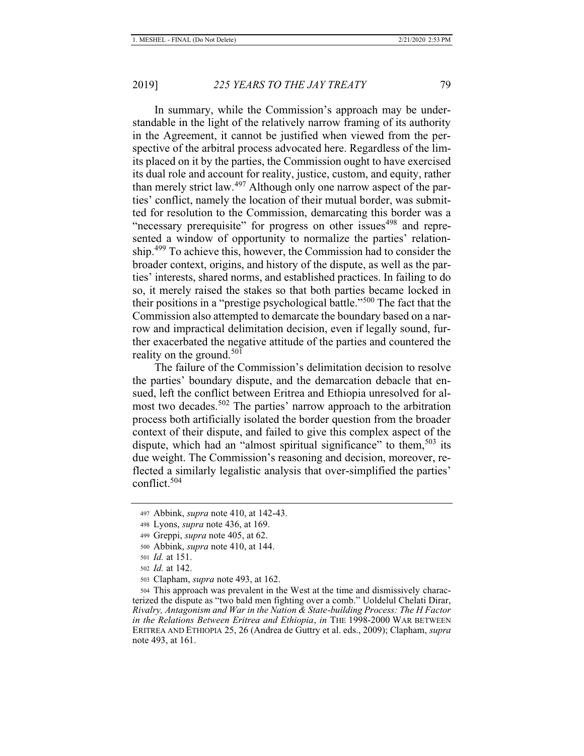In summary, while the Commission's approach may be understandable in the light of the relatively narrow framing of its authority in the Agreement, it cannot be justified when viewed from the perspective of the arbitral process advocated here. Regardless of the limits placed on it by the parties, the Commission ought to have exercised its dual role and account for reality, justice, custom, and equity, rather than merely strict law.<sup>497</sup> Although only one narrow aspect of the parties' conflict, namely the location of their mutual border, was submitted for resolution to the Commission, demarcating this border was a "necessary prerequisite" for progress on other issues<sup>498</sup> and represented a window of opportunity to normalize the parties' relationship.<sup>499</sup> To achieve this, however, the Commission had to consider the broader context, origins, and history of the dispute, as well as the parties' interests, shared norms, and established practices. In failing to do so, it merely raised the stakes so that both parties became locked in their positions in a "prestige psychological battle."500 The fact that the Commission also attempted to demarcate the boundary based on a narrow and impractical delimitation decision, even if legally sound, further exacerbated the negative attitude of the parties and countered the reality on the ground.<sup>501</sup>

The failure of the Commission's delimitation decision to resolve the parties' boundary dispute, and the demarcation debacle that ensued, left the conflict between Eritrea and Ethiopia unresolved for almost two decades.<sup>502</sup> The parties' narrow approach to the arbitration process both artificially isolated the border question from the broader context of their dispute, and failed to give this complex aspect of the dispute, which had an "almost spiritual significance" to them,  $503$  its due weight. The Commission's reasoning and decision, moreover, reflected a similarly legalistic analysis that over-simplified the parties' conflict.<sup>504</sup>

<sup>497</sup> Abbink, *supra* note 410, at 142-43.

<sup>498</sup> Lyons, *supra* note 436, at 169.

<sup>499</sup> Greppi, *supra* note 405, at 62.

<sup>500</sup> Abbink, *supra* note 410, at 144.

<sup>501</sup> *Id.* at 151.

<sup>502</sup> *Id.* at 142.

<sup>503</sup> Clapham, *supra* note 493, at 162.

<sup>504</sup> This approach was prevalent in the West at the time and dismissively characterized the dispute as "two bald men fighting over a comb." Uoldelul Chelati Dirar, *Rivalry, Antagonism and War in the Nation & State-building Process: The H Factor in the Relations Between Eritrea and Ethiopia*, *in* THE 1998-2000 WAR BETWEEN ERITREA AND ETHIOPIA 25, 26 (Andrea de Guttry et al. eds., 2009); Clapham, *supra*  note 493, at 161.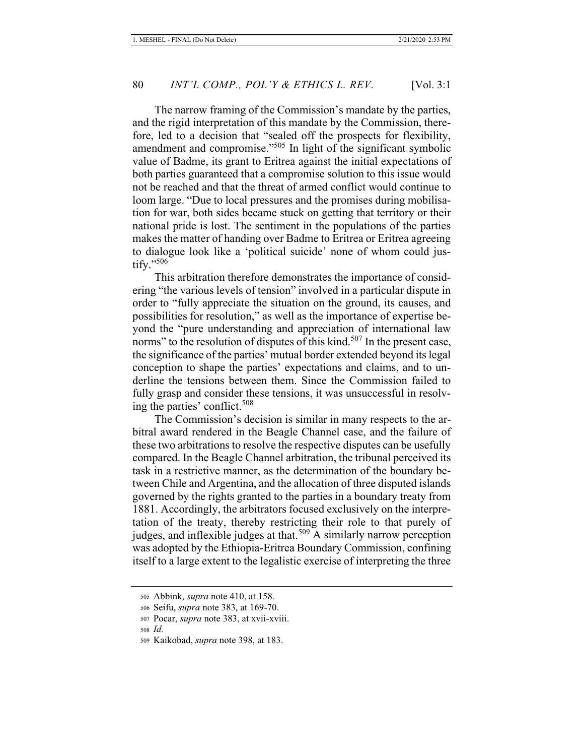The narrow framing of the Commission's mandate by the parties, and the rigid interpretation of this mandate by the Commission, therefore, led to a decision that "sealed off the prospects for flexibility, amendment and compromise."505 In light of the significant symbolic value of Badme, its grant to Eritrea against the initial expectations of both parties guaranteed that a compromise solution to this issue would not be reached and that the threat of armed conflict would continue to loom large. "Due to local pressures and the promises during mobilisation for war, both sides became stuck on getting that territory or their national pride is lost. The sentiment in the populations of the parties makes the matter of handing over Badme to Eritrea or Eritrea agreeing to dialogue look like a 'political suicide' none of whom could justify."<sup>506</sup>

This arbitration therefore demonstrates the importance of considering "the various levels of tension" involved in a particular dispute in order to "fully appreciate the situation on the ground, its causes, and possibilities for resolution," as well as the importance of expertise beyond the "pure understanding and appreciation of international law norms" to the resolution of disputes of this kind.<sup>507</sup> In the present case, the significance of the parties' mutual border extended beyond its legal conception to shape the parties' expectations and claims, and to underline the tensions between them. Since the Commission failed to fully grasp and consider these tensions, it was unsuccessful in resolving the parties' conflict.<sup>508</sup>

The Commission's decision is similar in many respects to the arbitral award rendered in the Beagle Channel case, and the failure of these two arbitrations to resolve the respective disputes can be usefully compared. In the Beagle Channel arbitration, the tribunal perceived its task in a restrictive manner, as the determination of the boundary between Chile and Argentina, and the allocation of three disputed islands governed by the rights granted to the parties in a boundary treaty from 1881. Accordingly, the arbitrators focused exclusively on the interpretation of the treaty, thereby restricting their role to that purely of judges, and inflexible judges at that.<sup>509</sup> A similarly narrow perception was adopted by the Ethiopia-Eritrea Boundary Commission, confining itself to a large extent to the legalistic exercise of interpreting the three

<sup>505</sup> Abbink, *supra* note 410, at 158.

<sup>506</sup> Seifu, *supra* note 383, at 169-70.

<sup>507</sup> Pocar, *supra* note 383, at xvii-xviii.

<sup>508</sup> *Id.*

<sup>509</sup> Kaikobad, *supra* note 398, at 183.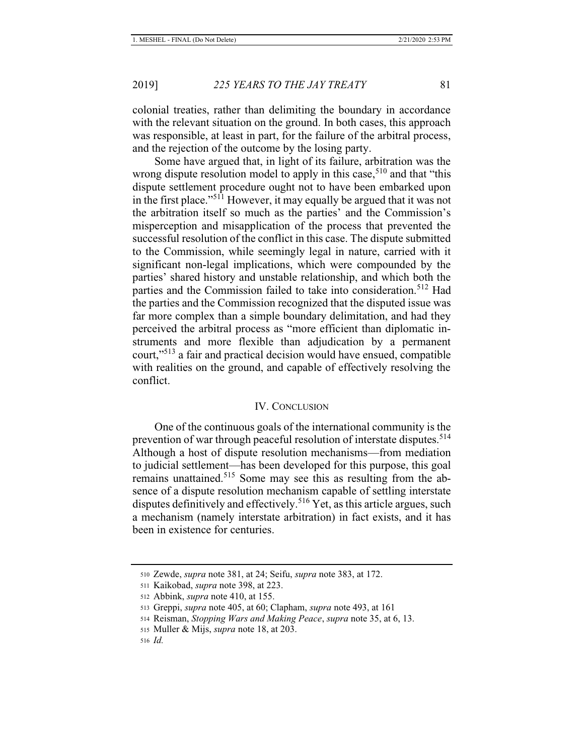colonial treaties, rather than delimiting the boundary in accordance with the relevant situation on the ground. In both cases, this approach was responsible, at least in part, for the failure of the arbitral process, and the rejection of the outcome by the losing party.

Some have argued that, in light of its failure, arbitration was the wrong dispute resolution model to apply in this case,<sup>510</sup> and that "this dispute settlement procedure ought not to have been embarked upon in the first place."511 However, it may equally be argued that it was not the arbitration itself so much as the parties' and the Commission's misperception and misapplication of the process that prevented the successful resolution of the conflict in this case. The dispute submitted to the Commission, while seemingly legal in nature, carried with it significant non-legal implications, which were compounded by the parties' shared history and unstable relationship, and which both the parties and the Commission failed to take into consideration.<sup>512</sup> Had the parties and the Commission recognized that the disputed issue was far more complex than a simple boundary delimitation, and had they perceived the arbitral process as "more efficient than diplomatic instruments and more flexible than adjudication by a permanent court,"513 a fair and practical decision would have ensued, compatible with realities on the ground, and capable of effectively resolving the conflict.

#### IV. CONCLUSION

One of the continuous goals of the international community is the prevention of war through peaceful resolution of interstate disputes.<sup>514</sup> Although a host of dispute resolution mechanisms—from mediation to judicial settlement—has been developed for this purpose, this goal remains unattained.<sup>515</sup> Some may see this as resulting from the absence of a dispute resolution mechanism capable of settling interstate disputes definitively and effectively.<sup>516</sup> Yet, as this article argues, such a mechanism (namely interstate arbitration) in fact exists, and it has been in existence for centuries.

<sup>510</sup> Zewde, *supra* note 381, at 24; Seifu, *supra* note 383, at 172.

<sup>511</sup> Kaikobad, *supra* note 398, at 223.

<sup>512</sup> Abbink, *supra* note 410, at 155.

<sup>513</sup> Greppi, *supra* note 405, at 60; Clapham, *supra* note 493, at 161

<sup>514</sup> Reisman, *Stopping Wars and Making Peace*, *supra* note 35, at 6, 13.

<sup>515</sup> Muller & Mijs, *supra* note 18, at 203.

<sup>516</sup> *Id.*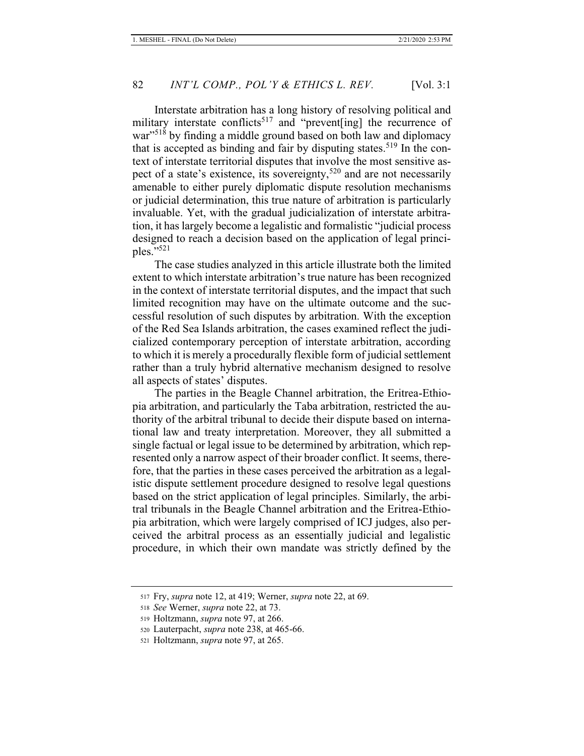Interstate arbitration has a long history of resolving political and military interstate conflicts<sup>517</sup> and "prevent [ing] the recurrence of war"<sup>518</sup> by finding a middle ground based on both law and diplomacy that is accepted as binding and fair by disputing states.<sup>519</sup> In the context of interstate territorial disputes that involve the most sensitive aspect of a state's existence, its sovereignty,<sup>520</sup> and are not necessarily amenable to either purely diplomatic dispute resolution mechanisms or judicial determination, this true nature of arbitration is particularly invaluable. Yet, with the gradual judicialization of interstate arbitration, it has largely become a legalistic and formalistic "judicial process designed to reach a decision based on the application of legal principles." $521$ 

The case studies analyzed in this article illustrate both the limited extent to which interstate arbitration's true nature has been recognized in the context of interstate territorial disputes, and the impact that such limited recognition may have on the ultimate outcome and the successful resolution of such disputes by arbitration. With the exception of the Red Sea Islands arbitration, the cases examined reflect the judicialized contemporary perception of interstate arbitration, according to which it is merely a procedurally flexible form of judicial settlement rather than a truly hybrid alternative mechanism designed to resolve all aspects of states' disputes.

The parties in the Beagle Channel arbitration, the Eritrea-Ethiopia arbitration, and particularly the Taba arbitration, restricted the authority of the arbitral tribunal to decide their dispute based on international law and treaty interpretation. Moreover, they all submitted a single factual or legal issue to be determined by arbitration, which represented only a narrow aspect of their broader conflict. It seems, therefore, that the parties in these cases perceived the arbitration as a legalistic dispute settlement procedure designed to resolve legal questions based on the strict application of legal principles. Similarly, the arbitral tribunals in the Beagle Channel arbitration and the Eritrea-Ethiopia arbitration, which were largely comprised of ICJ judges, also perceived the arbitral process as an essentially judicial and legalistic procedure, in which their own mandate was strictly defined by the

<sup>517</sup> Fry, *supra* note 12, at 419; Werner, *supra* note 22, at 69.

<sup>518</sup> *See* Werner, *supra* note 22, at 73.

<sup>519</sup> Holtzmann, *supra* note 97, at 266.

<sup>520</sup> Lauterpacht, *supra* note 238, at 465-66.

<sup>521</sup> Holtzmann, *supra* note 97, at 265.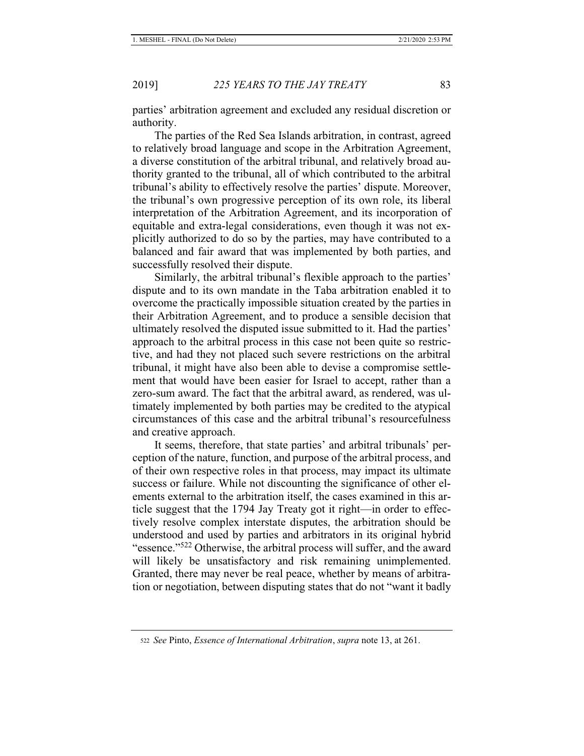parties' arbitration agreement and excluded any residual discretion or authority.

The parties of the Red Sea Islands arbitration, in contrast, agreed to relatively broad language and scope in the Arbitration Agreement, a diverse constitution of the arbitral tribunal, and relatively broad authority granted to the tribunal, all of which contributed to the arbitral tribunal's ability to effectively resolve the parties' dispute. Moreover, the tribunal's own progressive perception of its own role, its liberal interpretation of the Arbitration Agreement, and its incorporation of equitable and extra-legal considerations, even though it was not explicitly authorized to do so by the parties, may have contributed to a balanced and fair award that was implemented by both parties, and successfully resolved their dispute.

Similarly, the arbitral tribunal's flexible approach to the parties' dispute and to its own mandate in the Taba arbitration enabled it to overcome the practically impossible situation created by the parties in their Arbitration Agreement, and to produce a sensible decision that ultimately resolved the disputed issue submitted to it. Had the parties' approach to the arbitral process in this case not been quite so restrictive, and had they not placed such severe restrictions on the arbitral tribunal, it might have also been able to devise a compromise settlement that would have been easier for Israel to accept, rather than a zero-sum award. The fact that the arbitral award, as rendered, was ultimately implemented by both parties may be credited to the atypical circumstances of this case and the arbitral tribunal's resourcefulness and creative approach.

It seems, therefore, that state parties' and arbitral tribunals' perception of the nature, function, and purpose of the arbitral process, and of their own respective roles in that process, may impact its ultimate success or failure. While not discounting the significance of other elements external to the arbitration itself, the cases examined in this article suggest that the 1794 Jay Treaty got it right—in order to effectively resolve complex interstate disputes, the arbitration should be understood and used by parties and arbitrators in its original hybrid "essence."<sup>522</sup> Otherwise, the arbitral process will suffer, and the award will likely be unsatisfactory and risk remaining unimplemented. Granted, there may never be real peace, whether by means of arbitration or negotiation, between disputing states that do not "want it badly

<sup>522</sup> *See* Pinto, *Essence of International Arbitration*, *supra* note 13, at 261.